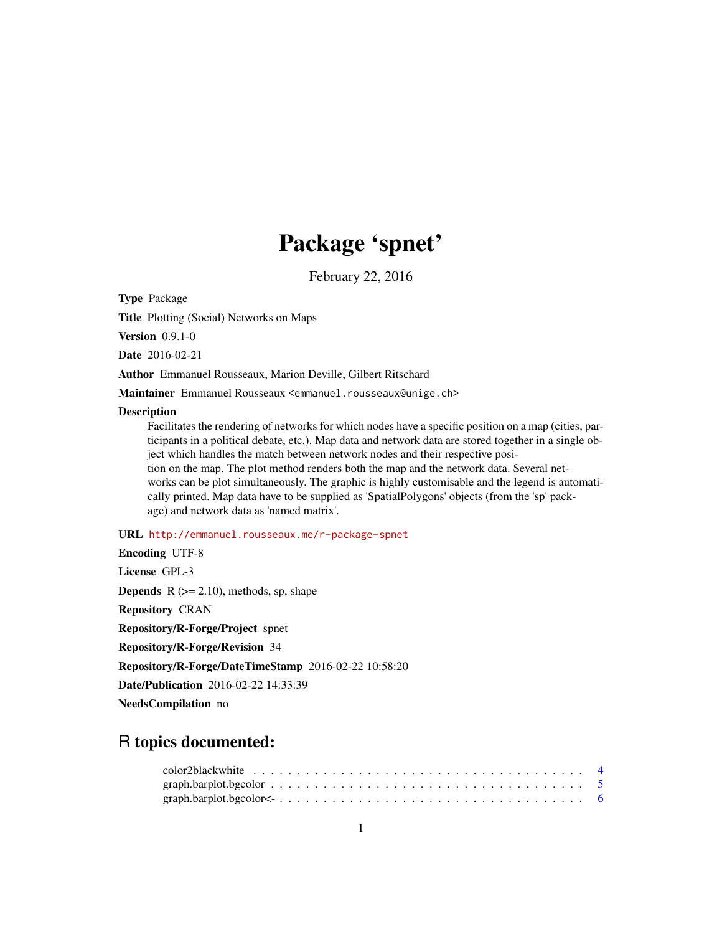# Package 'spnet'

February 22, 2016

Type Package

Title Plotting (Social) Networks on Maps

Version 0.9.1-0

Date 2016-02-21

Author Emmanuel Rousseaux, Marion Deville, Gilbert Ritschard

Maintainer Emmanuel Rousseaux <emmanuel.rousseaux@unige.ch>

#### Description

Facilitates the rendering of networks for which nodes have a specific position on a map (cities, participants in a political debate, etc.). Map data and network data are stored together in a single object which handles the match between network nodes and their respective position on the map. The plot method renders both the map and the network data. Several networks can be plot simultaneously. The graphic is highly customisable and the legend is automatically printed. Map data have to be supplied as 'SpatialPolygons' objects (from the 'sp' package) and network data as 'named matrix'.

# URL <http://emmanuel.rousseaux.me/r-package-spnet>

| <b>Encoding UTF-8</b>                                |
|------------------------------------------------------|
| License GPL-3                                        |
| <b>Depends</b> $R$ ( $>= 2.10$ ), methods, sp, shape |
| <b>Repository CRAN</b>                               |
| Repository/R-Forge/Project spnet                     |
| <b>Repository/R-Forge/Revision</b> 34                |
| Repository/R-Forge/DateTimeStamp 2016-02-22 10:58:20 |
| <b>Date/Publication</b> 2016-02-22 14:33:39          |
| <b>NeedsCompilation</b> no                           |

# R topics documented: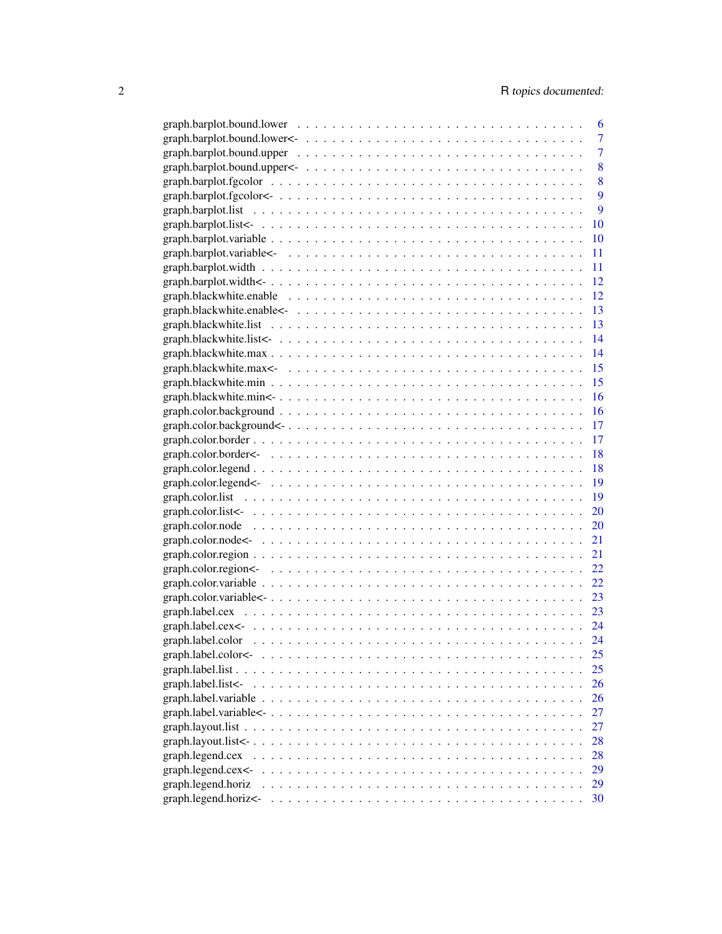|                        | 6              |
|------------------------|----------------|
|                        | 7              |
|                        | $\overline{7}$ |
|                        | 8              |
|                        | 8              |
|                        | 9              |
|                        | 9              |
|                        | 10             |
|                        | 10             |
|                        | 11             |
|                        | 11             |
|                        | 12             |
|                        | 12             |
|                        | <sup>13</sup>  |
|                        | <sup>13</sup>  |
|                        | 14             |
|                        | 14             |
|                        |                |
|                        |                |
|                        | 16             |
|                        | 16             |
|                        | 17             |
|                        | 17             |
|                        | 18             |
|                        | 18             |
|                        | 19             |
|                        |                |
|                        | 20             |
|                        | 20             |
|                        | 21             |
|                        | 21             |
|                        | 22             |
|                        | 22             |
|                        | 23             |
|                        | 23             |
|                        |                |
|                        | 24             |
| graph.label.color<-    | 25             |
|                        | 25             |
| graph.label.list<-     | 26             |
|                        | 26             |
|                        | 27             |
|                        | 27             |
| graph.layout.list <- . | 28             |
| graph.legend.cex       | 28             |
| graph.legend.cex<-     | 29             |
| graph.legend.horiz     | 29             |
| graph.legend.horiz<-   | 30             |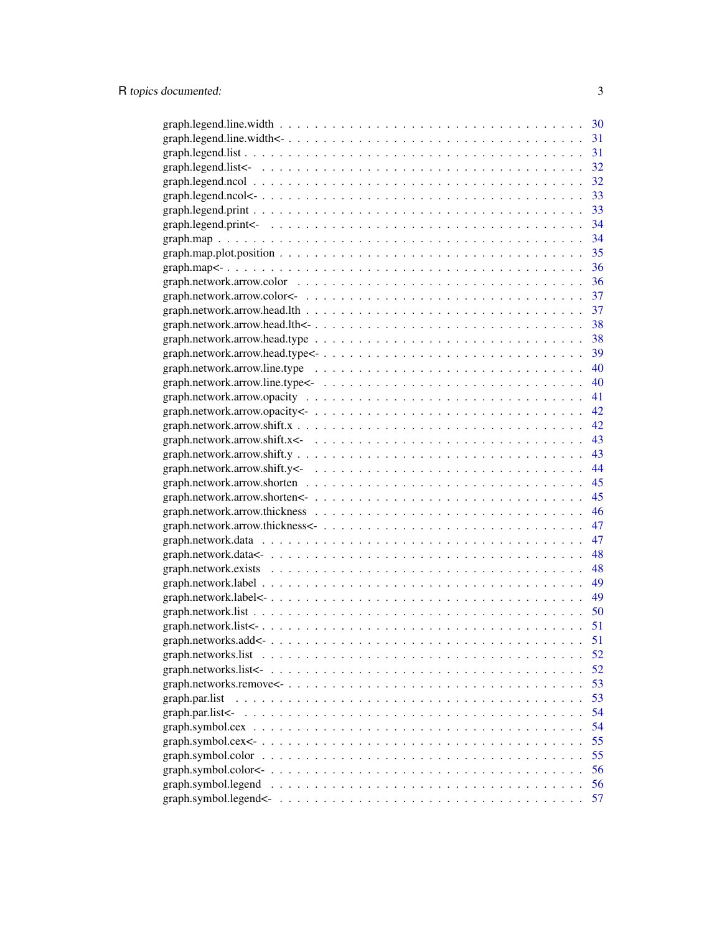|                                                                                                                  | 30 |
|------------------------------------------------------------------------------------------------------------------|----|
|                                                                                                                  | 31 |
|                                                                                                                  | 31 |
|                                                                                                                  | 32 |
|                                                                                                                  | 32 |
|                                                                                                                  | 33 |
|                                                                                                                  |    |
|                                                                                                                  |    |
|                                                                                                                  |    |
|                                                                                                                  |    |
|                                                                                                                  |    |
|                                                                                                                  | 36 |
|                                                                                                                  | 37 |
|                                                                                                                  | 37 |
|                                                                                                                  | 38 |
|                                                                                                                  | 38 |
|                                                                                                                  | 39 |
|                                                                                                                  | 40 |
|                                                                                                                  | 40 |
|                                                                                                                  | 41 |
|                                                                                                                  | 42 |
|                                                                                                                  | 42 |
|                                                                                                                  | 43 |
|                                                                                                                  | 43 |
|                                                                                                                  | 44 |
|                                                                                                                  | 45 |
|                                                                                                                  | 45 |
|                                                                                                                  | 46 |
|                                                                                                                  | 47 |
|                                                                                                                  | 47 |
|                                                                                                                  | 48 |
|                                                                                                                  | 48 |
|                                                                                                                  | 49 |
|                                                                                                                  | 49 |
|                                                                                                                  | 50 |
|                                                                                                                  | 51 |
|                                                                                                                  | 51 |
| graph.networks.list $\ldots \ldots \ldots \ldots \ldots \ldots \ldots \ldots \ldots \ldots \ldots \ldots \ldots$ | 52 |
|                                                                                                                  | 52 |
|                                                                                                                  | 53 |
| graph.par.list                                                                                                   | 53 |
| $graph.$ par.list $\lt$ -                                                                                        | 54 |
|                                                                                                                  | 54 |
|                                                                                                                  | 55 |
| graph.symbol.color                                                                                               | 55 |
|                                                                                                                  | 56 |
| graph.symbol.legend                                                                                              | 56 |
|                                                                                                                  |    |
|                                                                                                                  | 57 |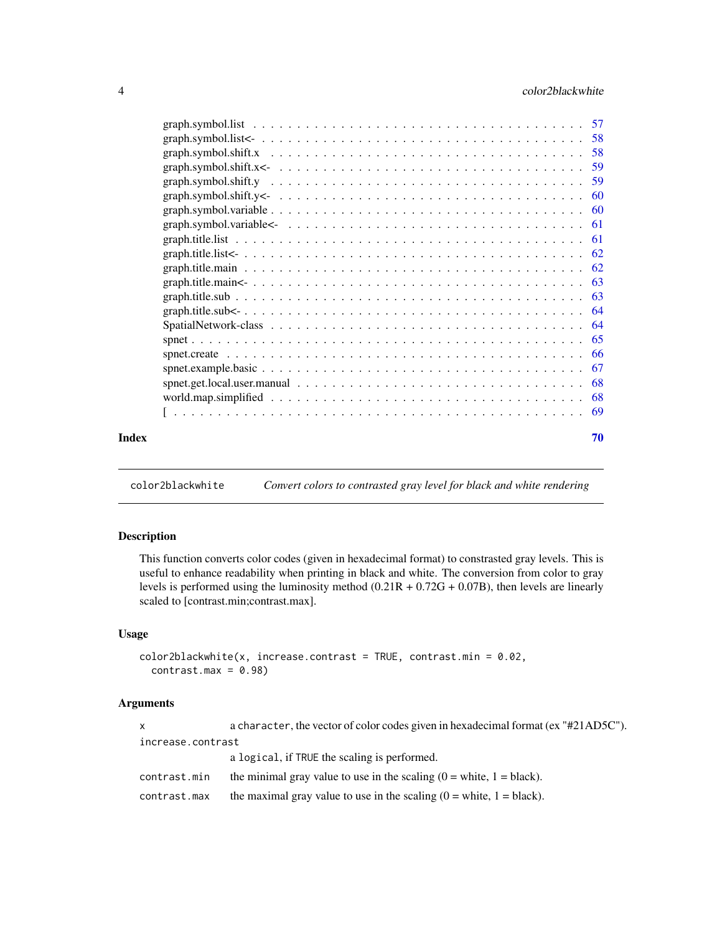<span id="page-3-0"></span>

| Index | 70 |
|-------|----|
|       |    |
|       |    |
|       |    |
|       |    |
|       |    |
|       |    |
|       |    |
|       |    |
|       |    |
|       |    |
|       |    |
|       |    |
|       |    |
|       |    |
|       |    |
|       |    |
|       |    |
|       |    |
|       |    |
|       |    |
|       |    |

color2blackwhite *Convert colors to contrasted gray level for black and white rendering*

# Description

This function converts color codes (given in hexadecimal format) to constrasted gray levels. This is useful to enhance readability when printing in black and white. The conversion from color to gray levels is performed using the luminosity method (0.21R + 0.72G + 0.07B), then levels are linearly scaled to [contrast.min;contrast.max].

# Usage

```
color2blackwhile(x, increase.contrib = TRUE, contrast = m = 0.02,contrast.max = 0.98
```

| $\mathsf{x}$      | a character, the vector of color codes given in hexadecimal format (ex "#21AD5C").    |  |  |  |  |
|-------------------|---------------------------------------------------------------------------------------|--|--|--|--|
| increase.contrast |                                                                                       |  |  |  |  |
|                   | a logical, if TRUE the scaling is performed.                                          |  |  |  |  |
| contrast.min      | the minimal gray value to use in the scaling $(0 = \text{white}, 1 = \text{black})$ . |  |  |  |  |
| contrast.max      | the maximal gray value to use in the scaling $(0 = \text{white}, 1 = \text{black})$ . |  |  |  |  |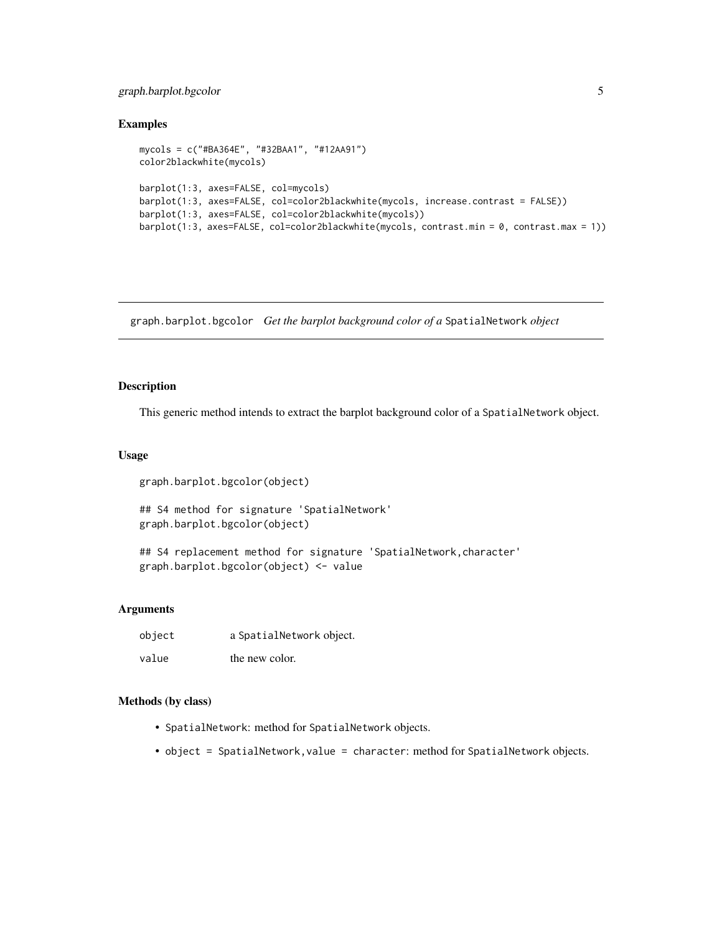# <span id="page-4-0"></span>graph.barplot.bgcolor 5

#### Examples

```
mycols = c("#BA364E", "#32BAA1", "#12AA91")
color2blackwhite(mycols)
barplot(1:3, axes=FALSE, col=mycols)
barplot(1:3, axes=FALSE, col=color2blackwhite(mycols, increase.contrast = FALSE))
barplot(1:3, axes=FALSE, col=color2blackwhite(mycols))
barplot(1:3, axes=FALSE, col=color2blackwhite(mycols, contrast.min = 0, contrast.max = 1))
```
graph.barplot.bgcolor *Get the barplot background color of a* SpatialNetwork *object*

#### Description

This generic method intends to extract the barplot background color of a SpatialNetwork object.

# Usage

```
graph.barplot.bgcolor(object)
```
## S4 method for signature 'SpatialNetwork' graph.barplot.bgcolor(object)

## S4 replacement method for signature 'SpatialNetwork, character' graph.barplot.bgcolor(object) <- value

#### Arguments

| object | a SpatialNetwork object. |
|--------|--------------------------|
| value  | the new color.           |

- SpatialNetwork: method for SpatialNetwork objects.
- object = SpatialNetwork, value = character: method for SpatialNetwork objects.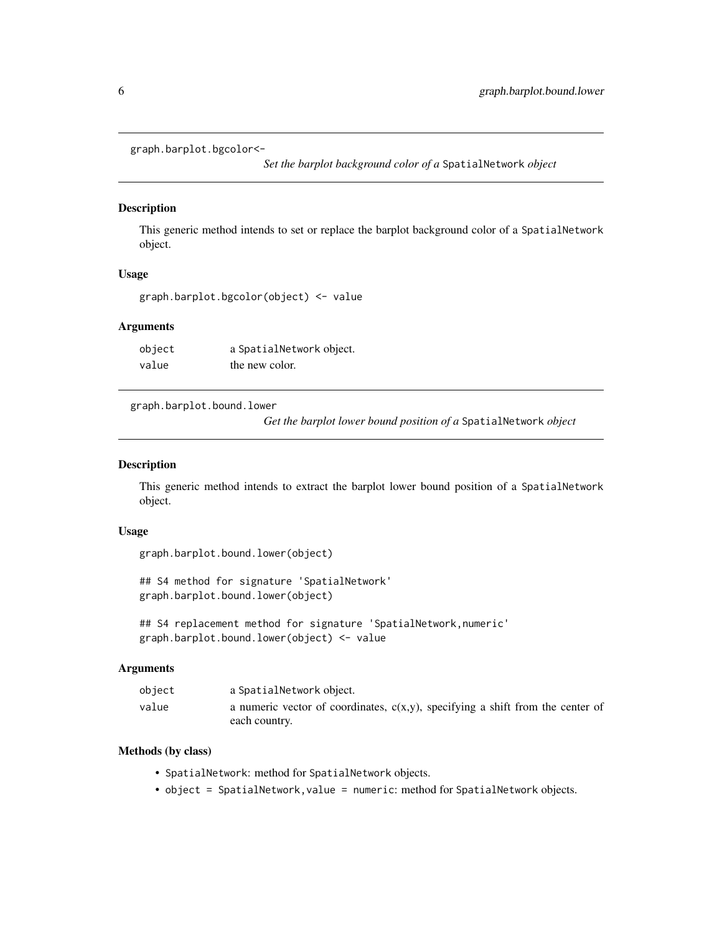<span id="page-5-0"></span>graph.barplot.bgcolor<-

*Set the barplot background color of a* SpatialNetwork *object*

# Description

This generic method intends to set or replace the barplot background color of a SpatialNetwork object.

#### Usage

graph.barplot.bgcolor(object) <- value

#### Arguments

object a SpatialNetwork object. value the new color.

graph.barplot.bound.lower

*Get the barplot lower bound position of a* SpatialNetwork *object*

#### Description

This generic method intends to extract the barplot lower bound position of a SpatialNetwork object.

# Usage

```
graph.barplot.bound.lower(object)
```
## S4 method for signature 'SpatialNetwork' graph.barplot.bound.lower(object)

```
## S4 replacement method for signature 'SpatialNetwork, numeric'
graph.barplot.bound.lower(object) <- value
```
#### Arguments

| object | a SpatialNetwork object.                                                                           |
|--------|----------------------------------------------------------------------------------------------------|
| value  | a numeric vector of coordinates, $c(x,y)$ , specifying a shift from the center of<br>each country. |

- SpatialNetwork: method for SpatialNetwork objects.
- object = SpatialNetwork,value = numeric: method for SpatialNetwork objects.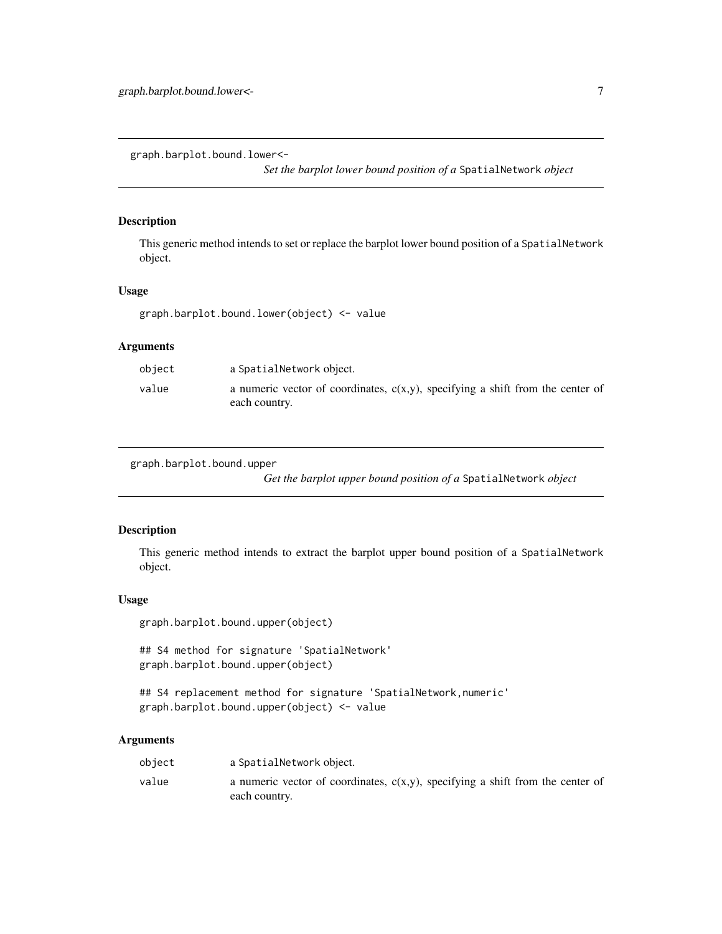<span id="page-6-0"></span>graph.barplot.bound.lower<-

*Set the barplot lower bound position of a* SpatialNetwork *object*

# Description

This generic method intends to set or replace the barplot lower bound position of a SpatialNetwork object.

# Usage

graph.barplot.bound.lower(object) <- value

# Arguments

| object | a SpatialNetwork object.                                                                           |
|--------|----------------------------------------------------------------------------------------------------|
| value  | a numeric vector of coordinates, $c(x,y)$ , specifying a shift from the center of<br>each country. |

graph.barplot.bound.upper

*Get the barplot upper bound position of a* SpatialNetwork *object*

# Description

This generic method intends to extract the barplot upper bound position of a SpatialNetwork object.

#### Usage

graph.barplot.bound.upper(object)

## S4 method for signature 'SpatialNetwork' graph.barplot.bound.upper(object)

## S4 replacement method for signature 'SpatialNetwork, numeric' graph.barplot.bound.upper(object) <- value

| object | a SpatialNetwork object.                                                                           |
|--------|----------------------------------------------------------------------------------------------------|
| value  | a numeric vector of coordinates, $c(x,y)$ , specifying a shift from the center of<br>each country. |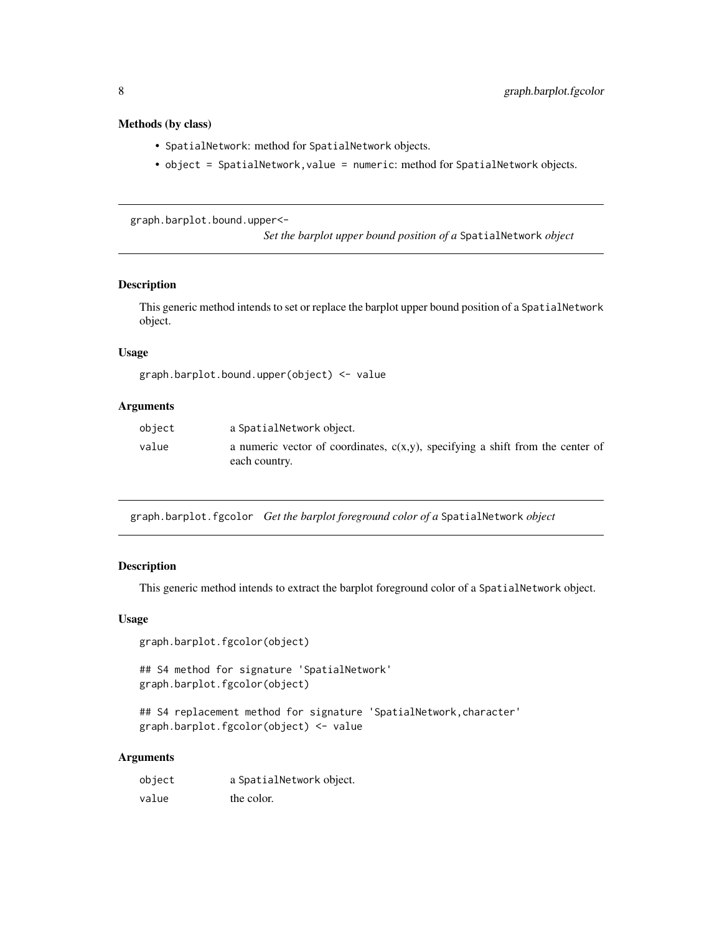# <span id="page-7-0"></span>Methods (by class)

- SpatialNetwork: method for SpatialNetwork objects.
- object = SpatialNetwork,value = numeric: method for SpatialNetwork objects.

graph.barplot.bound.upper<-

*Set the barplot upper bound position of a* SpatialNetwork *object*

# Description

This generic method intends to set or replace the barplot upper bound position of a SpatialNetwork object.

#### Usage

```
graph.barplot.bound.upper(object) <- value
```
# Arguments

| object | a SpatialNetwork object.                                                                           |
|--------|----------------------------------------------------------------------------------------------------|
| value  | a numeric vector of coordinates, $c(x,y)$ , specifying a shift from the center of<br>each country. |

graph.barplot.fgcolor *Get the barplot foreground color of a* SpatialNetwork *object*

#### Description

This generic method intends to extract the barplot foreground color of a SpatialNetwork object.

#### Usage

```
graph.barplot.fgcolor(object)
```
## S4 method for signature 'SpatialNetwork' graph.barplot.fgcolor(object)

```
## S4 replacement method for signature 'SpatialNetwork, character'
graph.barplot.fgcolor(object) <- value
```

| object | a SpatialNetwork object. |
|--------|--------------------------|
| value  | the color.               |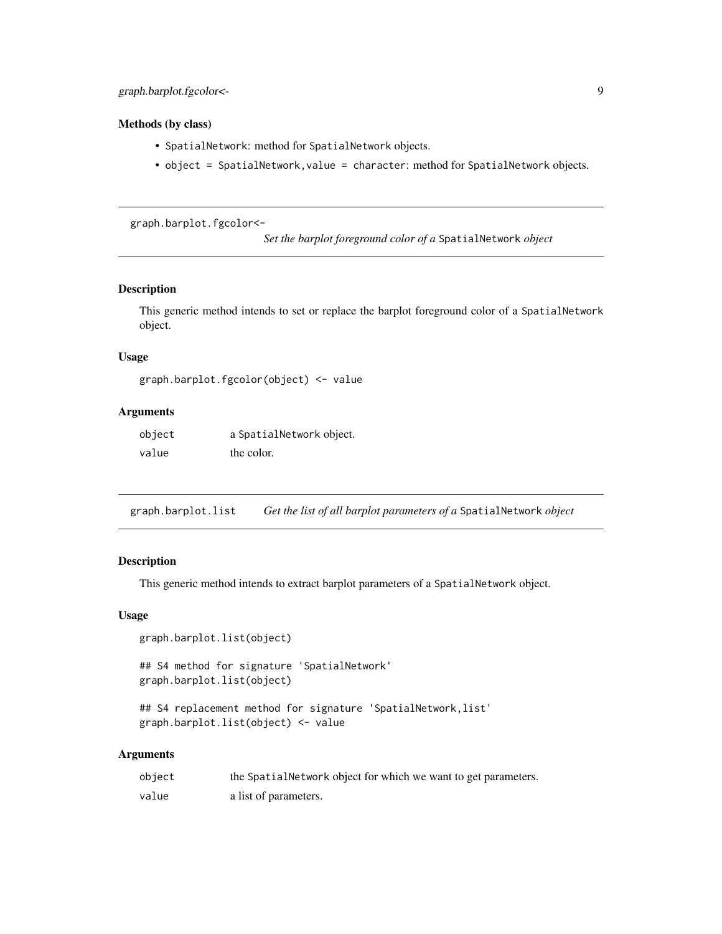# <span id="page-8-0"></span>Methods (by class)

- SpatialNetwork: method for SpatialNetwork objects.
- object = SpatialNetwork,value = character: method for SpatialNetwork objects.

graph.barplot.fgcolor<-

*Set the barplot foreground color of a* SpatialNetwork *object*

#### Description

This generic method intends to set or replace the barplot foreground color of a SpatialNetwork object.

#### Usage

```
graph.barplot.fgcolor(object) <- value
```
# Arguments

| object | a SpatialNetwork object. |
|--------|--------------------------|
| value  | the color.               |

graph.barplot.list *Get the list of all barplot parameters of a* SpatialNetwork *object*

#### Description

This generic method intends to extract barplot parameters of a SpatialNetwork object.

#### Usage

```
graph.barplot.list(object)
```
## S4 method for signature 'SpatialNetwork' graph.barplot.list(object)

## S4 replacement method for signature 'SpatialNetwork, list' graph.barplot.list(object) <- value

| object | the Spatial Network object for which we want to get parameters. |
|--------|-----------------------------------------------------------------|
| value  | a list of parameters.                                           |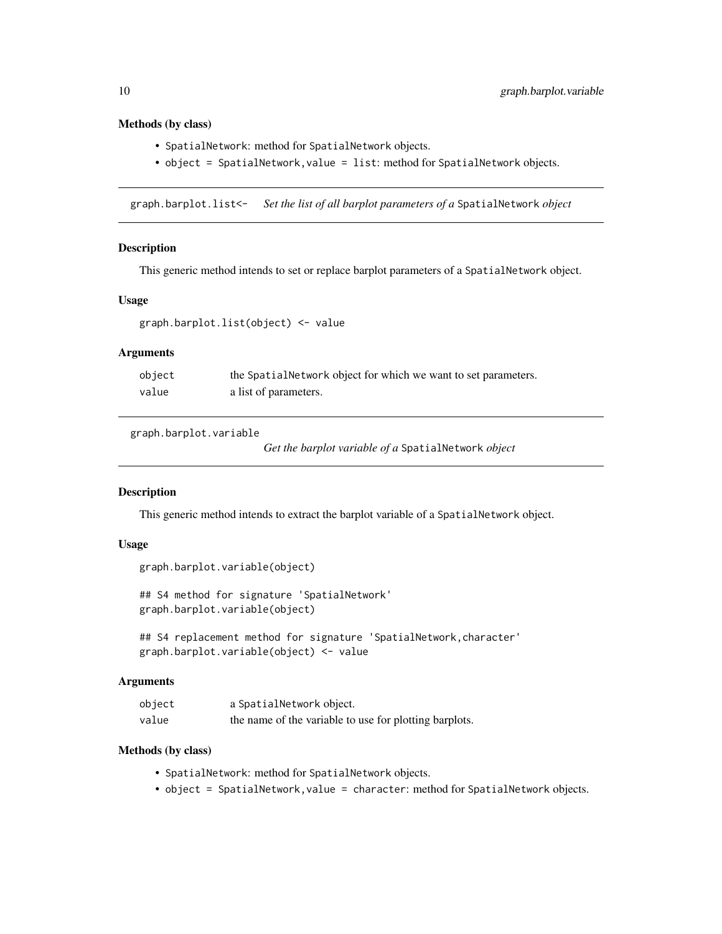#### Methods (by class)

- SpatialNetwork: method for SpatialNetwork objects.
- object = SpatialNetwork, value = list: method for SpatialNetwork objects.

graph.barplot.list<- *Set the list of all barplot parameters of a* SpatialNetwork *object*

#### **Description**

This generic method intends to set or replace barplot parameters of a SpatialNetwork object.

#### Usage

```
graph.barplot.list(object) <- value
```
# Arguments

| object | the SpatialNetwork object for which we want to set parameters. |
|--------|----------------------------------------------------------------|
| value  | a list of parameters.                                          |

graph.barplot.variable

*Get the barplot variable of a* SpatialNetwork *object*

# Description

This generic method intends to extract the barplot variable of a SpatialNetwork object.

#### Usage

```
graph.barplot.variable(object)
```
## S4 method for signature 'SpatialNetwork' graph.barplot.variable(object)

```
## S4 replacement method for signature 'SpatialNetwork,character'
graph.barplot.variable(object) <- value
```
# Arguments

| object | a SpatialNetwork object.                               |
|--------|--------------------------------------------------------|
| value  | the name of the variable to use for plotting barplots. |

- SpatialNetwork: method for SpatialNetwork objects.
- object = SpatialNetwork,value = character: method for SpatialNetwork objects.

<span id="page-9-0"></span>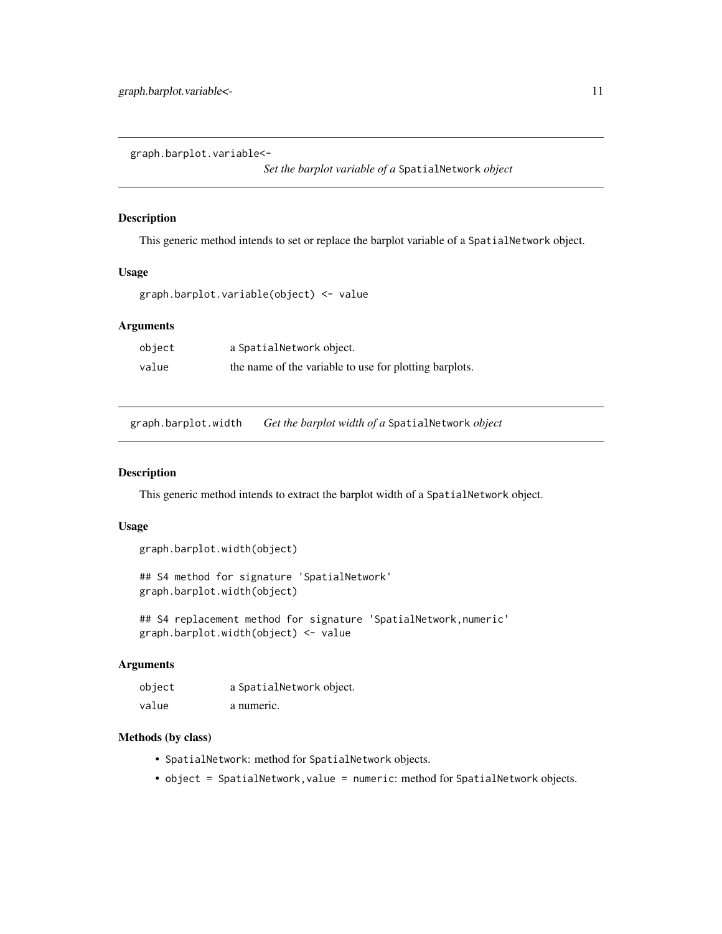<span id="page-10-0"></span>graph.barplot.variable<-

*Set the barplot variable of a* SpatialNetwork *object*

#### Description

This generic method intends to set or replace the barplot variable of a SpatialNetwork object.

# Usage

graph.barplot.variable(object) <- value

#### Arguments

| object | a SpatialNetwork object.                               |
|--------|--------------------------------------------------------|
| value  | the name of the variable to use for plotting barplots. |

graph.barplot.width *Get the barplot width of a* SpatialNetwork *object*

# Description

This generic method intends to extract the barplot width of a SpatialNetwork object.

#### Usage

```
graph.barplot.width(object)
```
## S4 method for signature 'SpatialNetwork' graph.barplot.width(object)

## S4 replacement method for signature 'SpatialNetwork, numeric' graph.barplot.width(object) <- value

#### Arguments

| object | a SpatialNetwork object. |
|--------|--------------------------|
| value  | a numeric.               |

- SpatialNetwork: method for SpatialNetwork objects.
- object = SpatialNetwork, value = numeric: method for SpatialNetwork objects.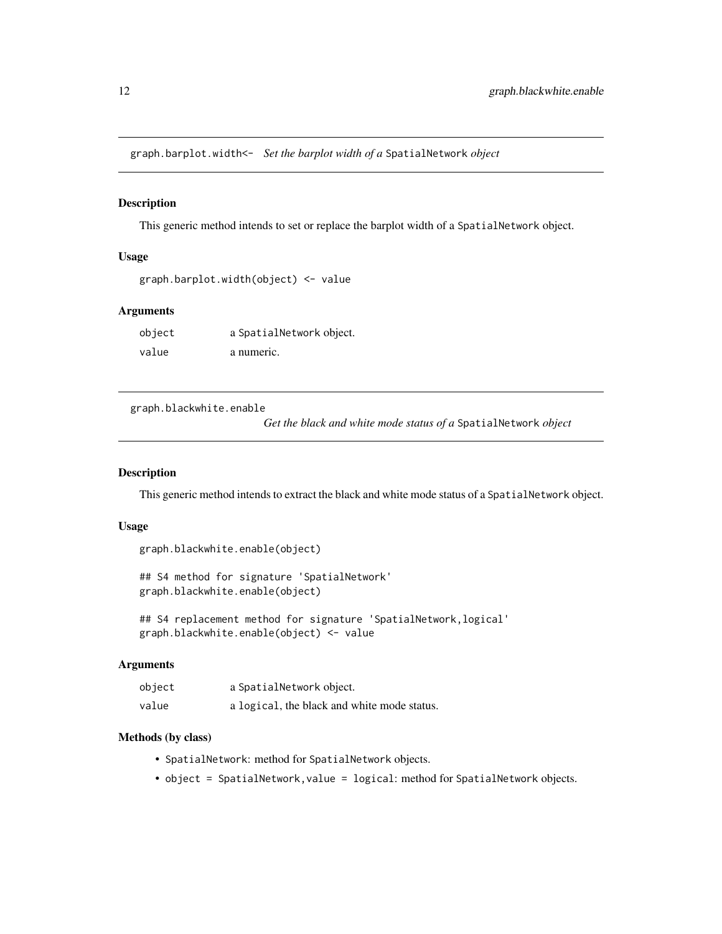<span id="page-11-0"></span>graph.barplot.width<- *Set the barplot width of a* SpatialNetwork *object*

# Description

This generic method intends to set or replace the barplot width of a SpatialNetwork object.

#### Usage

```
graph.barplot.width(object) <- value
```
# Arguments

| object | a SpatialNetwork object. |
|--------|--------------------------|
| value  | a numeric.               |

graph.blackwhite.enable

*Get the black and white mode status of a* SpatialNetwork *object*

#### Description

This generic method intends to extract the black and white mode status of a SpatialNetwork object.

#### Usage

```
graph.blackwhite.enable(object)
```
## S4 method for signature 'SpatialNetwork' graph.blackwhite.enable(object)

## S4 replacement method for signature 'SpatialNetwork, logical' graph.blackwhite.enable(object) <- value

#### **Arguments**

| object | a SpatialNetwork object.                    |
|--------|---------------------------------------------|
| value  | a logical, the black and white mode status. |

- SpatialNetwork: method for SpatialNetwork objects.
- object = SpatialNetwork, value = logical: method for SpatialNetwork objects.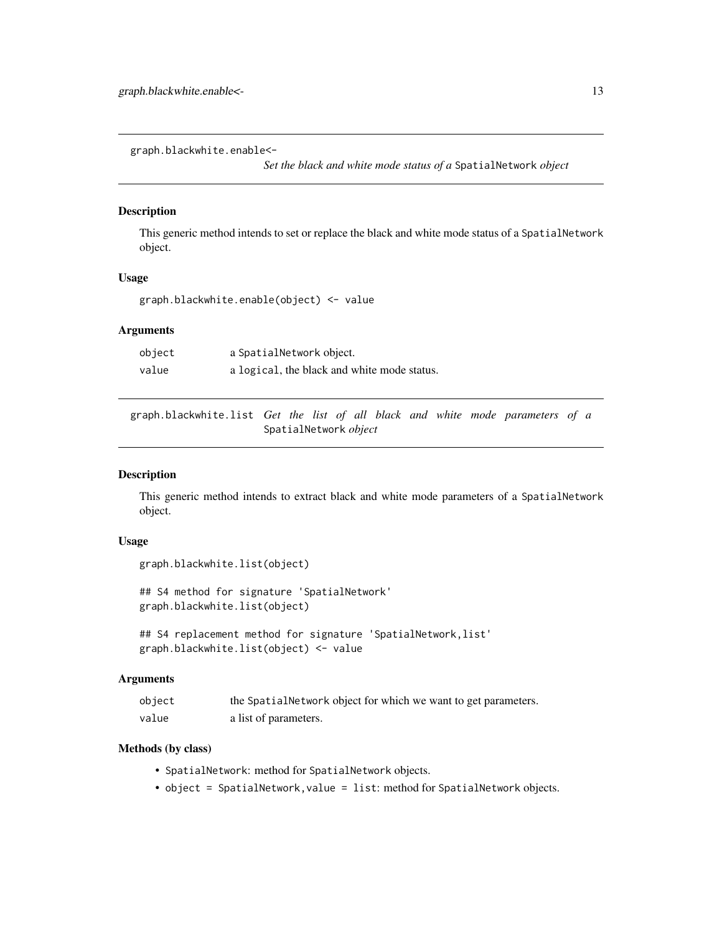<span id="page-12-0"></span>graph.blackwhite.enable<-

*Set the black and white mode status of a* SpatialNetwork *object*

#### Description

This generic method intends to set or replace the black and white mode status of a SpatialNetwork object.

#### Usage

graph.blackwhite.enable(object) <- value

# Arguments

| object | a SpatialNetwork object.                    |
|--------|---------------------------------------------|
| value  | a logical, the black and white mode status. |

graph.blackwhite.list *Get the list of all black and white mode parameters of a* SpatialNetwork *object*

# Description

This generic method intends to extract black and white mode parameters of a SpatialNetwork object.

## Usage

```
graph.blackwhite.list(object)
```
## S4 method for signature 'SpatialNetwork' graph.blackwhite.list(object)

```
## S4 replacement method for signature 'SpatialNetwork, list'
graph.blackwhite.list(object) <- value
```
#### Arguments

| object | the Spatial Network object for which we want to get parameters. |
|--------|-----------------------------------------------------------------|
| value  | a list of parameters.                                           |

- SpatialNetwork: method for SpatialNetwork objects.
- object = SpatialNetwork,value = list: method for SpatialNetwork objects.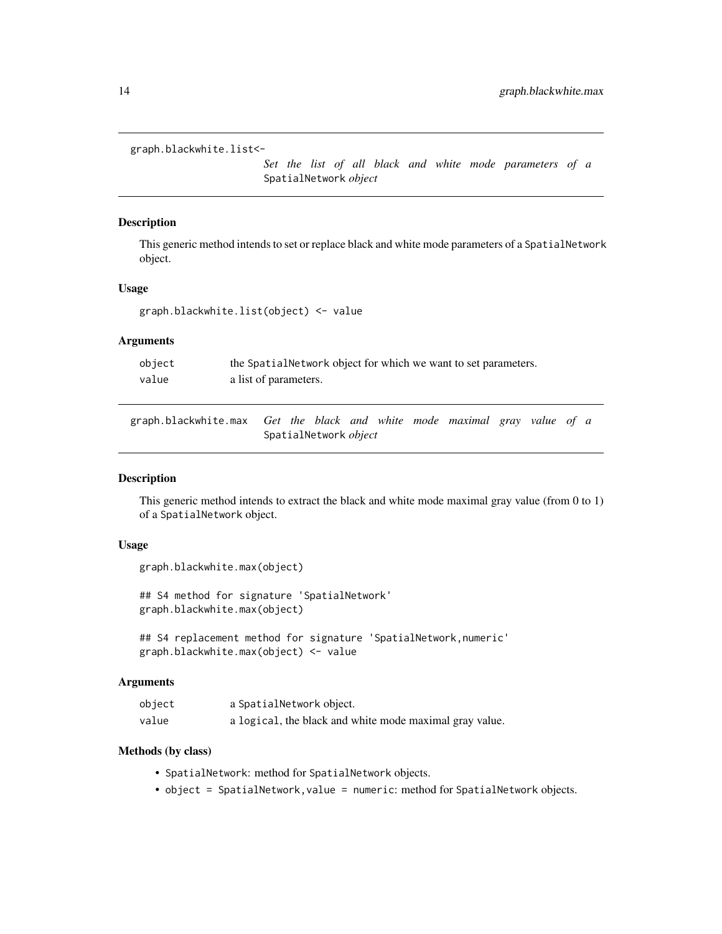```
graph.blackwhite.list<-
```
*Set the list of all black and white mode parameters of a* SpatialNetwork *object*

#### Description

This generic method intends to set or replace black and white mode parameters of a SpatialNetwork object.

#### Usage

graph.blackwhite.list(object) <- value

# Arguments

| object | the SpatialNetwork object for which we want to set parameters. |
|--------|----------------------------------------------------------------|
| value  | a list of parameters.                                          |

graph.blackwhite.max *Get the black and white mode maximal gray value of a* SpatialNetwork *object*

#### Description

This generic method intends to extract the black and white mode maximal gray value (from 0 to 1) of a SpatialNetwork object.

#### Usage

```
graph.blackwhite.max(object)
```
## S4 method for signature 'SpatialNetwork' graph.blackwhite.max(object)

## S4 replacement method for signature 'SpatialNetwork, numeric' graph.blackwhite.max(object) <- value

#### **Arguments**

| object | a SpatialNetwork object.                                |
|--------|---------------------------------------------------------|
| value  | a logical, the black and white mode maximal gray value. |

- SpatialNetwork: method for SpatialNetwork objects.
- object = SpatialNetwork,value = numeric: method for SpatialNetwork objects.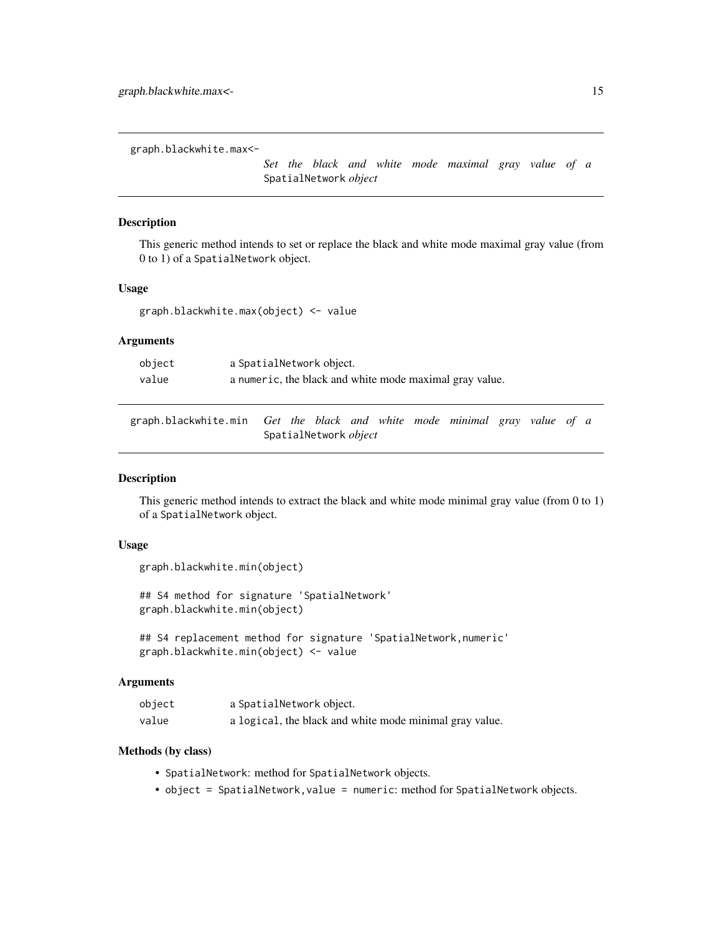<span id="page-14-0"></span>graph.blackwhite.max<-

*Set the black and white mode maximal gray value of a* SpatialNetwork *object*

#### Description

This generic method intends to set or replace the black and white mode maximal gray value (from 0 to 1) of a SpatialNetwork object.

#### Usage

graph.blackwhite.max(object) <- value

# Arguments

| object | a SpatialNetwork object.                                |
|--------|---------------------------------------------------------|
| value  | a numeric, the black and white mode maximal gray value. |

graph.blackwhite.min *Get the black and white mode minimal gray value of a* SpatialNetwork *object*

#### Description

This generic method intends to extract the black and white mode minimal gray value (from 0 to 1) of a SpatialNetwork object.

#### Usage

```
graph.blackwhite.min(object)
```
## S4 method for signature 'SpatialNetwork' graph.blackwhite.min(object)

## S4 replacement method for signature 'SpatialNetwork, numeric' graph.blackwhite.min(object) <- value

#### **Arguments**

| object | a SpatialNetwork object.                                |
|--------|---------------------------------------------------------|
| value  | a logical, the black and white mode minimal gray value. |

- SpatialNetwork: method for SpatialNetwork objects.
- object = SpatialNetwork,value = numeric: method for SpatialNetwork objects.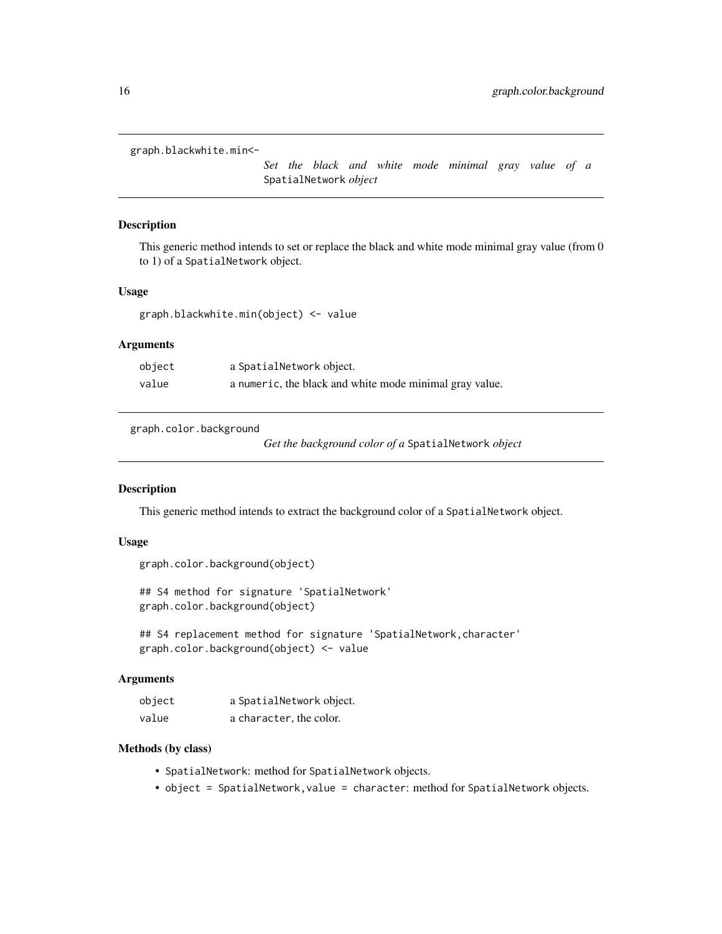```
graph.blackwhite.min<-
```
*Set the black and white mode minimal gray value of a* SpatialNetwork *object*

#### Description

This generic method intends to set or replace the black and white mode minimal gray value (from 0 to 1) of a SpatialNetwork object.

#### Usage

graph.blackwhite.min(object) <- value

# Arguments

| object | a SpatialNetwork object.                                |
|--------|---------------------------------------------------------|
| value  | a numeric, the black and white mode minimal gray value. |

graph.color.background

*Get the background color of a* SpatialNetwork *object*

#### Description

This generic method intends to extract the background color of a SpatialNetwork object.

#### Usage

```
graph.color.background(object)
```
## S4 method for signature 'SpatialNetwork' graph.color.background(object)

```
## S4 replacement method for signature 'SpatialNetwork, character'
graph.color.background(object) <- value
```
#### Arguments

| object | a SpatialNetwork object. |  |  |
|--------|--------------------------|--|--|
| value  | a character, the color.  |  |  |

- SpatialNetwork: method for SpatialNetwork objects.
- object = SpatialNetwork,value = character: method for SpatialNetwork objects.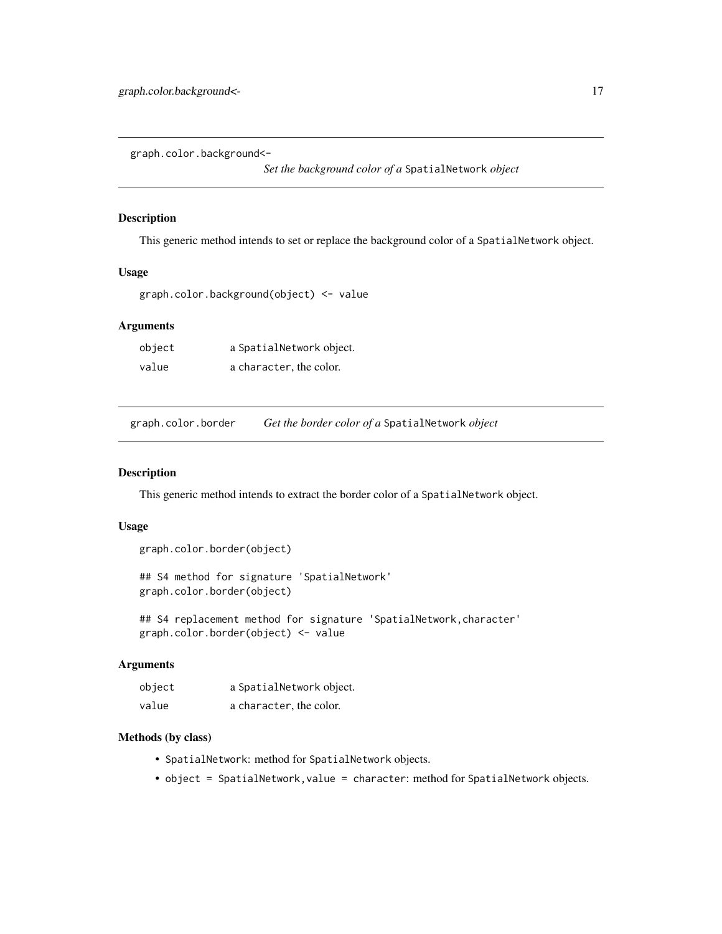<span id="page-16-0"></span>graph.color.background<-

*Set the background color of a* SpatialNetwork *object*

#### Description

This generic method intends to set or replace the background color of a SpatialNetwork object.

# Usage

graph.color.background(object) <- value

#### Arguments

| object | a SpatialNetwork object. |  |  |
|--------|--------------------------|--|--|
| value  | a character, the color.  |  |  |

graph.color.border *Get the border color of a* SpatialNetwork *object*

# Description

This generic method intends to extract the border color of a SpatialNetwork object.

# Usage

```
graph.color.border(object)
```
## S4 method for signature 'SpatialNetwork' graph.color.border(object)

## S4 replacement method for signature 'SpatialNetwork, character' graph.color.border(object) <- value

#### Arguments

| object | a SpatialNetwork object. |  |  |
|--------|--------------------------|--|--|
| value  | a character, the color.  |  |  |

- SpatialNetwork: method for SpatialNetwork objects.
- object = SpatialNetwork, value = character: method for SpatialNetwork objects.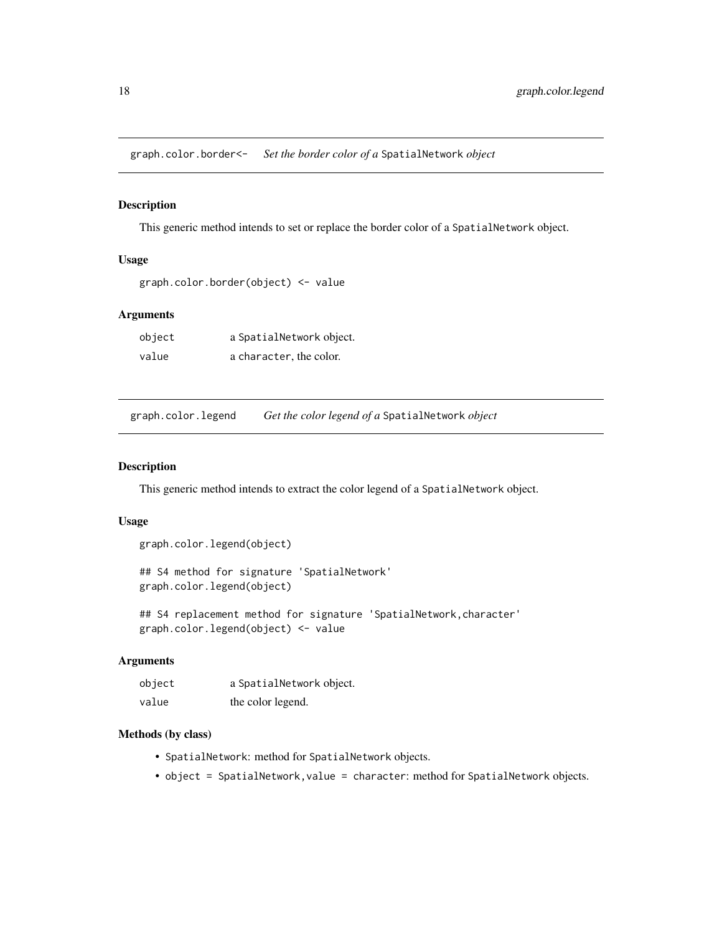<span id="page-17-0"></span>graph.color.border<- *Set the border color of a* SpatialNetwork *object*

#### Description

This generic method intends to set or replace the border color of a SpatialNetwork object.

# Usage

```
graph.color.border(object) <- value
```
#### Arguments

| object | a SpatialNetwork object. |  |  |
|--------|--------------------------|--|--|
| value  | a character, the color.  |  |  |

graph.color.legend *Get the color legend of a* SpatialNetwork *object*

#### Description

This generic method intends to extract the color legend of a SpatialNetwork object.

# Usage

```
graph.color.legend(object)
```

```
## S4 method for signature 'SpatialNetwork'
graph.color.legend(object)
```
## S4 replacement method for signature 'SpatialNetwork,character' graph.color.legend(object) <- value

# Arguments

| object | a SpatialNetwork object. |
|--------|--------------------------|
| value  | the color legend.        |

- SpatialNetwork: method for SpatialNetwork objects.
- object = SpatialNetwork, value = character: method for SpatialNetwork objects.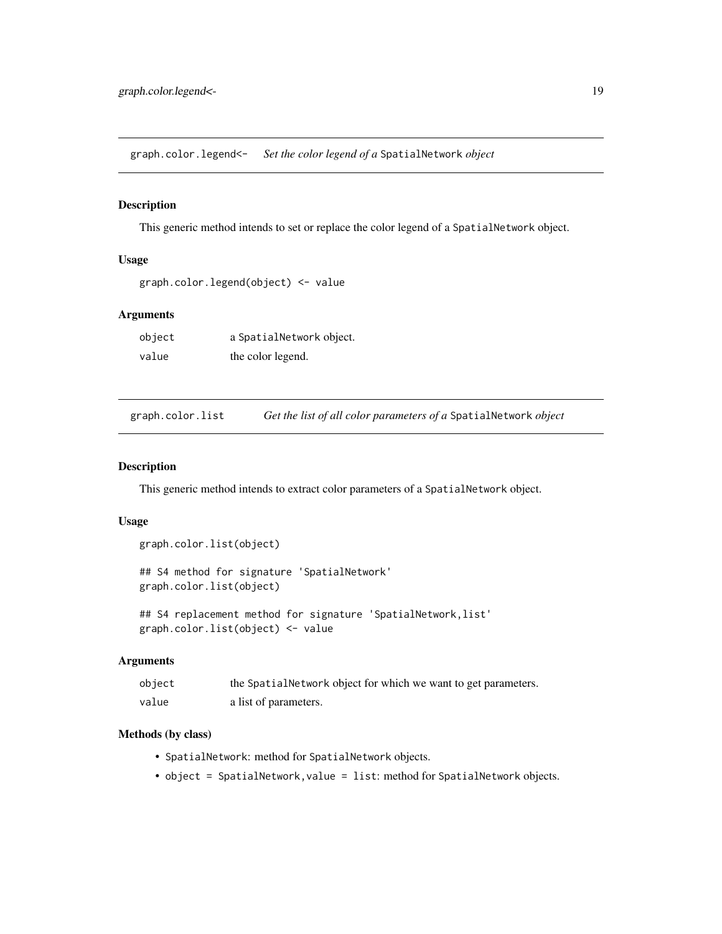<span id="page-18-0"></span>graph.color.legend<- *Set the color legend of a* SpatialNetwork *object*

#### Description

This generic method intends to set or replace the color legend of a SpatialNetwork object.

# Usage

```
graph.color.legend(object) <- value
```
#### Arguments

| object | a SpatialNetwork object. |
|--------|--------------------------|
| value  | the color legend.        |

graph.color.list *Get the list of all color parameters of a* SpatialNetwork *object*

#### Description

This generic method intends to extract color parameters of a SpatialNetwork object.

#### Usage

```
graph.color.list(object)
```
## S4 method for signature 'SpatialNetwork' graph.color.list(object)

## S4 replacement method for signature 'SpatialNetwork,list' graph.color.list(object) <- value

# Arguments

| object | the Spatial Network object for which we want to get parameters. |
|--------|-----------------------------------------------------------------|
| value  | a list of parameters.                                           |

- SpatialNetwork: method for SpatialNetwork objects.
- object = SpatialNetwork, value = list: method for SpatialNetwork objects.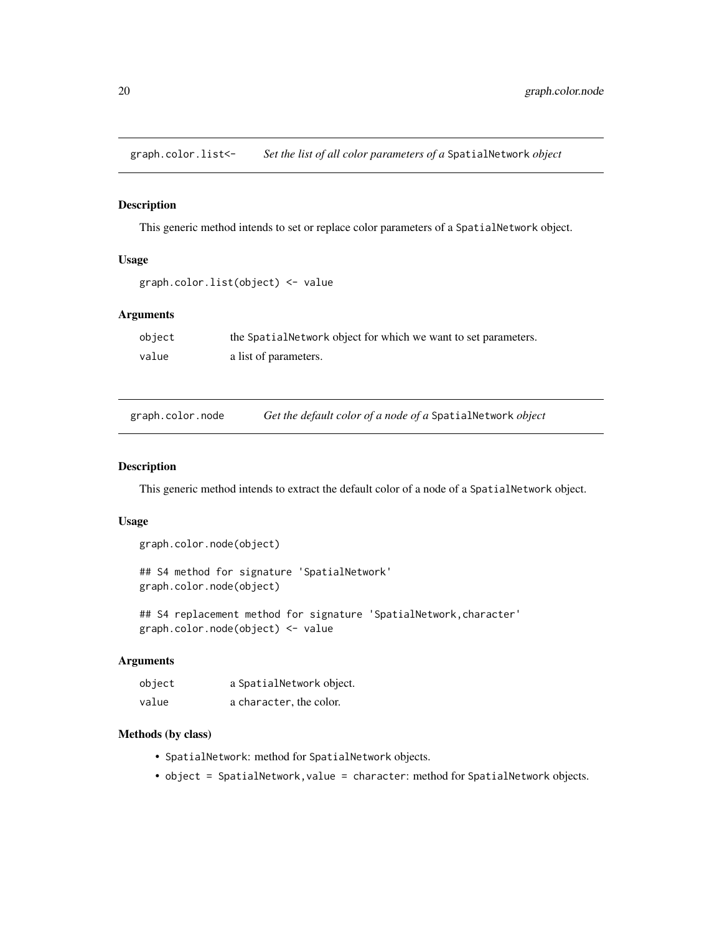<span id="page-19-0"></span>graph.color.list<- *Set the list of all color parameters of a* SpatialNetwork *object*

#### Description

This generic method intends to set or replace color parameters of a SpatialNetwork object.

# Usage

```
graph.color.list(object) <- value
```
# Arguments

| object | the Spatial Network object for which we want to set parameters. |
|--------|-----------------------------------------------------------------|
| value  | a list of parameters.                                           |

| graph.color.node |  | Get the default color of a node of a SpatialNetwork object |  |
|------------------|--|------------------------------------------------------------|--|
|                  |  |                                                            |  |

#### Description

This generic method intends to extract the default color of a node of a SpatialNetwork object.

# Usage

```
graph.color.node(object)
```
## S4 method for signature 'SpatialNetwork' graph.color.node(object)

## S4 replacement method for signature 'SpatialNetwork,character' graph.color.node(object) <- value

# Arguments

| object | a SpatialNetwork object. |
|--------|--------------------------|
| value  | a character, the color.  |

- SpatialNetwork: method for SpatialNetwork objects.
- object = SpatialNetwork, value = character: method for SpatialNetwork objects.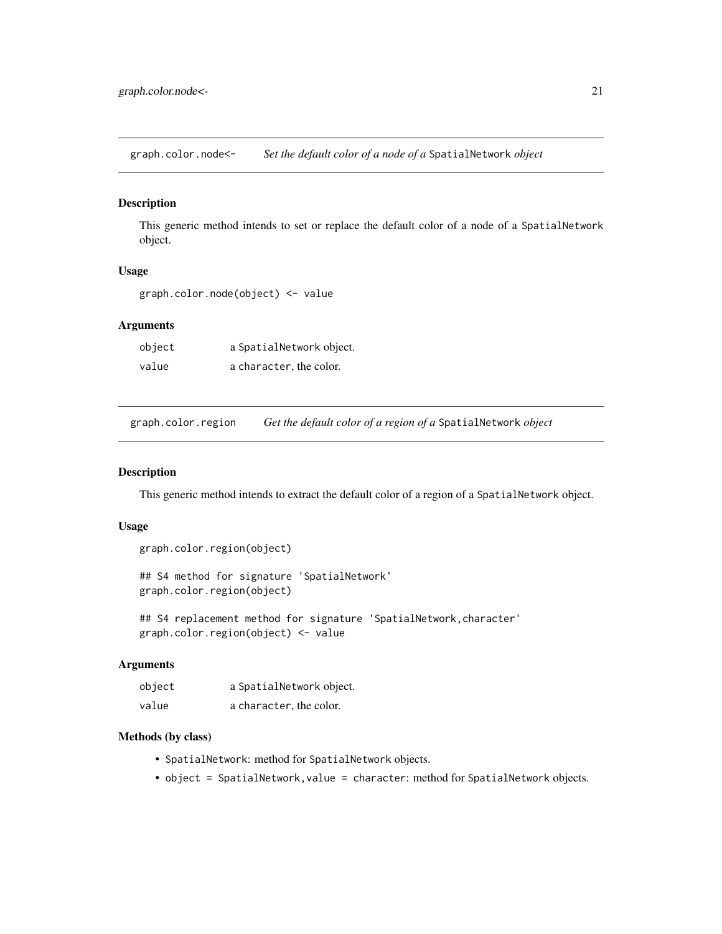<span id="page-20-0"></span>graph.color.node<- *Set the default color of a node of a* SpatialNetwork *object*

# Description

This generic method intends to set or replace the default color of a node of a SpatialNetwork object.

# Usage

graph.color.node(object) <- value

# Arguments

| object | a SpatialNetwork object. |
|--------|--------------------------|
| value  | a character, the color.  |

graph.color.region *Get the default color of a region of a* SpatialNetwork *object*

#### Description

This generic method intends to extract the default color of a region of a SpatialNetwork object.

#### Usage

```
graph.color.region(object)
```
## S4 method for signature 'SpatialNetwork' graph.color.region(object)

## S4 replacement method for signature 'SpatialNetwork, character' graph.color.region(object) <- value

#### Arguments

| object | a SpatialNetwork object. |
|--------|--------------------------|
| value  | a character, the color.  |

- SpatialNetwork: method for SpatialNetwork objects.
- object = SpatialNetwork, value = character: method for SpatialNetwork objects.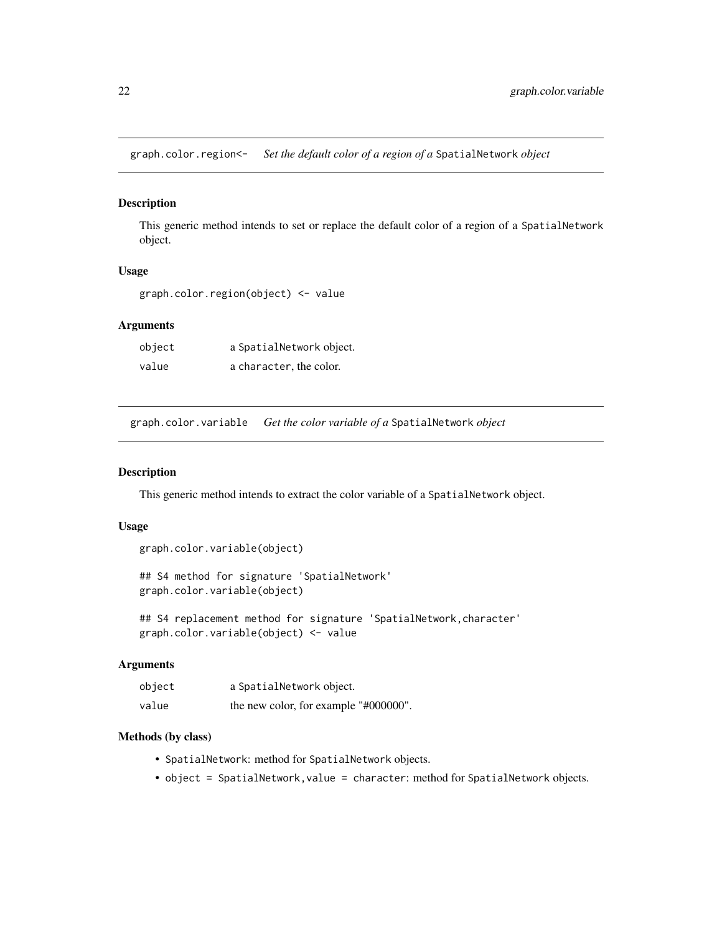<span id="page-21-0"></span>graph.color.region<- *Set the default color of a region of a* SpatialNetwork *object*

# Description

This generic method intends to set or replace the default color of a region of a SpatialNetwork object.

# Usage

graph.color.region(object) <- value

# Arguments

| object | a SpatialNetwork object. |
|--------|--------------------------|
| value  | a character, the color.  |

graph.color.variable *Get the color variable of a* SpatialNetwork *object*

#### Description

This generic method intends to extract the color variable of a SpatialNetwork object.

# Usage

```
graph.color.variable(object)
```
## S4 method for signature 'SpatialNetwork' graph.color.variable(object)

## S4 replacement method for signature 'SpatialNetwork, character' graph.color.variable(object) <- value

#### Arguments

| object | a SpatialNetwork object.              |
|--------|---------------------------------------|
| value  | the new color, for example "#000000". |

- SpatialNetwork: method for SpatialNetwork objects.
- object = SpatialNetwork, value = character: method for SpatialNetwork objects.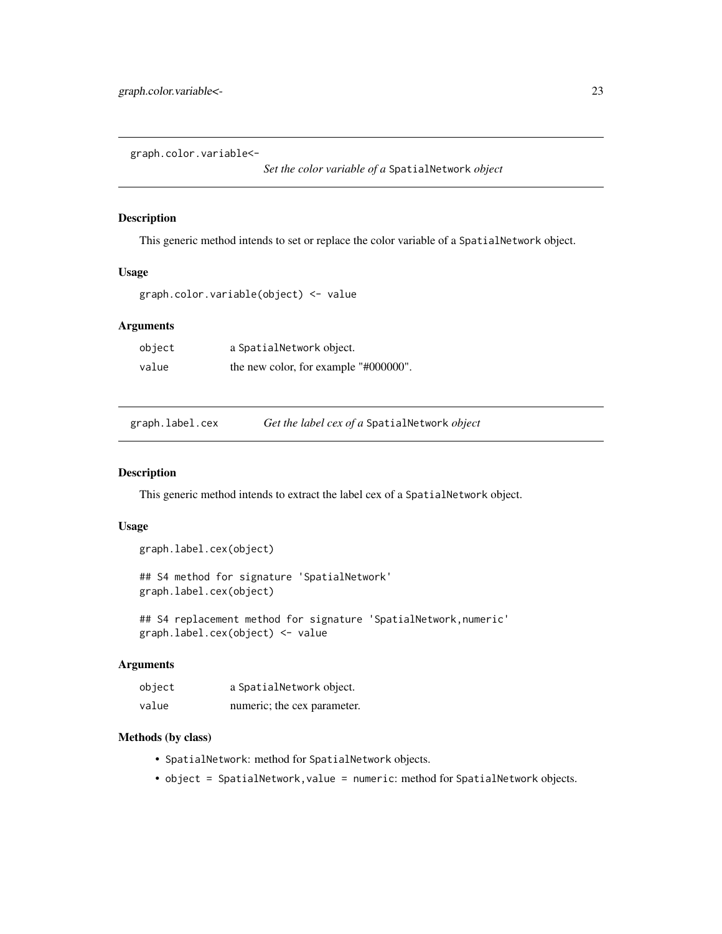<span id="page-22-0"></span>graph.color.variable<-

*Set the color variable of a* SpatialNetwork *object*

#### Description

This generic method intends to set or replace the color variable of a SpatialNetwork object.

# Usage

graph.color.variable(object) <- value

#### Arguments

| object | a SpatialNetwork object.              |
|--------|---------------------------------------|
| value  | the new color, for example "#000000". |

graph.label.cex *Get the label cex of a* SpatialNetwork *object*

# Description

This generic method intends to extract the label cex of a SpatialNetwork object.

#### Usage

```
graph.label.cex(object)
```
## S4 method for signature 'SpatialNetwork' graph.label.cex(object)

## S4 replacement method for signature 'SpatialNetwork, numeric' graph.label.cex(object) <- value

#### Arguments

| object | a SpatialNetwork object.    |
|--------|-----------------------------|
| value  | numeric; the cex parameter. |

- SpatialNetwork: method for SpatialNetwork objects.
- object = SpatialNetwork, value = numeric: method for SpatialNetwork objects.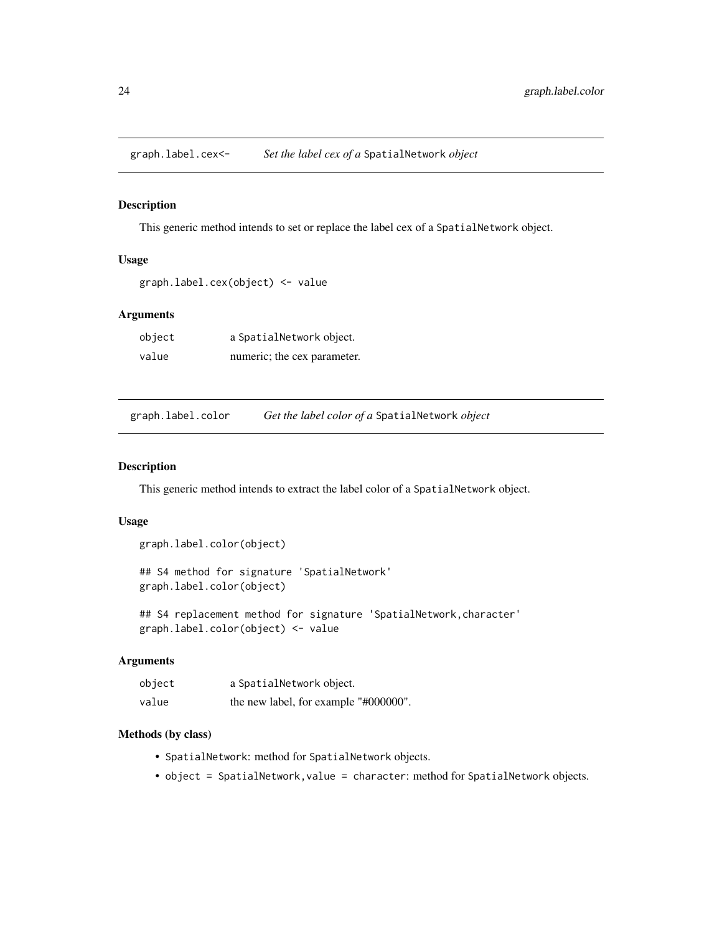<span id="page-23-0"></span>graph.label.cex<- *Set the label cex of a* SpatialNetwork *object*

#### Description

This generic method intends to set or replace the label cex of a SpatialNetwork object.

# Usage

```
graph.label.cex(object) <- value
```
#### Arguments

| object | a SpatialNetwork object.    |
|--------|-----------------------------|
| value  | numeric; the cex parameter. |

graph.label.color *Get the label color of a* SpatialNetwork *object*

#### Description

This generic method intends to extract the label color of a SpatialNetwork object.

#### Usage

```
graph.label.color(object)
```
## S4 method for signature 'SpatialNetwork' graph.label.color(object)

## S4 replacement method for signature 'SpatialNetwork,character' graph.label.color(object) <- value

# Arguments

| object | a SpatialNetwork object.              |
|--------|---------------------------------------|
| value  | the new label, for example "#000000". |

- SpatialNetwork: method for SpatialNetwork objects.
- object = SpatialNetwork, value = character: method for SpatialNetwork objects.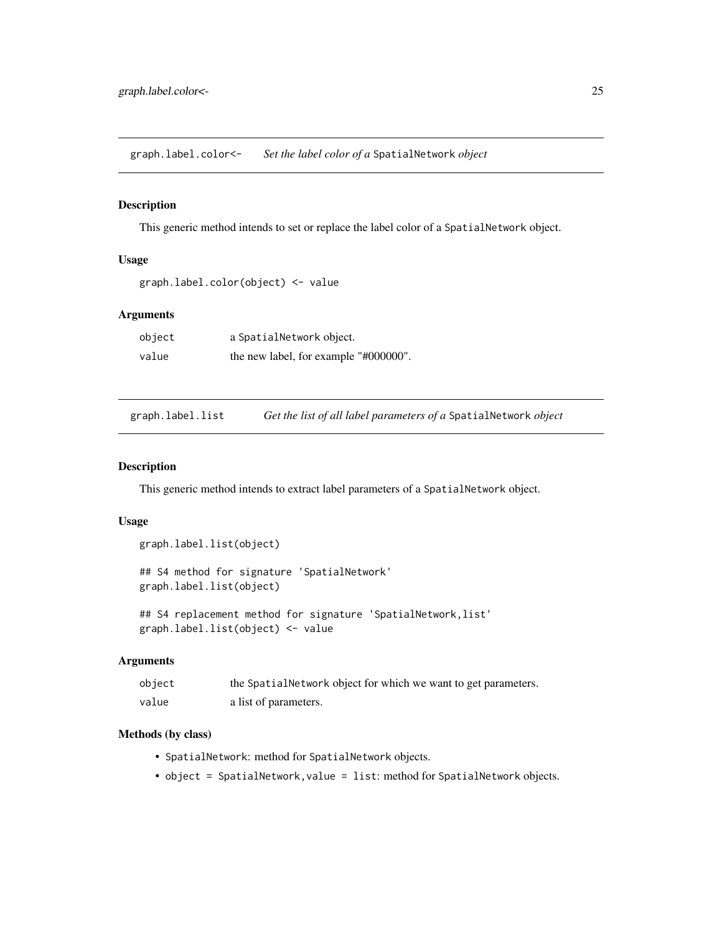<span id="page-24-0"></span>graph.label.color<- *Set the label color of a* SpatialNetwork *object*

#### Description

This generic method intends to set or replace the label color of a SpatialNetwork object.

# Usage

```
graph.label.color(object) <- value
```
#### Arguments

| object | a SpatialNetwork object.              |
|--------|---------------------------------------|
| value  | the new label, for example "#000000". |

graph.label.list *Get the list of all label parameters of a* SpatialNetwork *object*

# Description

This generic method intends to extract label parameters of a SpatialNetwork object.

#### Usage

```
graph.label.list(object)
```
## S4 method for signature 'SpatialNetwork' graph.label.list(object)

## S4 replacement method for signature 'SpatialNetwork,list' graph.label.list(object) <- value

# Arguments

| object | the Spatial Network object for which we want to get parameters. |
|--------|-----------------------------------------------------------------|
| value  | a list of parameters.                                           |

- SpatialNetwork: method for SpatialNetwork objects.
- object = SpatialNetwork, value = list: method for SpatialNetwork objects.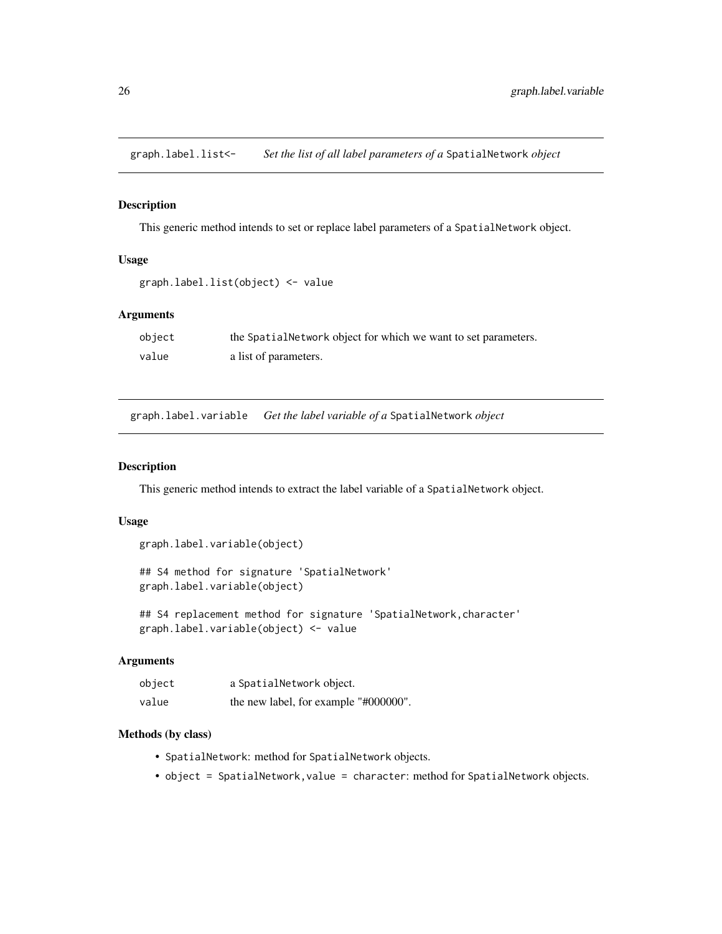<span id="page-25-0"></span>graph.label.list<- *Set the list of all label parameters of a* SpatialNetwork *object*

#### Description

This generic method intends to set or replace label parameters of a SpatialNetwork object.

# Usage

```
graph.label.list(object) <- value
```
#### Arguments

| object | the Spatial Network object for which we want to set parameters. |
|--------|-----------------------------------------------------------------|
| value  | a list of parameters.                                           |

graph.label.variable *Get the label variable of a* SpatialNetwork *object*

# Description

This generic method intends to extract the label variable of a SpatialNetwork object.

# Usage

```
graph.label.variable(object)
```
## S4 method for signature 'SpatialNetwork' graph.label.variable(object)

## S4 replacement method for signature 'SpatialNetwork,character' graph.label.variable(object) <- value

# Arguments

| object | a SpatialNetwork object.              |
|--------|---------------------------------------|
| value  | the new label, for example "#000000". |

- SpatialNetwork: method for SpatialNetwork objects.
- object = SpatialNetwork, value = character: method for SpatialNetwork objects.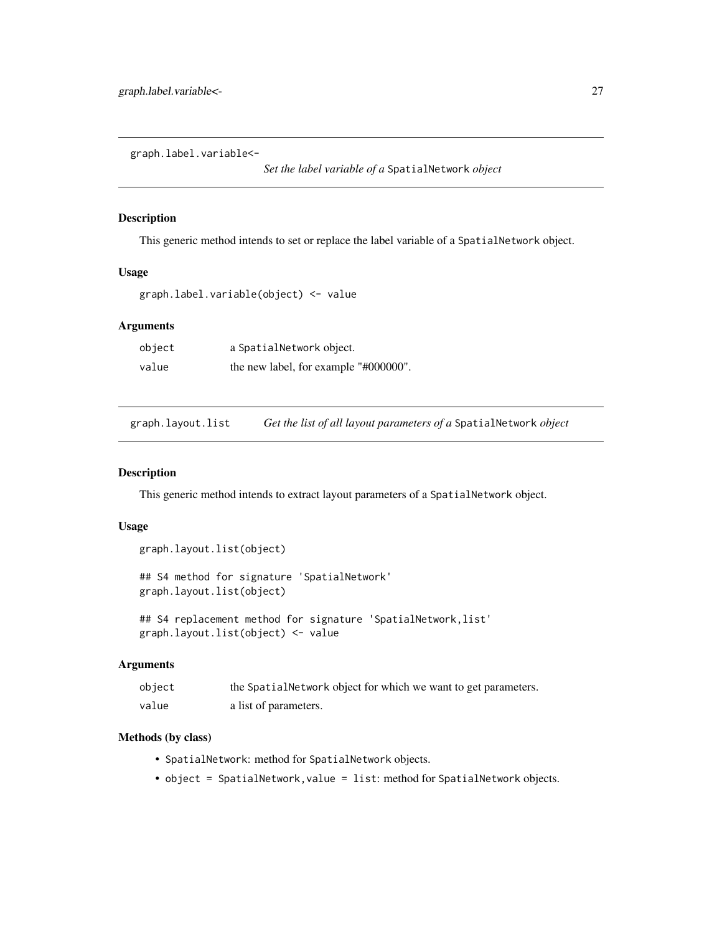<span id="page-26-0"></span>graph.label.variable<-

*Set the label variable of a* SpatialNetwork *object*

#### Description

This generic method intends to set or replace the label variable of a SpatialNetwork object.

# Usage

graph.label.variable(object) <- value

#### Arguments

| object | a SpatialNetwork object.              |
|--------|---------------------------------------|
| value  | the new label, for example "#000000". |

graph.layout.list *Get the list of all layout parameters of a* SpatialNetwork *object*

# Description

This generic method intends to extract layout parameters of a SpatialNetwork object.

#### Usage

```
graph.layout.list(object)
```
## S4 method for signature 'SpatialNetwork' graph.layout.list(object)

## S4 replacement method for signature 'SpatialNetwork, list' graph.layout.list(object) <- value

#### Arguments

| object | the Spatial Network object for which we want to get parameters. |
|--------|-----------------------------------------------------------------|
| value  | a list of parameters.                                           |

- SpatialNetwork: method for SpatialNetwork objects.
- object = SpatialNetwork,value = list: method for SpatialNetwork objects.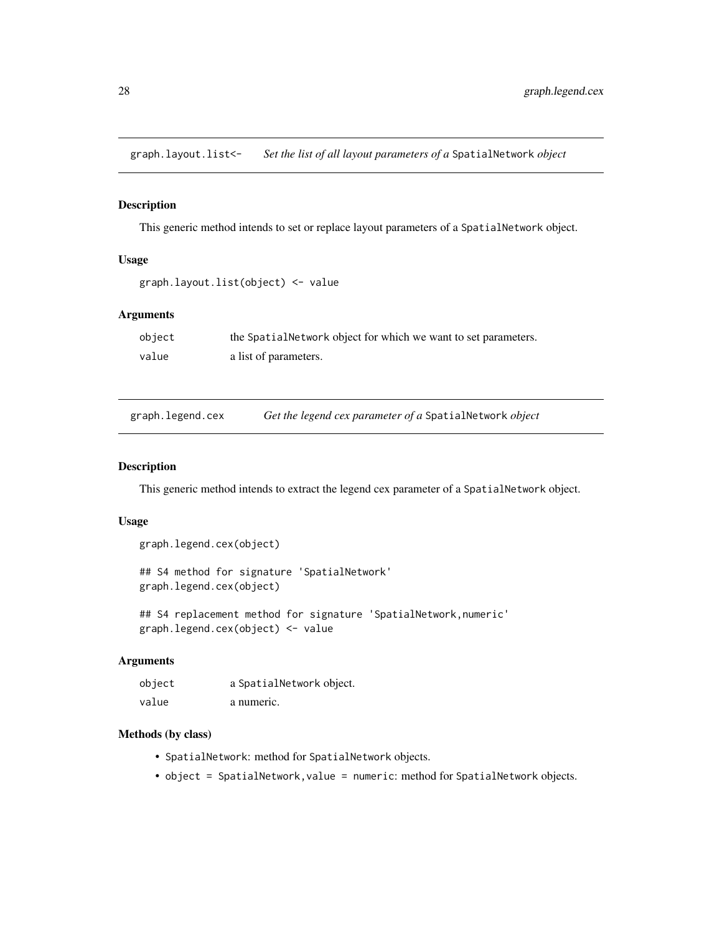<span id="page-27-0"></span>graph.layout.list<- *Set the list of all layout parameters of a* SpatialNetwork *object*

#### Description

This generic method intends to set or replace layout parameters of a SpatialNetwork object.

# Usage

```
graph.layout.list(object) <- value
```
#### Arguments

| object | the Spatial Network object for which we want to set parameters. |
|--------|-----------------------------------------------------------------|
| value  | a list of parameters.                                           |

| graph.legend.cex | Get the legend cex parameter of a SpatialNetwork object |  |
|------------------|---------------------------------------------------------|--|
|                  |                                                         |  |

#### Description

This generic method intends to extract the legend cex parameter of a SpatialNetwork object.

# Usage

```
graph.legend.cex(object)
```
## S4 method for signature 'SpatialNetwork' graph.legend.cex(object)

## S4 replacement method for signature 'SpatialNetwork,numeric' graph.legend.cex(object) <- value

# Arguments

| object | a SpatialNetwork object. |
|--------|--------------------------|
| value  | a numeric.               |

- SpatialNetwork: method for SpatialNetwork objects.
- object = SpatialNetwork, value = numeric: method for SpatialNetwork objects.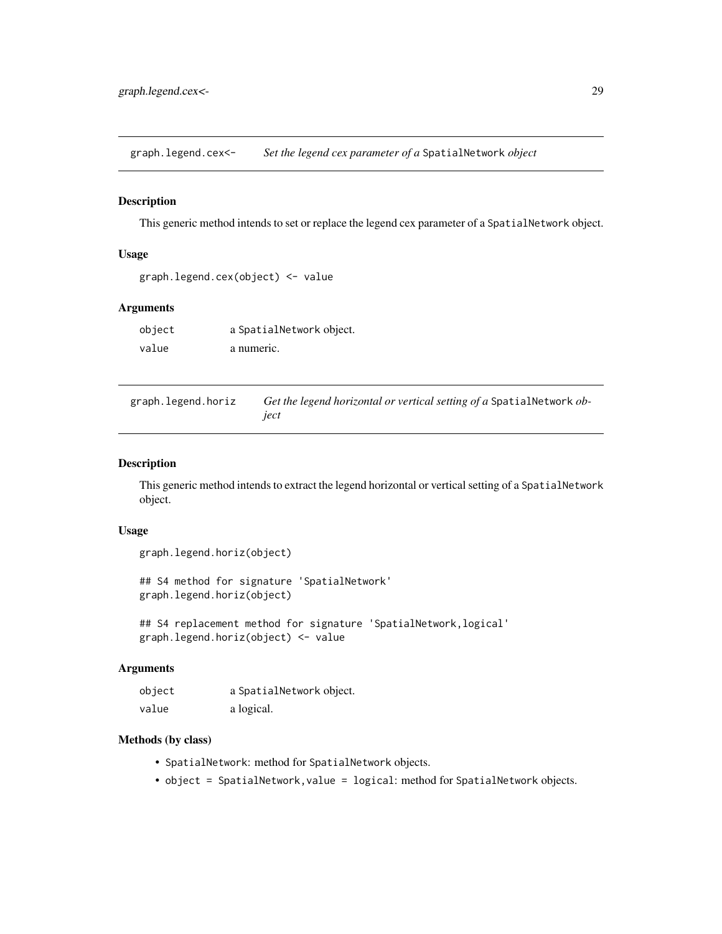<span id="page-28-0"></span>graph.legend.cex<- *Set the legend cex parameter of a* SpatialNetwork *object*

#### Description

This generic method intends to set or replace the legend cex parameter of a SpatialNetwork object.

#### Usage

```
graph.legend.cex(object) <- value
```
#### Arguments

| object | a SpatialNetwork object. |
|--------|--------------------------|
| value  | a numeric.               |

graph.legend.horiz *Get the legend horizontal or vertical setting of a* SpatialNetwork *object*

#### Description

This generic method intends to extract the legend horizontal or vertical setting of a SpatialNetwork object.

#### Usage

```
graph.legend.horiz(object)
```
## S4 method for signature 'SpatialNetwork' graph.legend.horiz(object)

## S4 replacement method for signature 'SpatialNetwork, logical' graph.legend.horiz(object) <- value

# Arguments

| object | a SpatialNetwork object. |
|--------|--------------------------|
| value  | a logical.               |

- SpatialNetwork: method for SpatialNetwork objects.
- object = SpatialNetwork,value = logical: method for SpatialNetwork objects.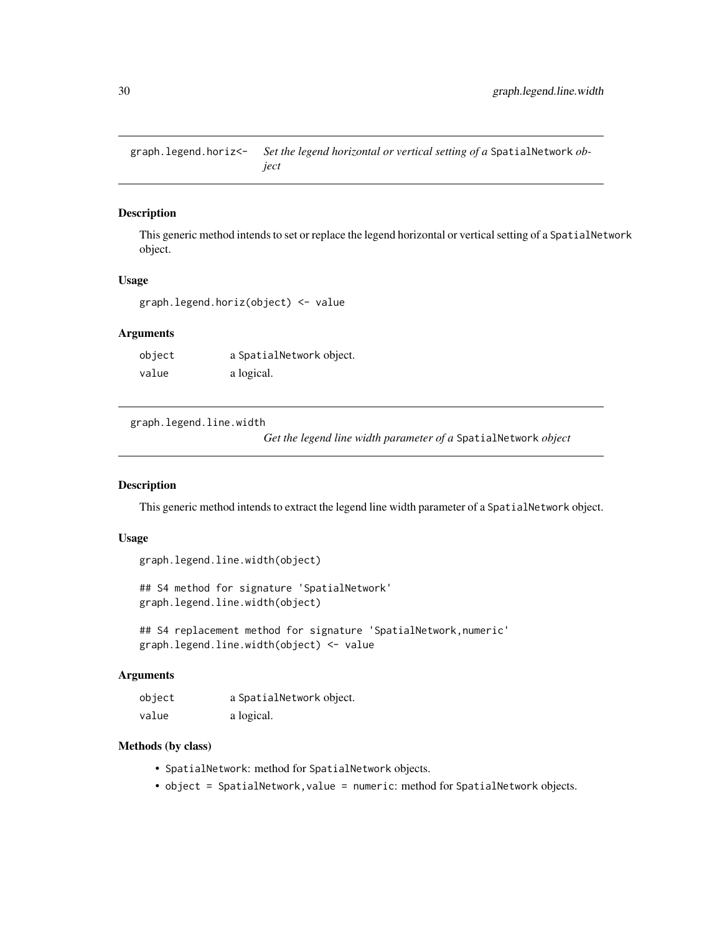<span id="page-29-0"></span>graph.legend.horiz<- *Set the legend horizontal or vertical setting of a* SpatialNetwork *object*

# Description

This generic method intends to set or replace the legend horizontal or vertical setting of a SpatialNetwork object.

#### Usage

graph.legend.horiz(object) <- value

#### Arguments

| object | a SpatialNetwork object. |
|--------|--------------------------|
| value  | a logical.               |

graph.legend.line.width

*Get the legend line width parameter of a* SpatialNetwork *object*

# Description

This generic method intends to extract the legend line width parameter of a SpatialNetwork object.

#### Usage

```
graph.legend.line.width(object)
```
## S4 method for signature 'SpatialNetwork' graph.legend.line.width(object)

```
## S4 replacement method for signature 'SpatialNetwork,numeric'
graph.legend.line.width(object) <- value
```
#### Arguments

| object | a SpatialNetwork object. |
|--------|--------------------------|
| value  | a logical.               |

- SpatialNetwork: method for SpatialNetwork objects.
- object = SpatialNetwork, value = numeric: method for SpatialNetwork objects.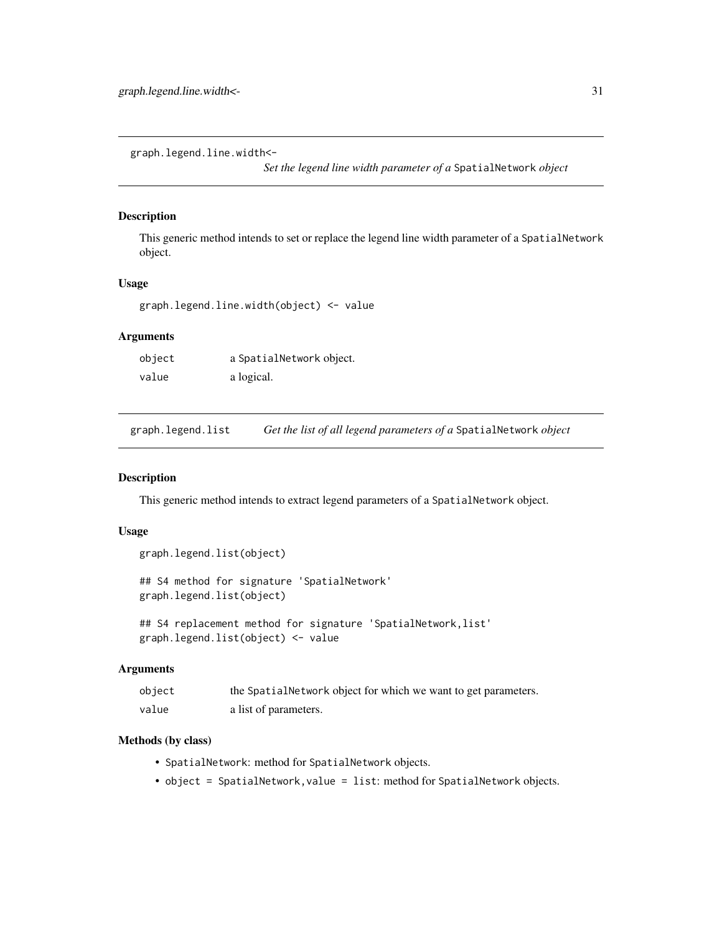<span id="page-30-0"></span>graph.legend.line.width<-

*Set the legend line width parameter of a* SpatialNetwork *object*

# Description

This generic method intends to set or replace the legend line width parameter of a SpatialNetwork object.

#### Usage

```
graph.legend.line.width(object) <- value
```
# Arguments

| object | a SpatialNetwork object. |
|--------|--------------------------|
| value  | a logical.               |

graph.legend.list *Get the list of all legend parameters of a* SpatialNetwork *object*

#### Description

This generic method intends to extract legend parameters of a SpatialNetwork object.

# Usage

```
graph.legend.list(object)
## S4 method for signature 'SpatialNetwork'
```
graph.legend.list(object)

```
## S4 replacement method for signature 'SpatialNetwork, list'
graph.legend.list(object) <- value
```
# Arguments

| object | the Spatial Network object for which we want to get parameters. |
|--------|-----------------------------------------------------------------|
| value  | a list of parameters.                                           |

- SpatialNetwork: method for SpatialNetwork objects.
- object = SpatialNetwork,value = list: method for SpatialNetwork objects.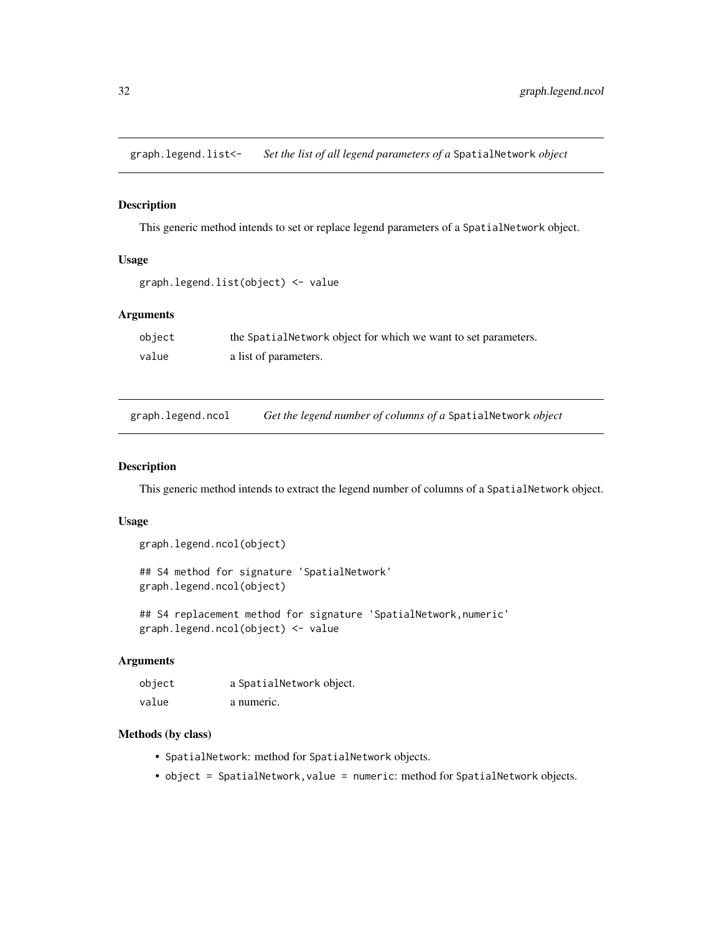<span id="page-31-0"></span>graph.legend.list<- *Set the list of all legend parameters of a* SpatialNetwork *object*

#### Description

This generic method intends to set or replace legend parameters of a SpatialNetwork object.

# Usage

```
graph.legend.list(object) <- value
```
#### Arguments

| object | the Spatial Network object for which we want to set parameters. |
|--------|-----------------------------------------------------------------|
| value  | a list of parameters.                                           |

graph.legend.ncol *Get the legend number of columns of a* SpatialNetwork *object*

#### Description

This generic method intends to extract the legend number of columns of a SpatialNetwork object.

#### Usage

```
graph.legend.ncol(object)
```
## S4 method for signature 'SpatialNetwork' graph.legend.ncol(object)

## S4 replacement method for signature 'SpatialNetwork,numeric' graph.legend.ncol(object) <- value

# Arguments

| object | a SpatialNetwork object. |
|--------|--------------------------|
| value  | a numeric.               |

- SpatialNetwork: method for SpatialNetwork objects.
- object = SpatialNetwork, value = numeric: method for SpatialNetwork objects.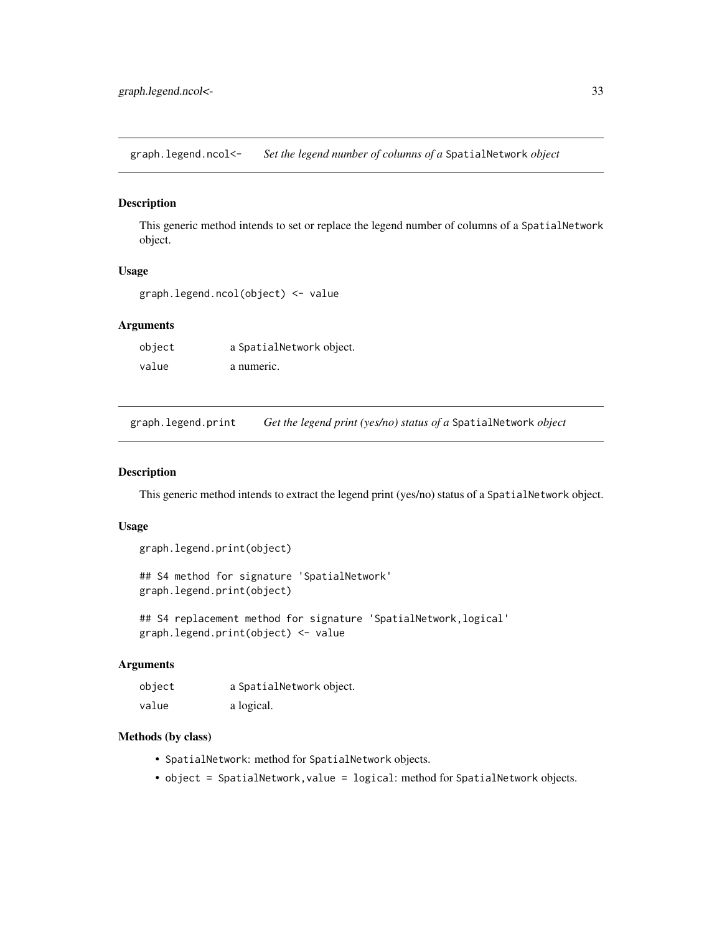<span id="page-32-0"></span>graph.legend.ncol<- *Set the legend number of columns of a* SpatialNetwork *object*

# Description

This generic method intends to set or replace the legend number of columns of a SpatialNetwork object.

# Usage

graph.legend.ncol(object) <- value

# Arguments

object a SpatialNetwork object. value a numeric.

graph.legend.print *Get the legend print (yes/no) status of a* SpatialNetwork *object*

#### Description

This generic method intends to extract the legend print (yes/no) status of a SpatialNetwork object.

#### Usage

```
graph.legend.print(object)
```
## S4 method for signature 'SpatialNetwork' graph.legend.print(object)

## S4 replacement method for signature 'SpatialNetwork, logical' graph.legend.print(object) <- value

#### Arguments

| object | a SpatialNetwork object. |
|--------|--------------------------|
| value  | a logical.               |

- SpatialNetwork: method for SpatialNetwork objects.
- object = SpatialNetwork, value = logical: method for SpatialNetwork objects.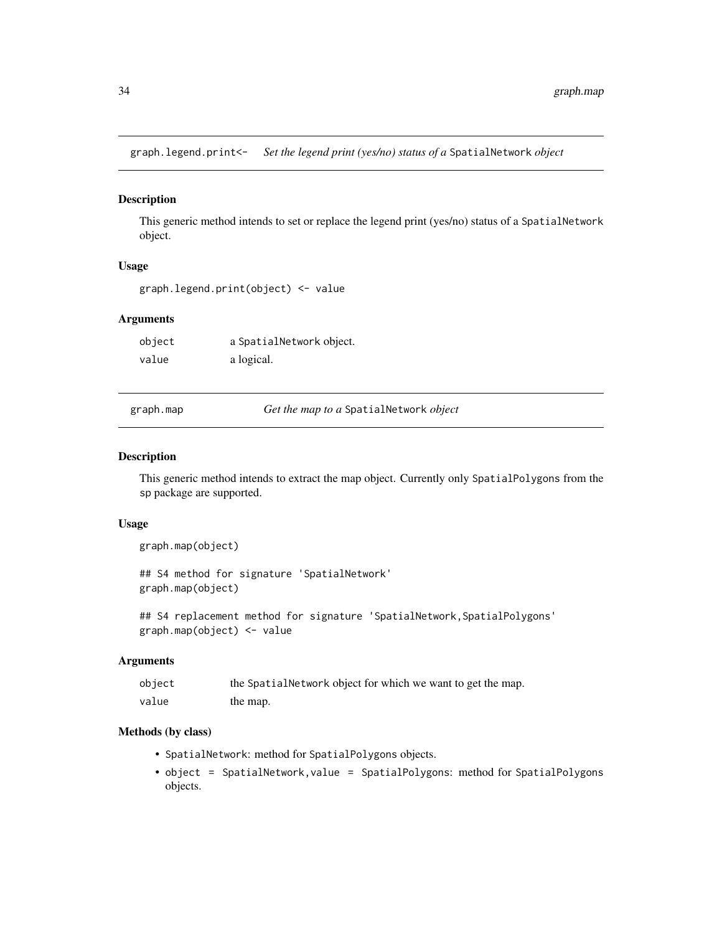<span id="page-33-0"></span>graph.legend.print<- *Set the legend print (yes/no) status of a* SpatialNetwork *object*

#### Description

This generic method intends to set or replace the legend print (yes/no) status of a SpatialNetwork object.

# Usage

```
graph.legend.print(object) <- value
```
# Arguments

| object | a SpatialNetwork object. |
|--------|--------------------------|
| value  | a logical.               |

graph.map *Get the map to a* SpatialNetwork *object*

#### Description

This generic method intends to extract the map object. Currently only SpatialPolygons from the sp package are supported.

#### Usage

```
graph.map(object)
```
## S4 method for signature 'SpatialNetwork' graph.map(object)

## S4 replacement method for signature 'SpatialNetwork, SpatialPolygons' graph.map(object) <- value

# Arguments

| object | the SpatialNetwork object for which we want to get the map. |
|--------|-------------------------------------------------------------|
| value  | the map.                                                    |

- SpatialNetwork: method for SpatialPolygons objects.
- object = SpatialNetwork,value = SpatialPolygons: method for SpatialPolygons objects.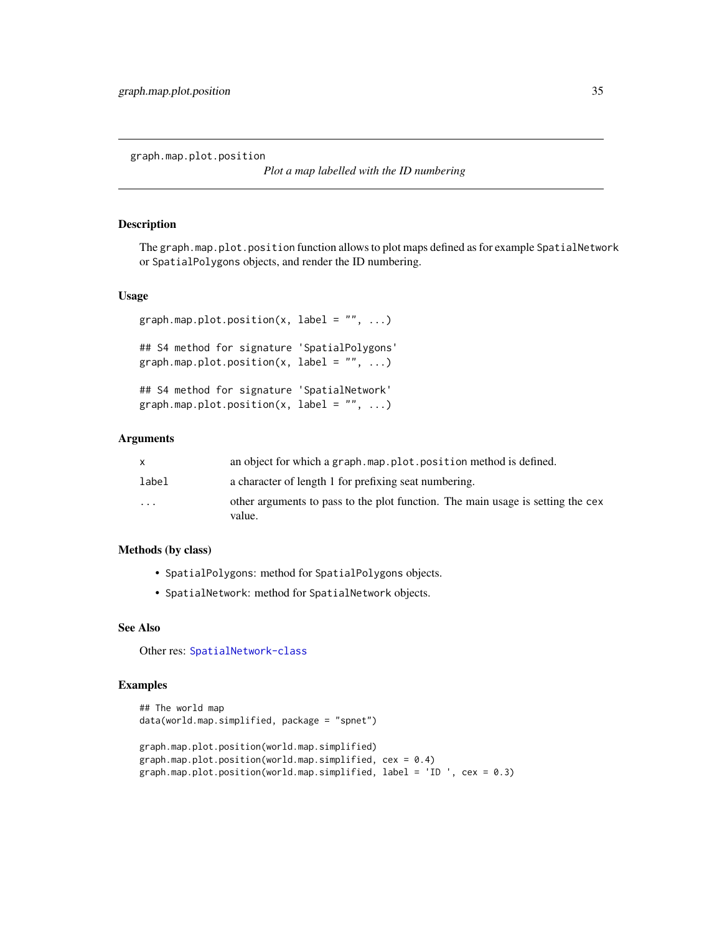<span id="page-34-0"></span>graph.map.plot.position

*Plot a map labelled with the ID numbering*

#### Description

The graph.map.plot.position function allows to plot maps defined as for example SpatialNetwork or SpatialPolygons objects, and render the ID numbering.

#### Usage

```
graph.map.plot.position(x, label = ", ...)
```

```
## S4 method for signature 'SpatialPolygons'
graph.map.plot.position(x, label = ", ...)
```

```
## S4 method for signature 'SpatialNetwork'
graph.map.plot.position(x, label = ", ...)
```
#### Arguments

| X                       | an object for which a graph, map, plot, position method is defined.                       |
|-------------------------|-------------------------------------------------------------------------------------------|
| label                   | a character of length 1 for prefixing seat numbering.                                     |
| $\cdot$ $\cdot$ $\cdot$ | other arguments to pass to the plot function. The main usage is setting the cex<br>value. |

#### Methods (by class)

- SpatialPolygons: method for SpatialPolygons objects.
- SpatialNetwork: method for SpatialNetwork objects.

#### See Also

Other res: [SpatialNetwork-class](#page-63-1)

#### Examples

```
## The world map
data(world.map.simplified, package = "spnet")
graph.map.plot.position(world.map.simplified)
graph.map.plot.position(world.map.simplified, cex = 0.4)
graph.map.plot.position(world.map.simplified, label = 'ID ', cex = 0.3)
```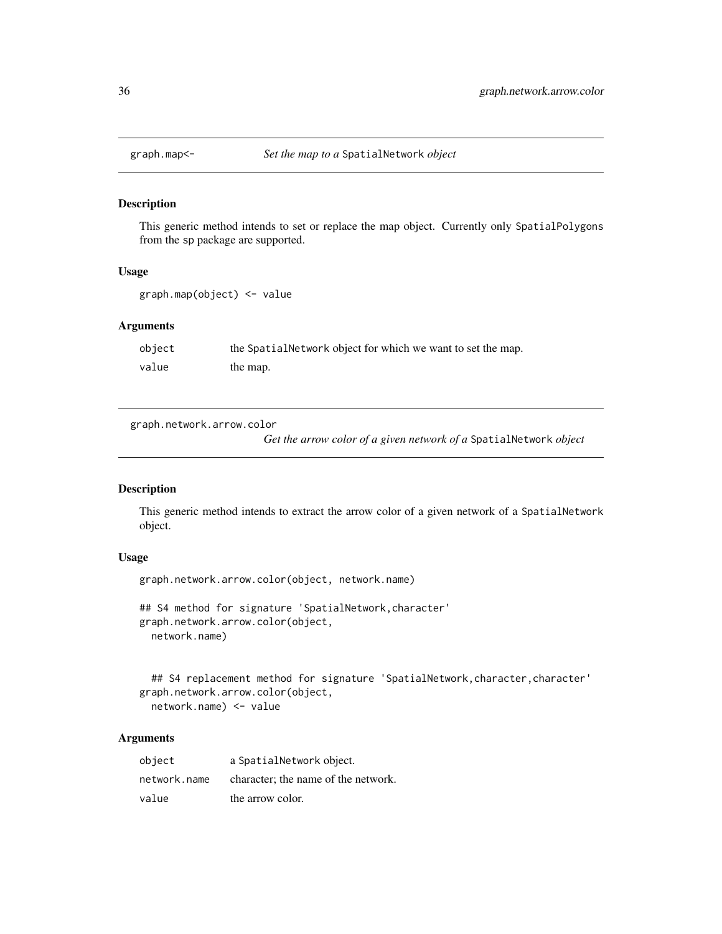<span id="page-35-0"></span>

#### Description

This generic method intends to set or replace the map object. Currently only SpatialPolygons from the sp package are supported.

# Usage

graph.map(object) <- value

#### Arguments

| object | the SpatialNetwork object for which we want to set the map. |
|--------|-------------------------------------------------------------|
| value  | the map.                                                    |

graph.network.arrow.color

*Get the arrow color of a given network of a* SpatialNetwork *object*

#### Description

This generic method intends to extract the arrow color of a given network of a SpatialNetwork object.

# Usage

```
graph.network.arrow.color(object, network.name)
```

```
## S4 method for signature 'SpatialNetwork, character'
graph.network.arrow.color(object,
  network.name)
```

```
## S4 replacement method for signature 'SpatialNetwork, character, character'
graph.network.arrow.color(object,
  network.name) <- value
```

| object       | a SpatialNetwork object.            |
|--------------|-------------------------------------|
| network.name | character; the name of the network. |
| value        | the arrow color.                    |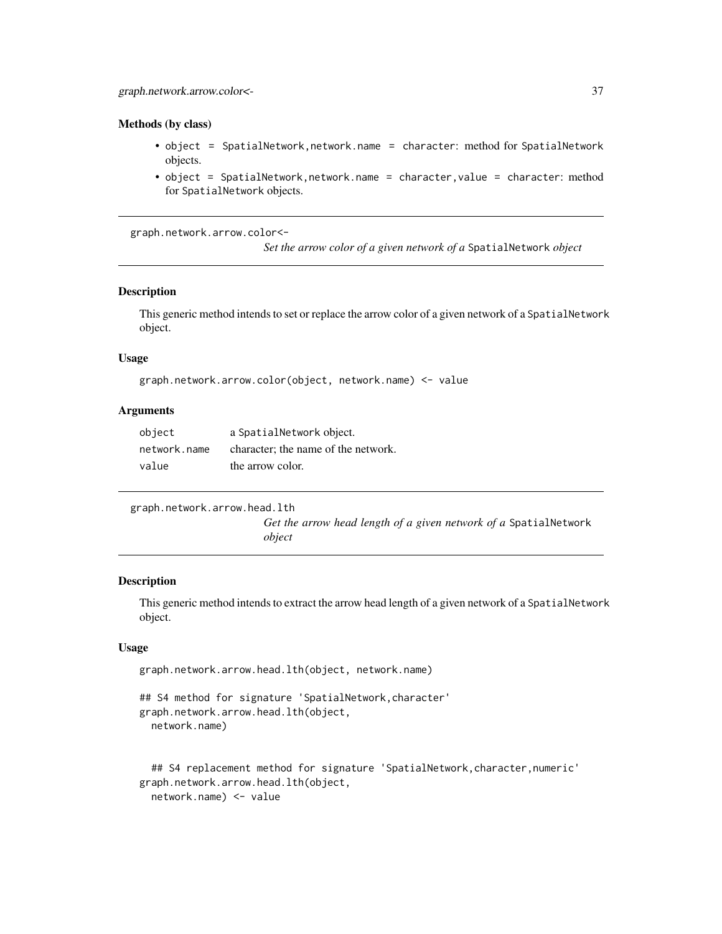#### <span id="page-36-0"></span>Methods (by class)

- object = SpatialNetwork,network.name = character: method for SpatialNetwork objects.
- object = SpatialNetwork, network.name = character, value = character: method for SpatialNetwork objects.

graph.network.arrow.color<-

*Set the arrow color of a given network of a* SpatialNetwork *object*

## **Description**

This generic method intends to set or replace the arrow color of a given network of a SpatialNetwork object.

#### Usage

```
graph.network.arrow.color(object, network.name) <- value
```
## Arguments

| object       | a SpatialNetwork object.            |
|--------------|-------------------------------------|
| network.name | character: the name of the network. |
| value        | the arrow color.                    |

```
graph.network.arrow.head.lth
```
*Get the arrow head length of a given network of a* SpatialNetwork *object*

## Description

This generic method intends to extract the arrow head length of a given network of a SpatialNetwork object.

## Usage

```
graph.network.arrow.head.lth(object, network.name)
```

```
## S4 method for signature 'SpatialNetwork, character'
graph.network.arrow.head.lth(object,
  network.name)
```

```
## S4 replacement method for signature 'SpatialNetwork, character, numeric'
graph.network.arrow.head.lth(object,
  network.name) <- value
```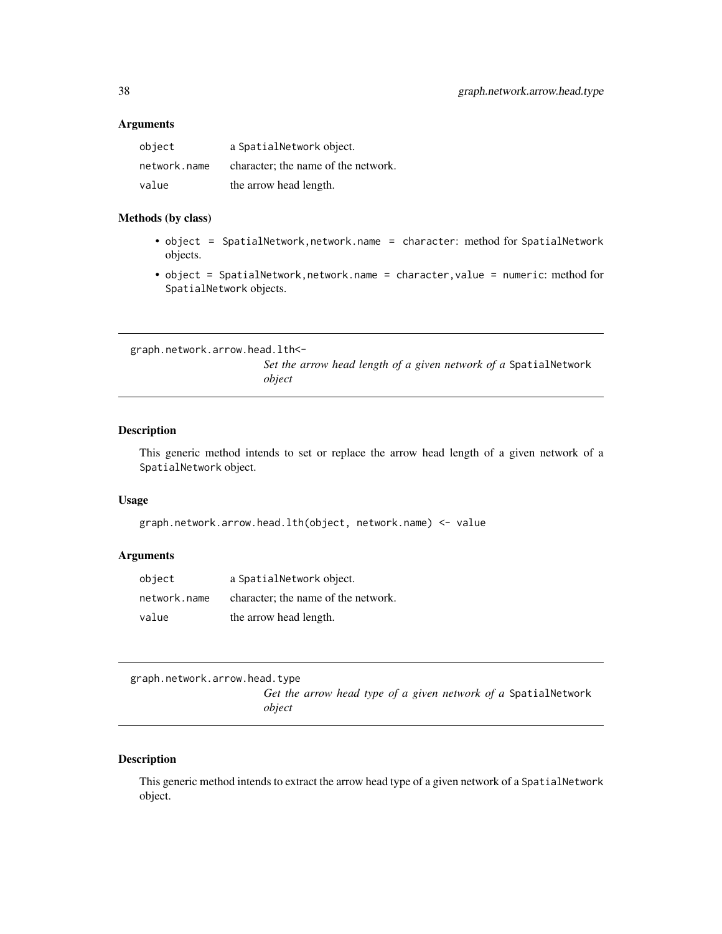#### <span id="page-37-0"></span>Arguments

| object       | a SpatialNetwork object.            |
|--------------|-------------------------------------|
| network.name | character; the name of the network. |
| value        | the arrow head length.              |

#### Methods (by class)

- object = SpatialNetwork,network.name = character: method for SpatialNetwork objects.
- object = SpatialNetwork,network.name = character,value = numeric: method for SpatialNetwork objects.

graph.network.arrow.head.lth<-

*Set the arrow head length of a given network of a* SpatialNetwork *object*

## Description

This generic method intends to set or replace the arrow head length of a given network of a SpatialNetwork object.

### Usage

```
graph.network.arrow.head.lth(object, network.name) <- value
```
#### Arguments

| object       | a SpatialNetwork object.            |
|--------------|-------------------------------------|
| network.name | character; the name of the network. |
| value        | the arrow head length.              |

graph.network.arrow.head.type

*Get the arrow head type of a given network of a* SpatialNetwork *object*

# Description

This generic method intends to extract the arrow head type of a given network of a SpatialNetwork object.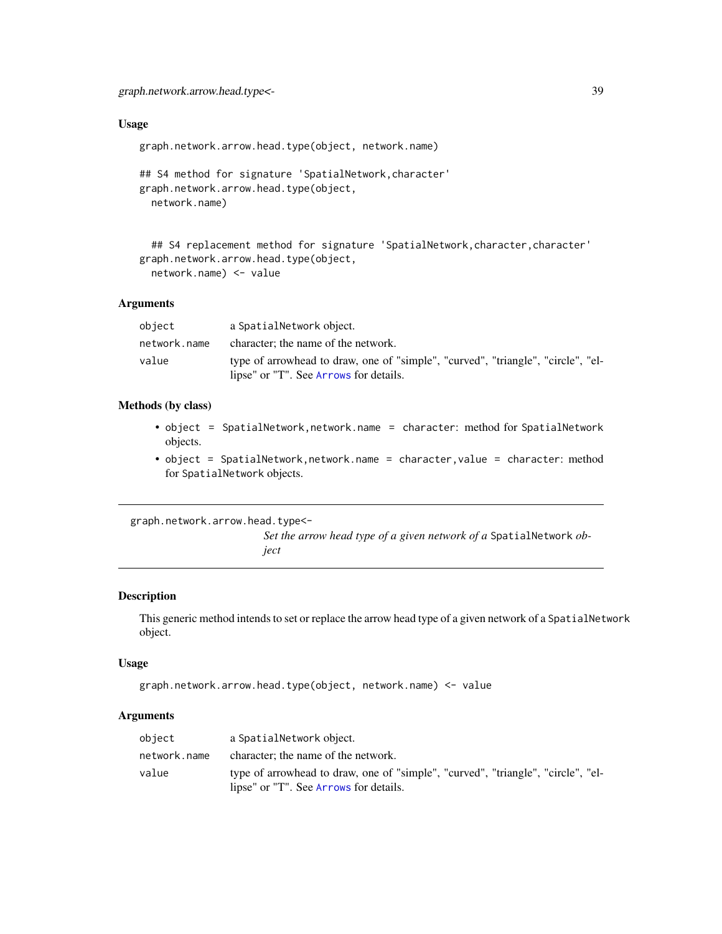<span id="page-38-0"></span>graph.network.arrow.head.type<- 39

# Usage

graph.network.arrow.head.type(object, network.name)

```
## S4 method for signature 'SpatialNetwork,character'
graph.network.arrow.head.type(object,
 network.name)
```

```
## S4 replacement method for signature 'SpatialNetwork, character, character'
graph.network.arrow.head.type(object,
  network.name) <- value
```
#### Arguments

| object       | a SpatialNetwork object.                                                                                                   |
|--------------|----------------------------------------------------------------------------------------------------------------------------|
| network.name | character; the name of the network.                                                                                        |
| value        | type of arrowhead to draw, one of "simple", "curved", "triangle", "circle", "el-<br>lipse" or "T". See Arrows for details. |

# Methods (by class)

- object = SpatialNetwork,network.name = character: method for SpatialNetwork objects.
- object = SpatialNetwork, network.name = character, value = character: method for SpatialNetwork objects.

graph.network.arrow.head.type<-

*Set the arrow head type of a given network of a* SpatialNetwork *object*

## Description

This generic method intends to set or replace the arrow head type of a given network of a SpatialNetwork object.

## Usage

```
graph.network.arrow.head.type(object, network.name) <- value
```
#### Arguments

| object       | a SpatialNetwork object.                                                                                                   |
|--------------|----------------------------------------------------------------------------------------------------------------------------|
| network.name | character; the name of the network.                                                                                        |
| value        | type of arrowhead to draw, one of "simple", "curved", "triangle", "circle", "el-<br>lipse" or "T". See Arrows for details. |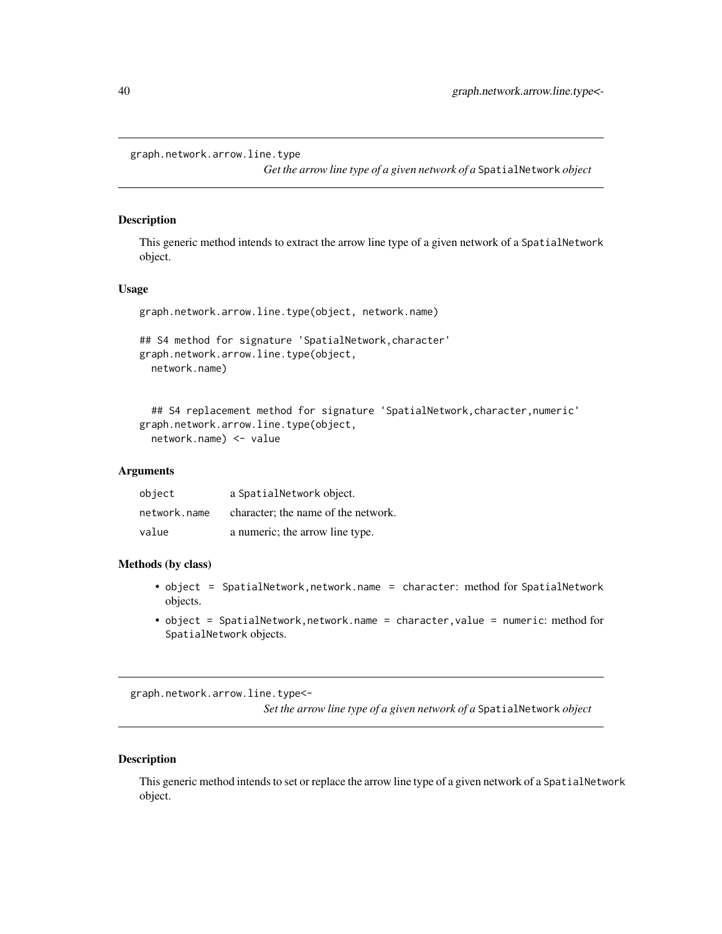```
graph.network.arrow.line.type
```
*Get the arrow line type of a given network of a* SpatialNetwork *object*

## Description

This generic method intends to extract the arrow line type of a given network of a SpatialNetwork object.

## Usage

```
graph.network.arrow.line.type(object, network.name)
```

```
## S4 method for signature 'SpatialNetwork,character'
graph.network.arrow.line.type(object,
  network.name)
```

```
## S4 replacement method for signature 'SpatialNetwork, character, numeric'
graph.network.arrow.line.type(object,
  network.name) <- value
```
## Arguments

| object       | a SpatialNetwork object.            |
|--------------|-------------------------------------|
| network.name | character; the name of the network. |
| value        | a numeric; the arrow line type.     |

## Methods (by class)

- object = SpatialNetwork, network.name = character: method for SpatialNetwork objects.
- object = SpatialNetwork,network.name = character,value = numeric: method for SpatialNetwork objects.

graph.network.arrow.line.type<-

*Set the arrow line type of a given network of a* SpatialNetwork *object*

# Description

This generic method intends to set or replace the arrow line type of a given network of a SpatialNetwork object.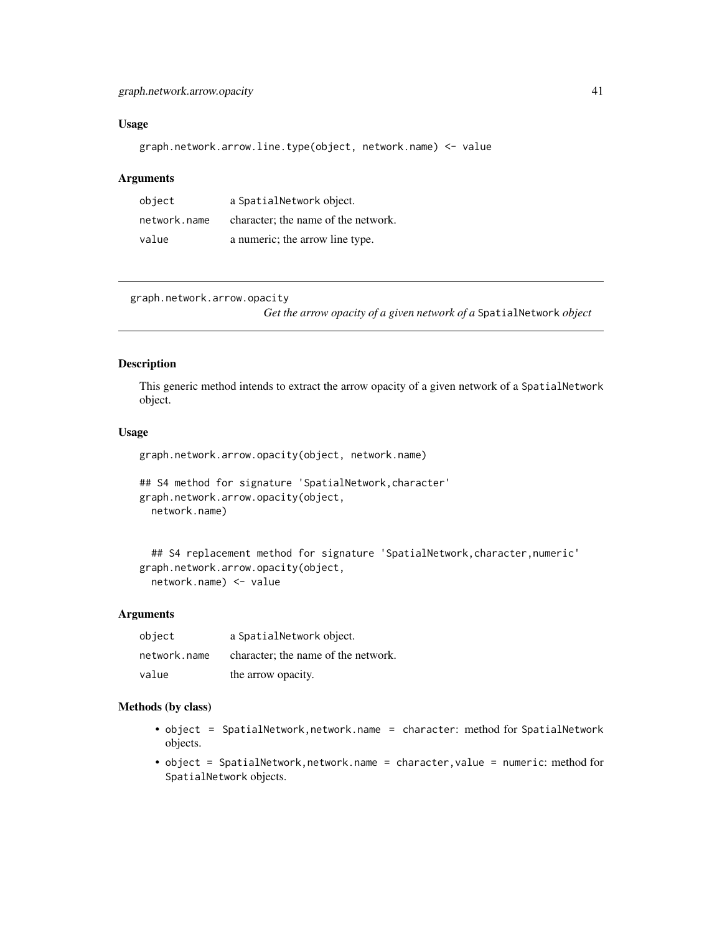# <span id="page-40-0"></span>graph.network.arrow.opacity 41

## Usage

graph.network.arrow.line.type(object, network.name) <- value

# Arguments

| object       | a SpatialNetwork object.            |
|--------------|-------------------------------------|
| network.name | character; the name of the network. |
| value        | a numeric; the arrow line type.     |

graph.network.arrow.opacity

*Get the arrow opacity of a given network of a* SpatialNetwork *object*

# Description

This generic method intends to extract the arrow opacity of a given network of a SpatialNetwork object.

#### Usage

graph.network.arrow.opacity(object, network.name)

```
## S4 method for signature 'SpatialNetwork, character'
graph.network.arrow.opacity(object,
  network.name)
```

```
## S4 replacement method for signature 'SpatialNetwork, character, numeric'
graph.network.arrow.opacity(object,
  network.name) <- value
```
## **Arguments**

| object       | a SpatialNetwork object.            |
|--------------|-------------------------------------|
| network.name | character; the name of the network. |
| value        | the arrow opacity.                  |

- object = SpatialNetwork,network.name = character: method for SpatialNetwork objects.
- object = SpatialNetwork,network.name = character,value = numeric: method for SpatialNetwork objects.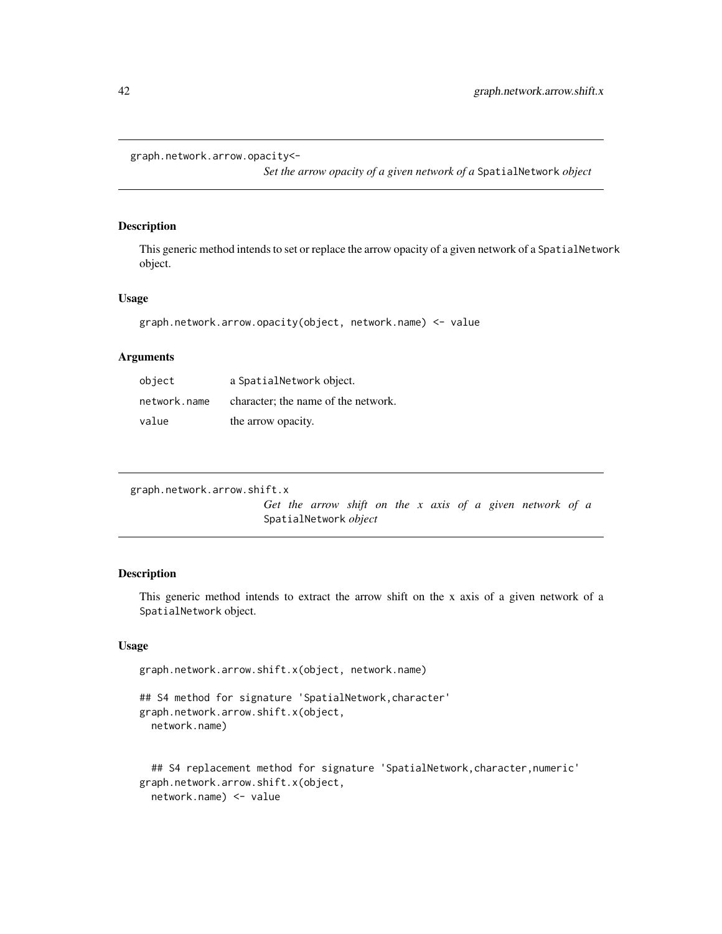```
graph.network.arrow.opacity<-
```
*Set the arrow opacity of a given network of a* SpatialNetwork *object*

## Description

This generic method intends to set or replace the arrow opacity of a given network of a SpatialNetwork object.

#### Usage

```
graph.network.arrow.opacity(object, network.name) <- value
```
## Arguments

| object       | a SpatialNetwork object.            |
|--------------|-------------------------------------|
| network.name | character; the name of the network. |
| value        | the arrow opacity.                  |

```
graph.network.arrow.shift.x
```
*Get the arrow shift on the x axis of a given network of a* SpatialNetwork *object*

# Description

This generic method intends to extract the arrow shift on the x axis of a given network of a SpatialNetwork object.

## Usage

```
graph.network.arrow.shift.x(object, network.name)
## S4 method for signature 'SpatialNetwork, character'
graph.network.arrow.shift.x(object,
  network.name)
```

```
## S4 replacement method for signature 'SpatialNetwork, character, numeric'
graph.network.arrow.shift.x(object,
  network.name) <- value
```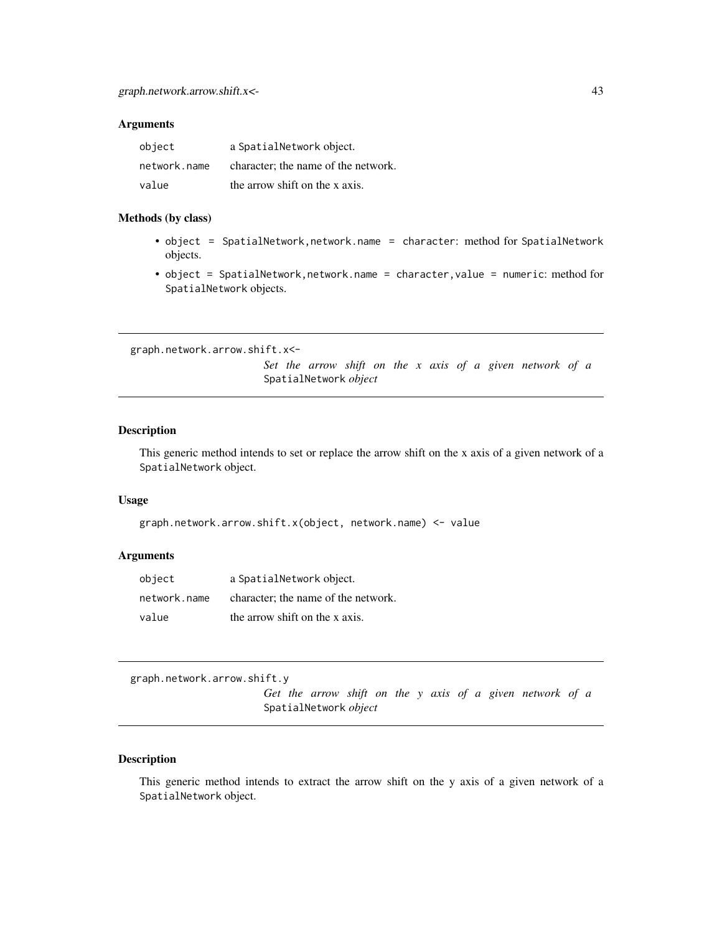## <span id="page-42-0"></span>Arguments

| object       | a SpatialNetwork object.            |
|--------------|-------------------------------------|
| network.name | character; the name of the network. |
| value        | the arrow shift on the x axis.      |

#### Methods (by class)

- object = SpatialNetwork,network.name = character: method for SpatialNetwork objects.
- object = SpatialNetwork,network.name = character,value = numeric: method for SpatialNetwork objects.

graph.network.arrow.shift.x<-

*Set the arrow shift on the x axis of a given network of a* SpatialNetwork *object*

## Description

This generic method intends to set or replace the arrow shift on the x axis of a given network of a SpatialNetwork object.

### Usage

graph.network.arrow.shift.x(object, network.name) <- value

#### Arguments

| object       | a SpatialNetwork object.            |
|--------------|-------------------------------------|
| network.name | character; the name of the network. |
| value        | the arrow shift on the x axis.      |

graph.network.arrow.shift.y

*Get the arrow shift on the y axis of a given network of a* SpatialNetwork *object*

# Description

This generic method intends to extract the arrow shift on the y axis of a given network of a SpatialNetwork object.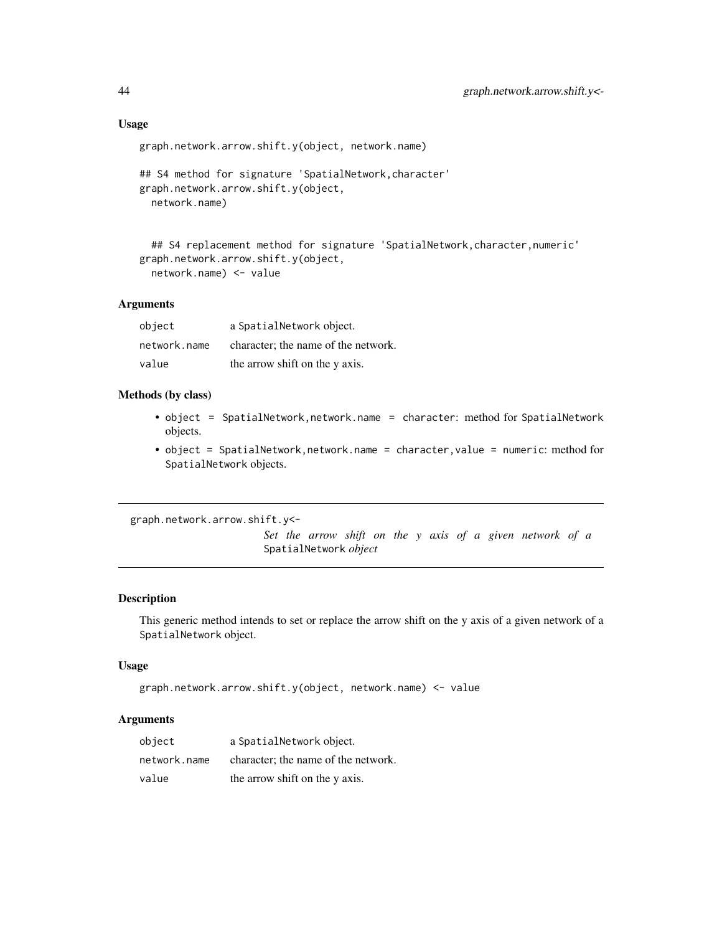#### Usage

```
graph.network.arrow.shift.y(object, network.name)
```

```
## S4 method for signature 'SpatialNetwork,character'
graph.network.arrow.shift.y(object,
 network.name)
```

```
## S4 replacement method for signature 'SpatialNetwork, character, numeric'
graph.network.arrow.shift.y(object,
  network.name) <- value
```
#### Arguments

| object       | a SpatialNetwork object.            |
|--------------|-------------------------------------|
| network.name | character; the name of the network. |
| value        | the arrow shift on the y axis.      |

# Methods (by class)

- object = SpatialNetwork, network.name = character: method for SpatialNetwork objects.
- object = SpatialNetwork,network.name = character,value = numeric: method for SpatialNetwork objects.

graph.network.arrow.shift.y<-

*Set the arrow shift on the y axis of a given network of a* SpatialNetwork *object*

## Description

This generic method intends to set or replace the arrow shift on the y axis of a given network of a SpatialNetwork object.

#### Usage

```
graph.network.arrow.shift.y(object, network.name) <- value
```
## Arguments

| object       | a SpatialNetwork object.            |
|--------------|-------------------------------------|
| network.name | character; the name of the network. |
| value        | the arrow shift on the y axis.      |

<span id="page-43-0"></span>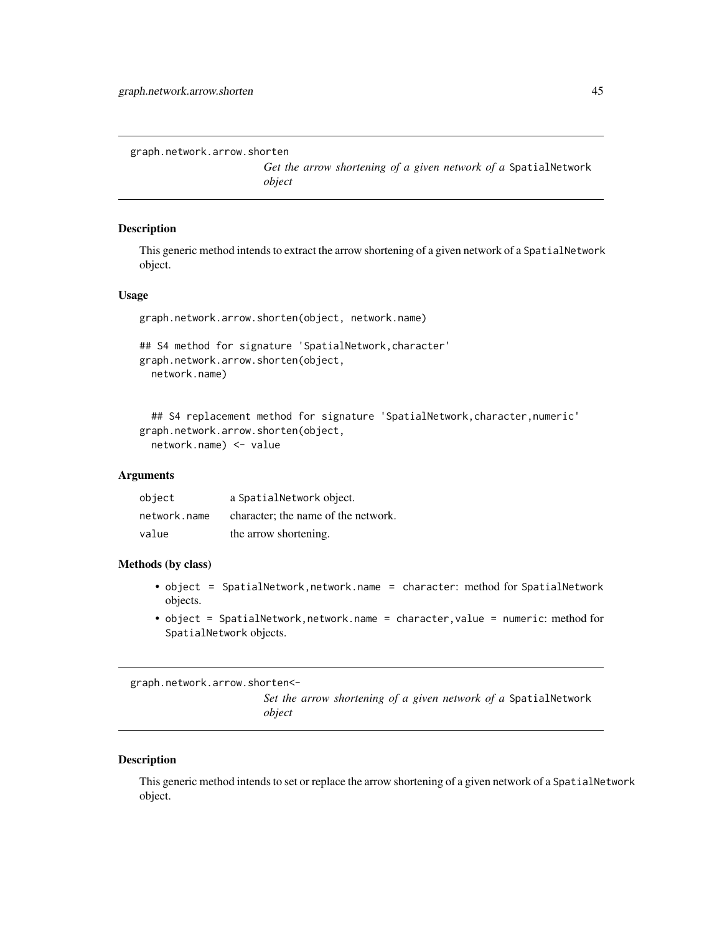<span id="page-44-0"></span>graph.network.arrow.shorten

*Get the arrow shortening of a given network of a* SpatialNetwork *object*

#### Description

This generic method intends to extract the arrow shortening of a given network of a SpatialNetwork object.

### Usage

```
graph.network.arrow.shorten(object, network.name)
```

```
## S4 method for signature 'SpatialNetwork,character'
graph.network.arrow.shorten(object,
 network.name)
```

```
## S4 replacement method for signature 'SpatialNetwork, character, numeric'
graph.network.arrow.shorten(object,
  network.name) <- value
```
## Arguments

| object       | a SpatialNetwork object.            |
|--------------|-------------------------------------|
| network.name | character: the name of the network. |
| value        | the arrow shortening.               |

#### Methods (by class)

- object = SpatialNetwork, network.name = character: method for SpatialNetwork objects.
- object = SpatialNetwork,network.name = character,value = numeric: method for SpatialNetwork objects.

graph.network.arrow.shorten<-

*Set the arrow shortening of a given network of a* SpatialNetwork *object*

#### Description

This generic method intends to set or replace the arrow shortening of a given network of a SpatialNetwork object.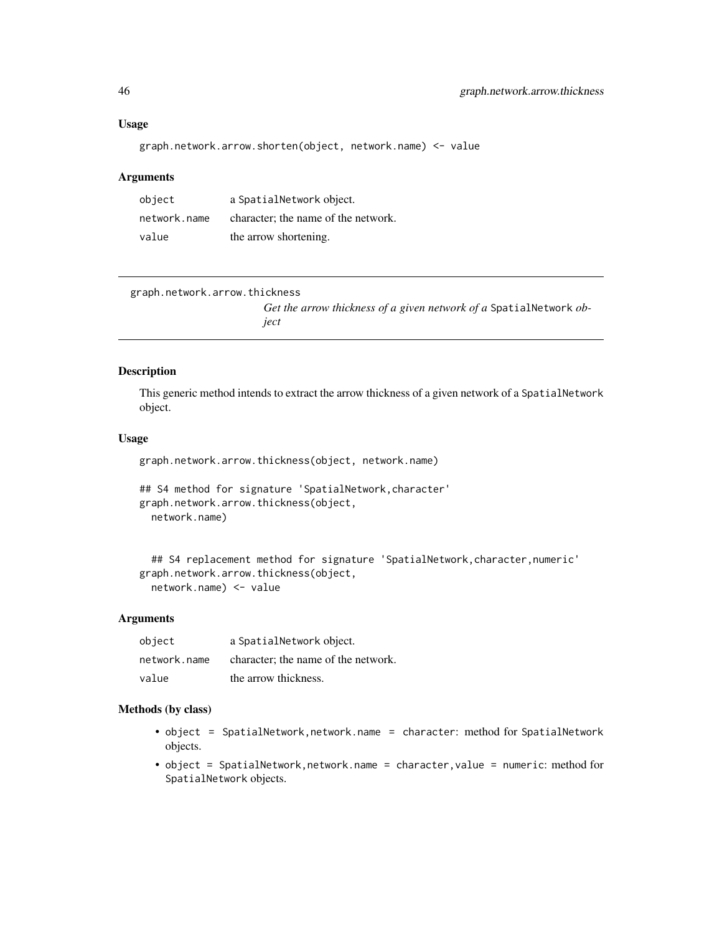#### Usage

```
graph.network.arrow.shorten(object, network.name) <- value
```
## Arguments

| object       | a SpatialNetwork object.            |
|--------------|-------------------------------------|
| network.name | character; the name of the network. |
| value        | the arrow shortening.               |

```
graph.network.arrow.thickness
```
*Get the arrow thickness of a given network of a* SpatialNetwork *object*

# Description

This generic method intends to extract the arrow thickness of a given network of a SpatialNetwork object.

#### Usage

```
graph.network.arrow.thickness(object, network.name)
```

```
## S4 method for signature 'SpatialNetwork, character'
graph.network.arrow.thickness(object,
  network.name)
```

```
## S4 replacement method for signature 'SpatialNetwork,character,numeric'
graph.network.arrow.thickness(object,
 network.name) <- value
```
## Arguments

| object       | a SpatialNetwork object.            |
|--------------|-------------------------------------|
| network.name | character; the name of the network. |
| value        | the arrow thickness.                |

- object = SpatialNetwork, network.name = character: method for SpatialNetwork objects.
- object = SpatialNetwork,network.name = character,value = numeric: method for SpatialNetwork objects.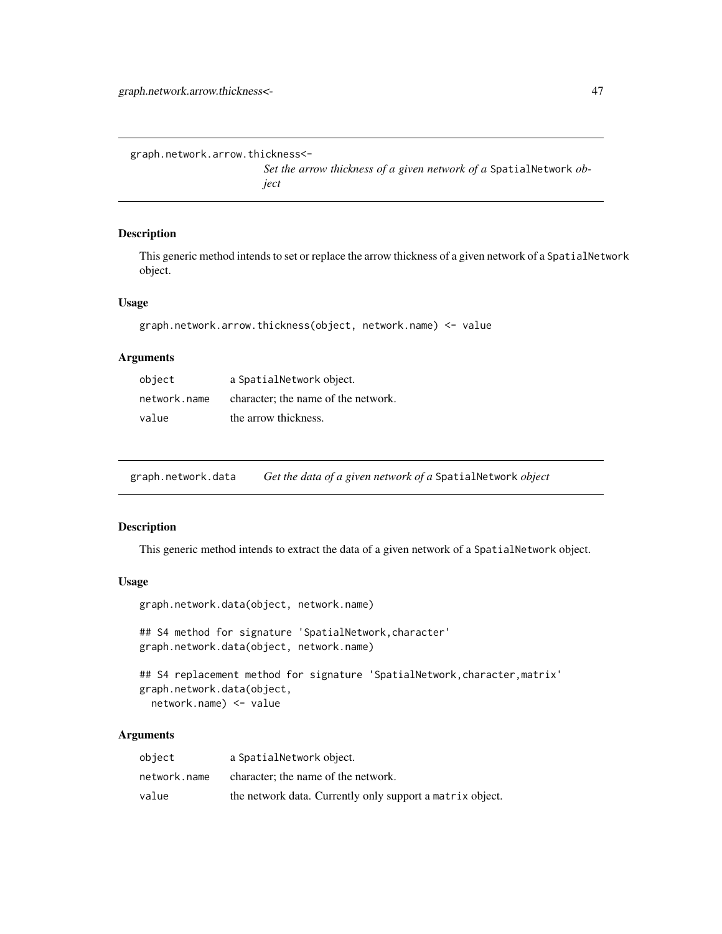graph.network.arrow.thickness<-

*Set the arrow thickness of a given network of a* SpatialNetwork *object*

# Description

This generic method intends to set or replace the arrow thickness of a given network of a SpatialNetwork object.

## Usage

```
graph.network.arrow.thickness(object, network.name) <- value
```
# Arguments

| object       | a SpatialNetwork object.            |
|--------------|-------------------------------------|
| network.name | character; the name of the network. |
| value        | the arrow thickness.                |

graph.network.data *Get the data of a given network of a* SpatialNetwork *object*

## Description

This generic method intends to extract the data of a given network of a SpatialNetwork object.

#### Usage

```
graph.network.data(object, network.name)
## S4 method for signature 'SpatialNetwork, character'
graph.network.data(object, network.name)
## S4 replacement method for signature 'SpatialNetwork, character, matrix'
```

```
graph.network.data(object,
  network.name) <- value
```
## Arguments

| object       | a SpatialNetwork object.                                  |
|--------------|-----------------------------------------------------------|
| network.name | character; the name of the network.                       |
| value        | the network data. Currently only support a matrix object. |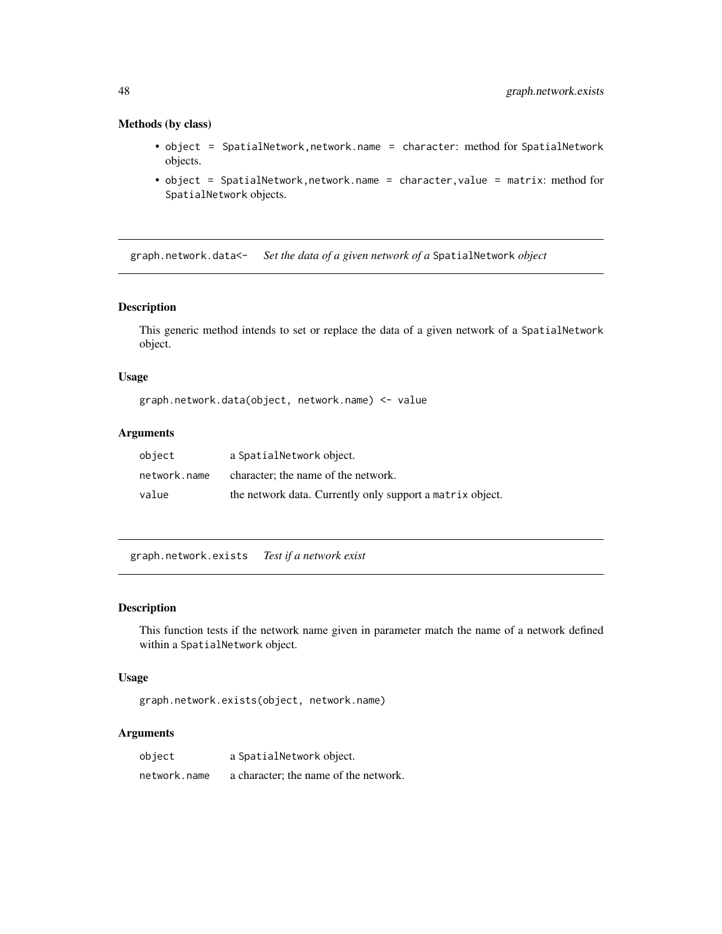## Methods (by class)

- object = SpatialNetwork,network.name = character: method for SpatialNetwork objects.
- object = SpatialNetwork,network.name = character,value = matrix: method for SpatialNetwork objects.

graph.network.data<- *Set the data of a given network of a* SpatialNetwork *object*

## Description

This generic method intends to set or replace the data of a given network of a SpatialNetwork object.

## Usage

graph.network.data(object, network.name) <- value

#### Arguments

| object       | a SpatialNetwork object.                                  |
|--------------|-----------------------------------------------------------|
| network.name | character; the name of the network.                       |
| value        | the network data. Currently only support a matrix object. |

graph.network.exists *Test if a network exist*

#### Description

This function tests if the network name given in parameter match the name of a network defined within a SpatialNetwork object.

#### Usage

```
graph.network.exists(object, network.name)
```
# Arguments

| object       | a SpatialNetwork object.              |
|--------------|---------------------------------------|
| network.name | a character; the name of the network. |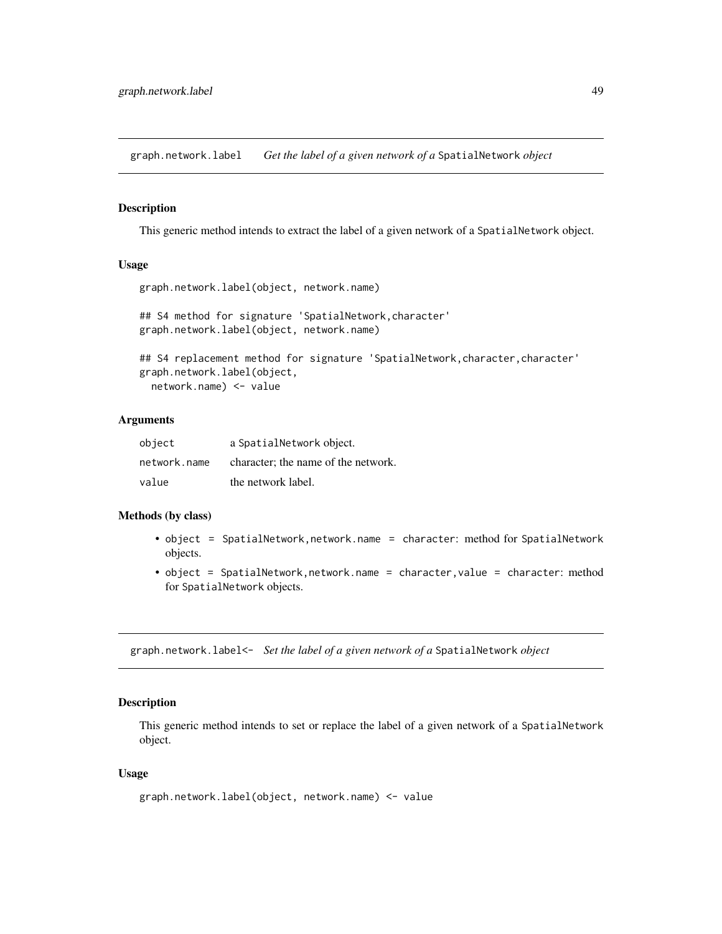graph.network.label *Get the label of a given network of a* SpatialNetwork *object*

# **Description**

This generic method intends to extract the label of a given network of a SpatialNetwork object.

#### Usage

```
graph.network.label(object, network.name)
```

```
## S4 method for signature 'SpatialNetwork,character'
graph.network.label(object, network.name)
```

```
## S4 replacement method for signature 'SpatialNetwork, character, character'
graph.network.label(object,
  network.name) <- value
```
### Arguments

| object       | a SpatialNetwork object.            |
|--------------|-------------------------------------|
| network.name | character; the name of the network. |
| value        | the network label.                  |

## Methods (by class)

- object = SpatialNetwork,network.name = character: method for SpatialNetwork objects.
- object = SpatialNetwork,network.name = character,value = character: method for SpatialNetwork objects.

graph.network.label<- *Set the label of a given network of a* SpatialNetwork *object*

#### Description

This generic method intends to set or replace the label of a given network of a SpatialNetwork object.

#### Usage

```
graph.network.label(object, network.name) <- value
```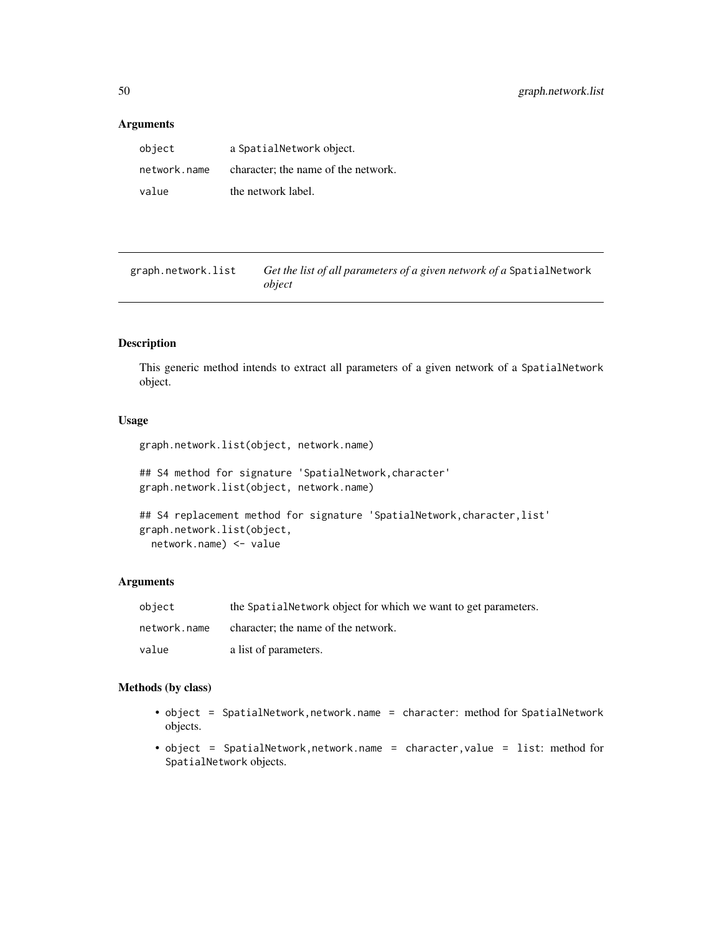## Arguments

| object       | a SpatialNetwork object.            |
|--------------|-------------------------------------|
| network.name | character; the name of the network. |
| value        | the network label.                  |

graph.network.list *Get the list of all parameters of a given network of a* SpatialNetwork *object*

# Description

This generic method intends to extract all parameters of a given network of a SpatialNetwork object.

# Usage

```
graph.network.list(object, network.name)
```

```
## S4 method for signature 'SpatialNetwork,character'
graph.network.list(object, network.name)
```

```
## S4 replacement method for signature 'SpatialNetwork, character, list'
graph.network.list(object,
 network.name) <- value
```
#### Arguments

| object       | the Spatial Network object for which we want to get parameters. |
|--------------|-----------------------------------------------------------------|
| network.name | character; the name of the network.                             |
| value        | a list of parameters.                                           |

- object = SpatialNetwork,network.name = character: method for SpatialNetwork objects.
- object = SpatialNetwork,network.name = character,value = list: method for SpatialNetwork objects.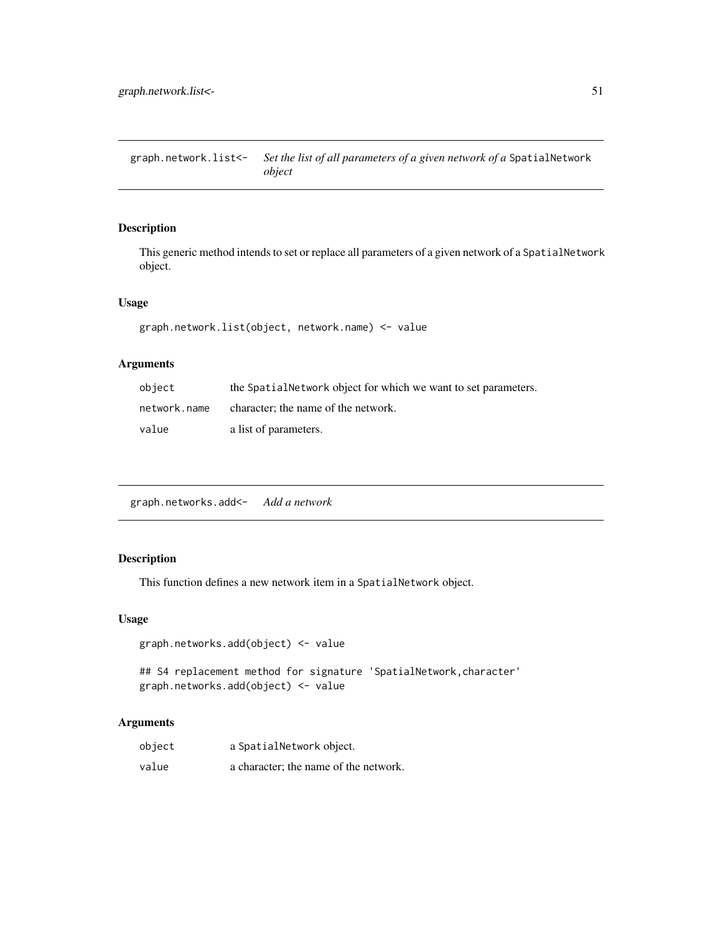graph.network.list<- *Set the list of all parameters of a given network of a* SpatialNetwork *object*

# Description

This generic method intends to set or replace all parameters of a given network of a SpatialNetwork object.

## Usage

graph.network.list(object, network.name) <- value

# Arguments

| object       | the Spatial Network object for which we want to set parameters. |
|--------------|-----------------------------------------------------------------|
| network.name | character; the name of the network.                             |
| value        | a list of parameters.                                           |

graph.networks.add<- *Add a network*

# Description

This function defines a new network item in a SpatialNetwork object.

#### Usage

```
graph.networks.add(object) <- value
```

```
## S4 replacement method for signature 'SpatialNetwork, character'
graph.networks.add(object) <- value
```
# Arguments

| object | a SpatialNetwork object.              |
|--------|---------------------------------------|
| value  | a character; the name of the network. |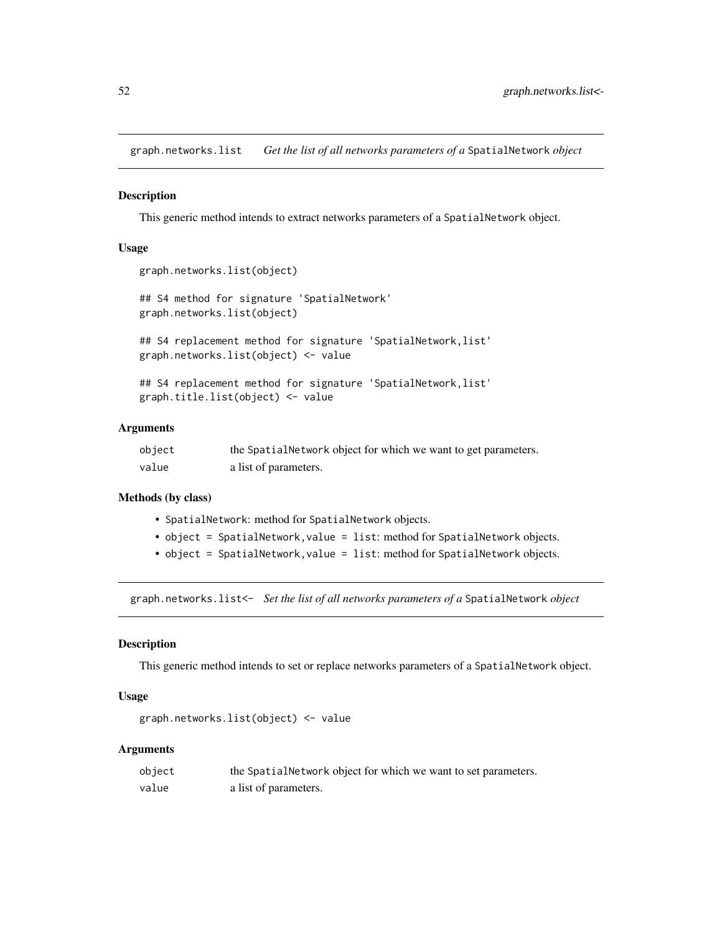graph.networks.list *Get the list of all networks parameters of a* SpatialNetwork *object*

#### Description

This generic method intends to extract networks parameters of a SpatialNetwork object.

#### Usage

```
graph.networks.list(object)
## S4 method for signature 'SpatialNetwork'
graph.networks.list(object)
## S4 replacement method for signature 'SpatialNetwork,list'
graph.networks.list(object) <- value
## S4 replacement method for signature 'SpatialNetwork, list'
```

```
graph.title.list(object) <- value
```
# Arguments

| object | the SpatialNetwork object for which we want to get parameters. |
|--------|----------------------------------------------------------------|
| value  | a list of parameters.                                          |

#### Methods (by class)

- SpatialNetwork: method for SpatialNetwork objects.
- object = SpatialNetwork,value = list: method for SpatialNetwork objects.
- object = SpatialNetwork, value = list: method for SpatialNetwork objects.

graph.networks.list<- *Set the list of all networks parameters of a* SpatialNetwork *object*

#### Description

This generic method intends to set or replace networks parameters of a SpatialNetwork object.

#### Usage

```
graph.networks.list(object) <- value
```
#### Arguments

| object | the SpatialNetwork object for which we want to set parameters. |
|--------|----------------------------------------------------------------|
| value  | a list of parameters.                                          |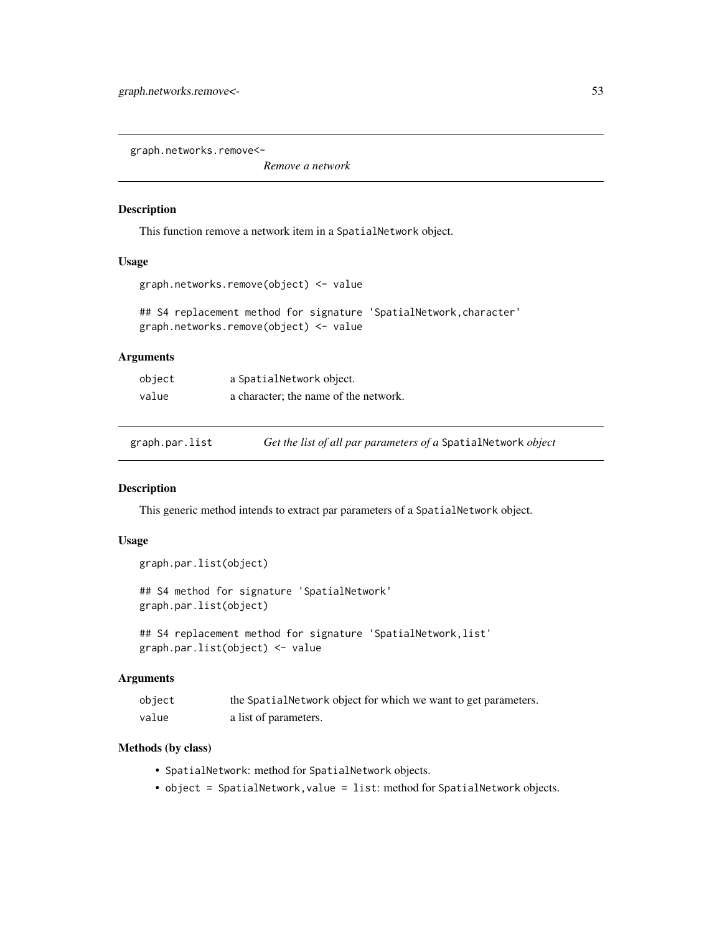graph.networks.remove<-

*Remove a network*

## Description

This function remove a network item in a SpatialNetwork object.

#### Usage

```
graph.networks.remove(object) <- value
```
## S4 replacement method for signature 'SpatialNetwork, character' graph.networks.remove(object) <- value

## Arguments

| object | a SpatialNetwork object.              |
|--------|---------------------------------------|
| value  | a character; the name of the network. |

graph.par.list *Get the list of all par parameters of a* SpatialNetwork *object*

#### Description

This generic method intends to extract par parameters of a SpatialNetwork object.

## Usage

```
graph.par.list(object)
```
## S4 method for signature 'SpatialNetwork' graph.par.list(object)

```
## S4 replacement method for signature 'SpatialNetwork,list'
graph.par.list(object) <- value
```
#### Arguments

| object | the SpatialNetwork object for which we want to get parameters. |
|--------|----------------------------------------------------------------|
| value  | a list of parameters.                                          |

- SpatialNetwork: method for SpatialNetwork objects.
- object = SpatialNetwork, value = list: method for SpatialNetwork objects.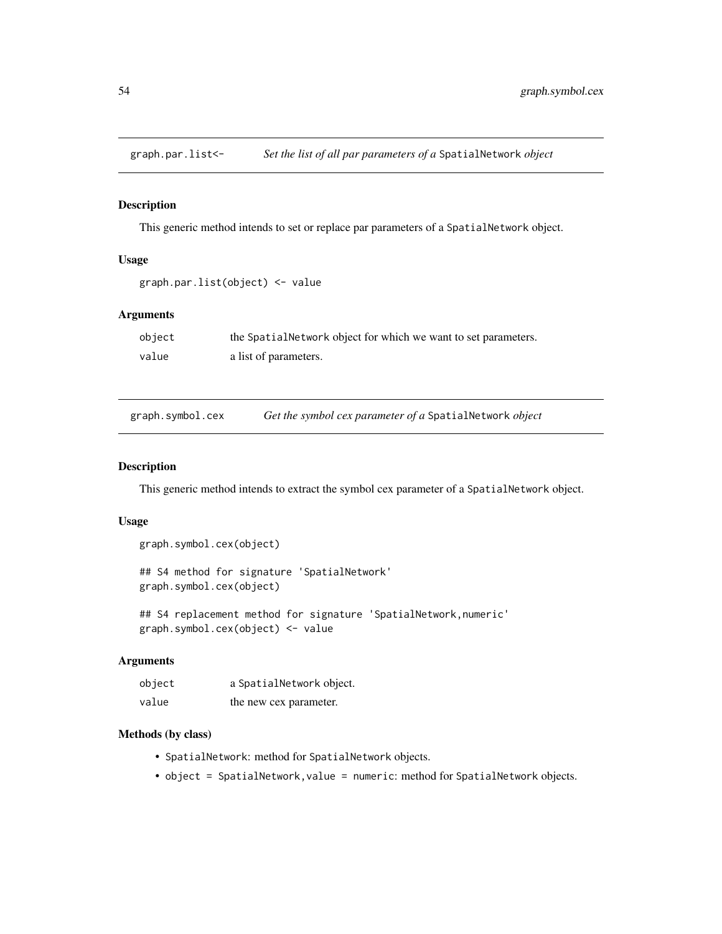# Description

This generic method intends to set or replace par parameters of a SpatialNetwork object.

# Usage

```
graph.par.list(object) <- value
```
# Arguments

| object | the Spatial Network object for which we want to set parameters. |
|--------|-----------------------------------------------------------------|
| value  | a list of parameters.                                           |

| graph.symbol.cex | Get the symbol cex parameter of a SpatialNetwork object |
|------------------|---------------------------------------------------------|
|                  |                                                         |

## Description

This generic method intends to extract the symbol cex parameter of a SpatialNetwork object.

## Usage

```
graph.symbol.cex(object)
```
## S4 method for signature 'SpatialNetwork' graph.symbol.cex(object)

## S4 replacement method for signature 'SpatialNetwork,numeric' graph.symbol.cex(object) <- value

# Arguments

| object | a SpatialNetwork object. |
|--------|--------------------------|
| value  | the new cex parameter.   |

- SpatialNetwork: method for SpatialNetwork objects.
- object = SpatialNetwork, value = numeric: method for SpatialNetwork objects.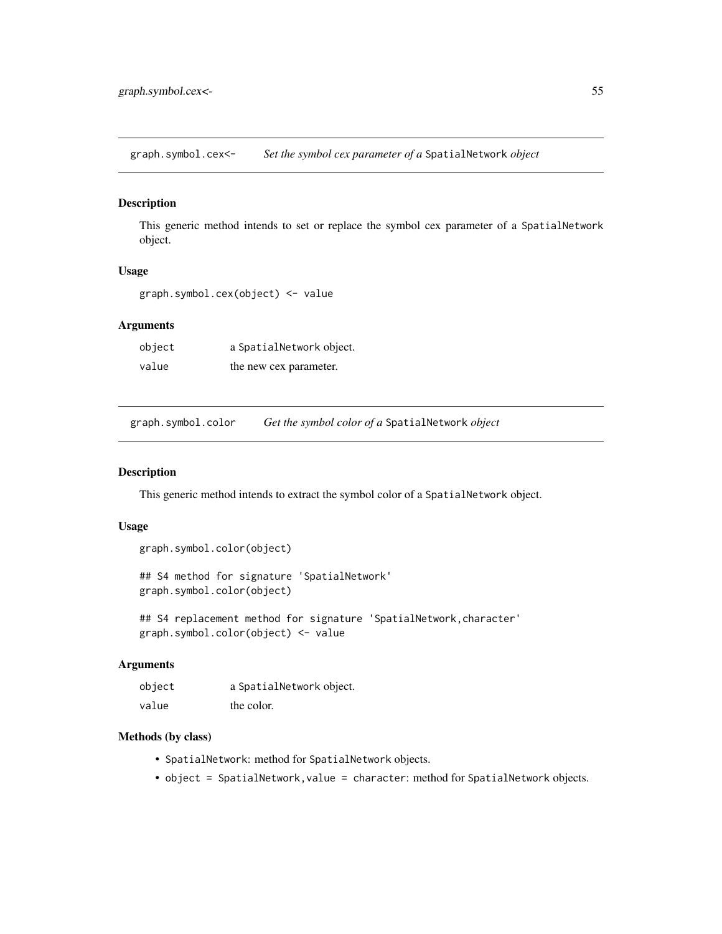graph.symbol.cex<- *Set the symbol cex parameter of a* SpatialNetwork *object*

## Description

This generic method intends to set or replace the symbol cex parameter of a SpatialNetwork object.

# Usage

graph.symbol.cex(object) <- value

## Arguments

object a SpatialNetwork object. value the new cex parameter.

graph.symbol.color *Get the symbol color of a* SpatialNetwork *object*

#### Description

This generic method intends to extract the symbol color of a SpatialNetwork object.

# Usage

```
graph.symbol.color(object)
```
## S4 method for signature 'SpatialNetwork' graph.symbol.color(object)

## S4 replacement method for signature 'SpatialNetwork, character' graph.symbol.color(object) <- value

#### Arguments

| object | a SpatialNetwork object. |
|--------|--------------------------|
| value  | the color.               |

- SpatialNetwork: method for SpatialNetwork objects.
- object = SpatialNetwork, value = character: method for SpatialNetwork objects.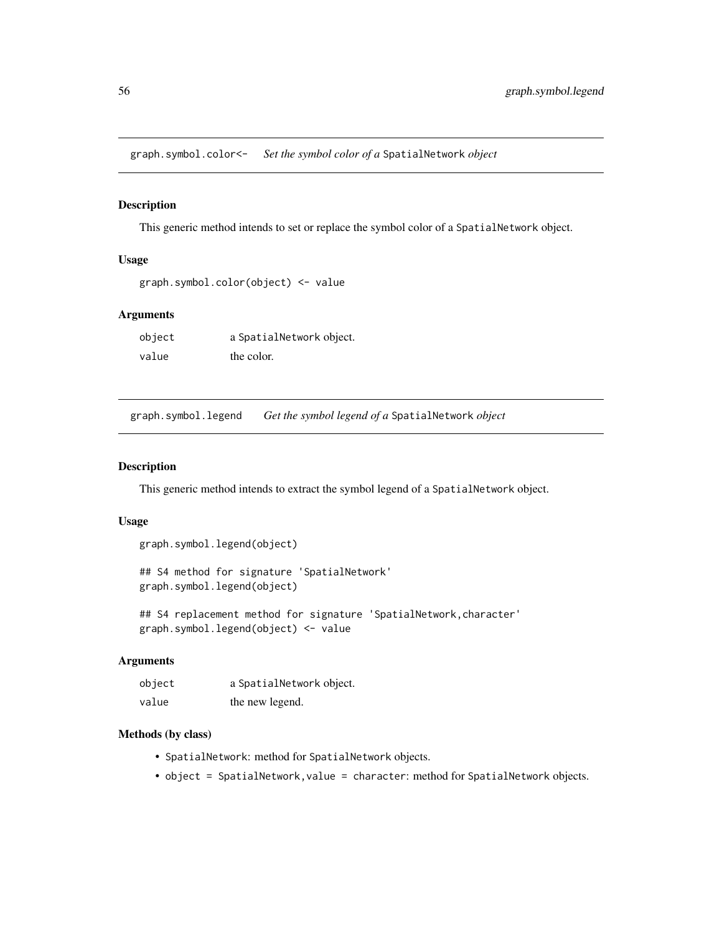graph.symbol.color<- *Set the symbol color of a* SpatialNetwork *object*

#### Description

This generic method intends to set or replace the symbol color of a SpatialNetwork object.

# Usage

```
graph.symbol.color(object) <- value
```
## Arguments

| object | a SpatialNetwork object. |
|--------|--------------------------|
| value  | the color.               |

graph.symbol.legend *Get the symbol legend of a* SpatialNetwork *object*

## Description

This generic method intends to extract the symbol legend of a SpatialNetwork object.

## Usage

```
graph.symbol.legend(object)
```
## S4 method for signature 'SpatialNetwork' graph.symbol.legend(object)

## S4 replacement method for signature 'SpatialNetwork,character' graph.symbol.legend(object) <- value

# Arguments

| object | a SpatialNetwork object. |
|--------|--------------------------|
| value  | the new legend.          |

- SpatialNetwork: method for SpatialNetwork objects.
- object = SpatialNetwork, value = character: method for SpatialNetwork objects.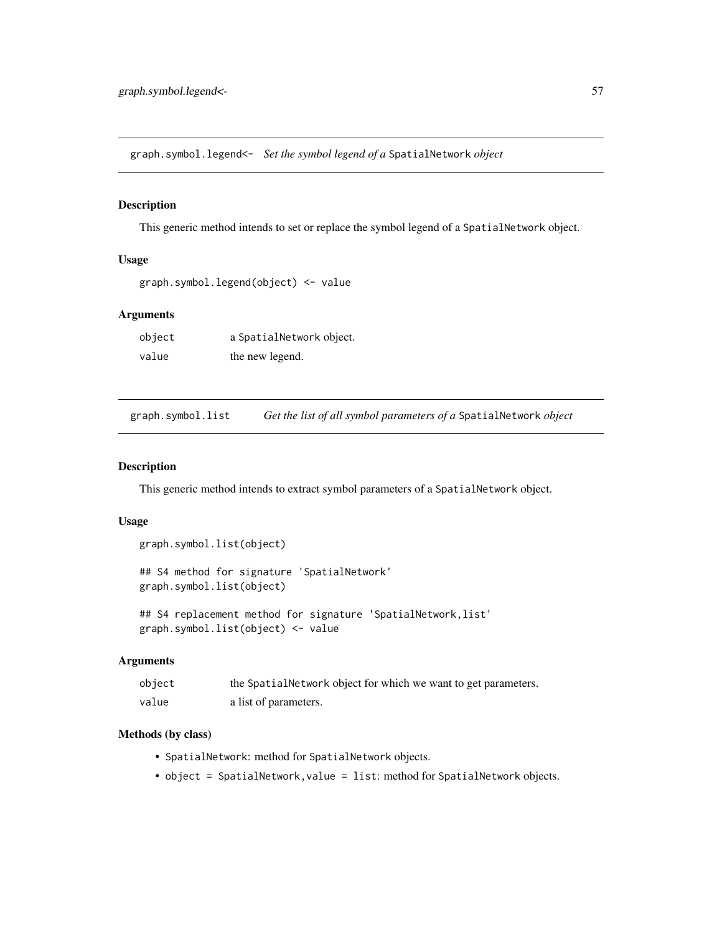graph.symbol.legend<- *Set the symbol legend of a* SpatialNetwork *object*

#### Description

This generic method intends to set or replace the symbol legend of a SpatialNetwork object.

## Usage

```
graph.symbol.legend(object) <- value
```
#### Arguments

| object | a SpatialNetwork object. |
|--------|--------------------------|
| value  | the new legend.          |

graph.symbol.list *Get the list of all symbol parameters of a* SpatialNetwork *object*

## Description

This generic method intends to extract symbol parameters of a SpatialNetwork object.

## Usage

```
graph.symbol.list(object)
```
## S4 method for signature 'SpatialNetwork' graph.symbol.list(object)

## S4 replacement method for signature 'SpatialNetwork,list' graph.symbol.list(object) <- value

# Arguments

| object | the Spatial Network object for which we want to get parameters. |
|--------|-----------------------------------------------------------------|
| value  | a list of parameters.                                           |

- SpatialNetwork: method for SpatialNetwork objects.
- object = SpatialNetwork, value = list: method for SpatialNetwork objects.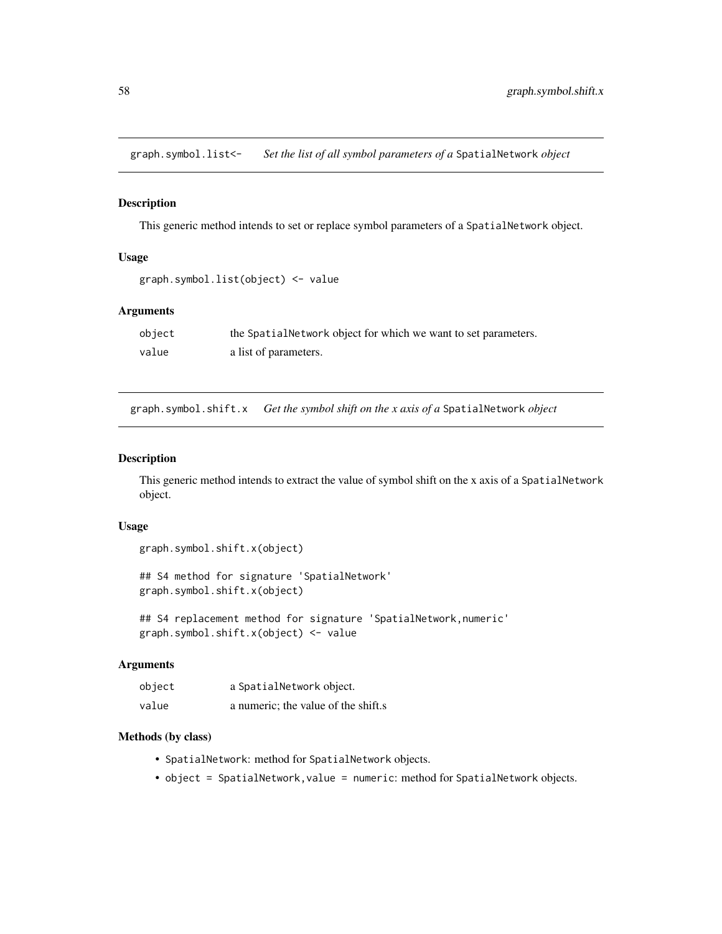graph.symbol.list<- *Set the list of all symbol parameters of a* SpatialNetwork *object*

## Description

This generic method intends to set or replace symbol parameters of a SpatialNetwork object.

## Usage

```
graph.symbol.list(object) <- value
```
# Arguments

| object | the Spatial Network object for which we want to set parameters. |
|--------|-----------------------------------------------------------------|
| value  | a list of parameters.                                           |

graph.symbol.shift.x *Get the symbol shift on the x axis of a* SpatialNetwork *object*

#### Description

This generic method intends to extract the value of symbol shift on the x axis of a SpatialNetwork object.

## Usage

```
graph.symbol.shift.x(object)
```
## S4 method for signature 'SpatialNetwork' graph.symbol.shift.x(object)

## S4 replacement method for signature 'SpatialNetwork, numeric' graph.symbol.shift.x(object) <- value

#### Arguments

| object | a SpatialNetwork object.            |
|--------|-------------------------------------|
| value  | a numeric; the value of the shift.s |

- SpatialNetwork: method for SpatialNetwork objects.
- object = SpatialNetwork, value = numeric: method for SpatialNetwork objects.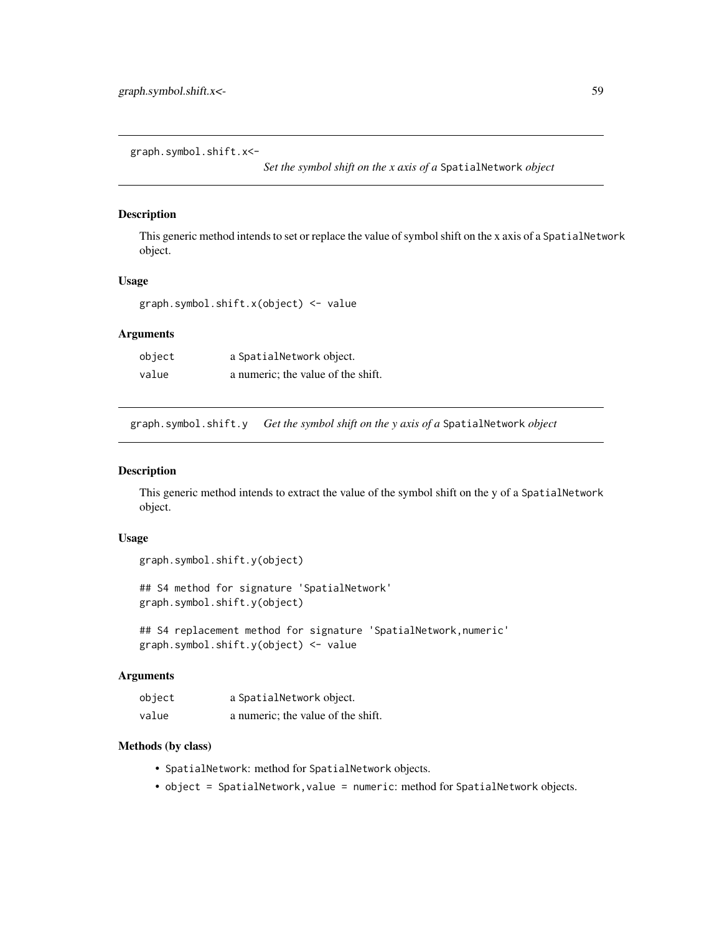graph.symbol.shift.x<-

*Set the symbol shift on the x axis of a* SpatialNetwork *object*

# Description

This generic method intends to set or replace the value of symbol shift on the x axis of a SpatialNetwork object.

#### Usage

graph.symbol.shift.x(object) <- value

# Arguments

| object | a SpatialNetwork object.           |
|--------|------------------------------------|
| value  | a numeric; the value of the shift. |

graph.symbol.shift.y *Get the symbol shift on the y axis of a* SpatialNetwork *object*

### Description

This generic method intends to extract the value of the symbol shift on the y of a SpatialNetwork object.

#### Usage

```
graph.symbol.shift.y(object)
```
## S4 method for signature 'SpatialNetwork' graph.symbol.shift.y(object)

## S4 replacement method for signature 'SpatialNetwork,numeric' graph.symbol.shift.y(object) <- value

#### Arguments

| object | a SpatialNetwork object.           |
|--------|------------------------------------|
| value  | a numeric; the value of the shift. |

- SpatialNetwork: method for SpatialNetwork objects.
- object = SpatialNetwork, value = numeric: method for SpatialNetwork objects.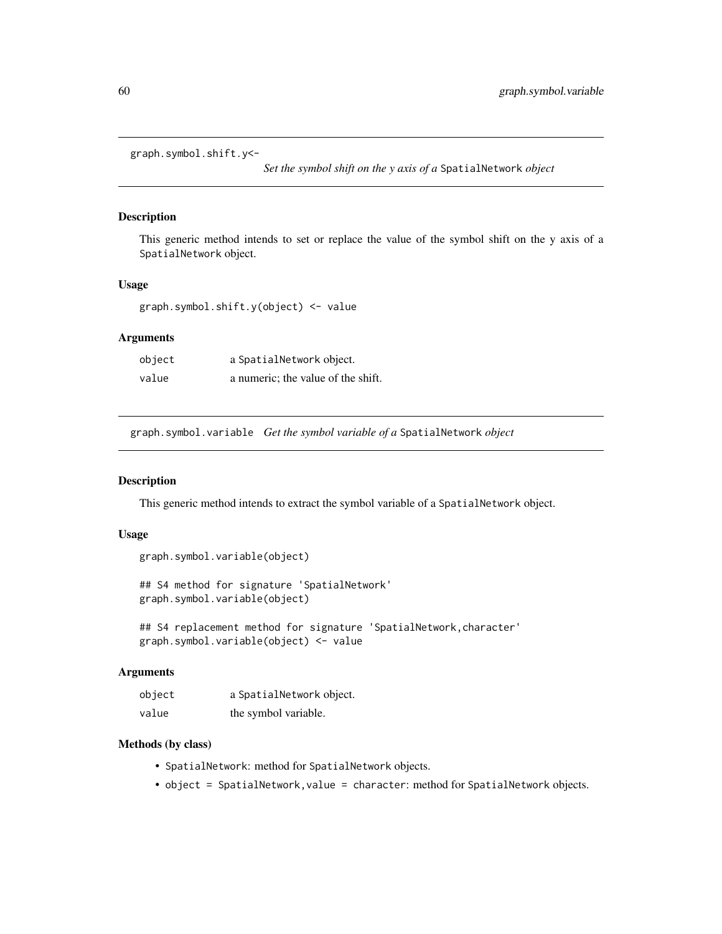graph.symbol.shift.y<-

*Set the symbol shift on the y axis of a* SpatialNetwork *object*

#### Description

This generic method intends to set or replace the value of the symbol shift on the y axis of a SpatialNetwork object.

## Usage

graph.symbol.shift.y(object) <- value

# Arguments

| object | a SpatialNetwork object.           |
|--------|------------------------------------|
| value  | a numeric; the value of the shift. |

graph.symbol.variable *Get the symbol variable of a* SpatialNetwork *object*

# Description

This generic method intends to extract the symbol variable of a SpatialNetwork object.

## Usage

```
graph.symbol.variable(object)
```
## S4 method for signature 'SpatialNetwork' graph.symbol.variable(object)

```
## S4 replacement method for signature 'SpatialNetwork,character'
graph.symbol.variable(object) <- value
```
#### Arguments

| object | a SpatialNetwork object. |
|--------|--------------------------|
| value  | the symbol variable.     |

- SpatialNetwork: method for SpatialNetwork objects.
- object = SpatialNetwork, value = character: method for SpatialNetwork objects.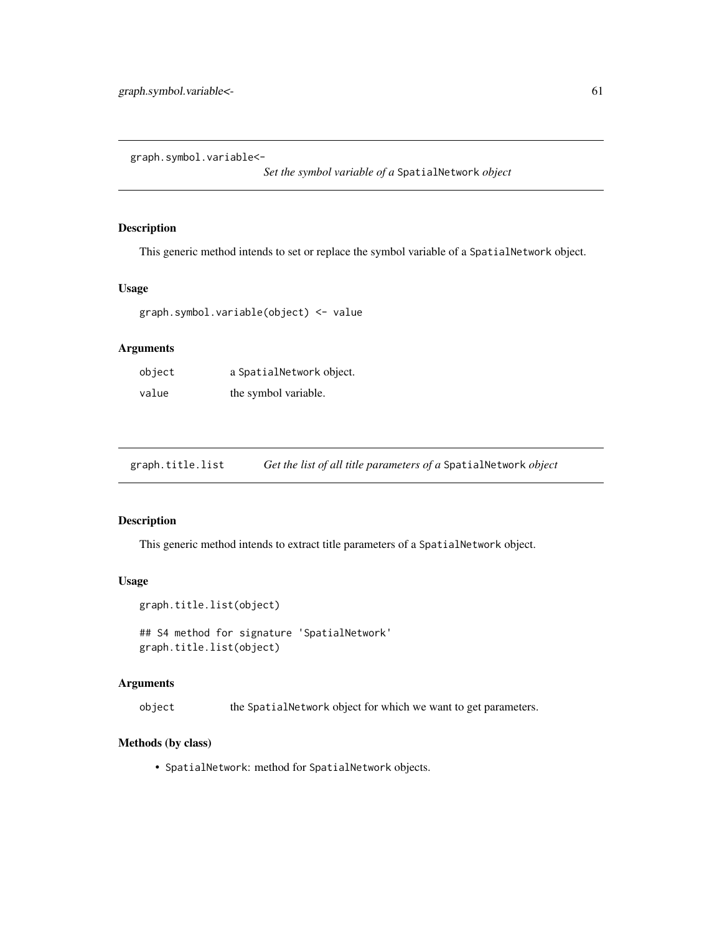graph.symbol.variable<-

*Set the symbol variable of a* SpatialNetwork *object*

# Description

This generic method intends to set or replace the symbol variable of a SpatialNetwork object.

# Usage

```
graph.symbol.variable(object) <- value
```
## Arguments

| object | a SpatialNetwork object. |
|--------|--------------------------|
| value  | the symbol variable.     |

graph.title.list *Get the list of all title parameters of a* SpatialNetwork *object*

## Description

This generic method intends to extract title parameters of a SpatialNetwork object.

# Usage

```
graph.title.list(object)
```
## S4 method for signature 'SpatialNetwork' graph.title.list(object)

## Arguments

object the SpatialNetwork object for which we want to get parameters.

#### Methods (by class)

• SpatialNetwork: method for SpatialNetwork objects.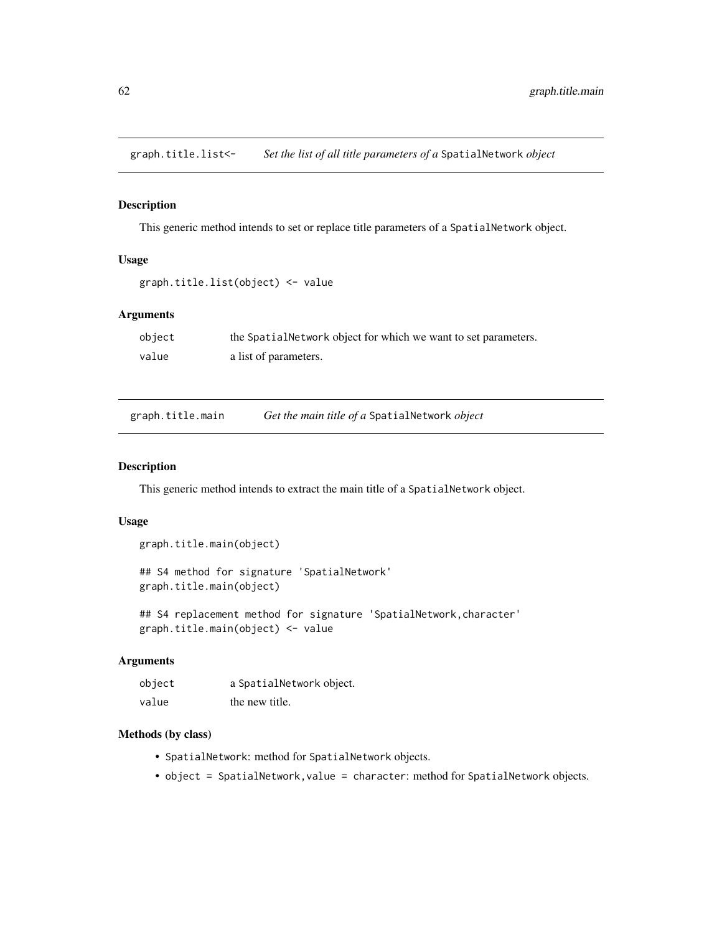graph.title.list<- *Set the list of all title parameters of a* SpatialNetwork *object*

#### Description

This generic method intends to set or replace title parameters of a SpatialNetwork object.

# Usage

```
graph.title.list(object) <- value
```
# Arguments

| object | the Spatial Network object for which we want to set parameters. |
|--------|-----------------------------------------------------------------|
| value  | a list of parameters.                                           |

| graph.title.main | Get the main title of a SpatialNetwork object |
|------------------|-----------------------------------------------|
|                  |                                               |

## Description

This generic method intends to extract the main title of a SpatialNetwork object.

## Usage

```
graph.title.main(object)
```
## S4 method for signature 'SpatialNetwork' graph.title.main(object)

## S4 replacement method for signature 'SpatialNetwork,character' graph.title.main(object) <- value

# Arguments

| object | a SpatialNetwork object. |
|--------|--------------------------|
| value  | the new title.           |

- SpatialNetwork: method for SpatialNetwork objects.
- object = SpatialNetwork, value = character: method for SpatialNetwork objects.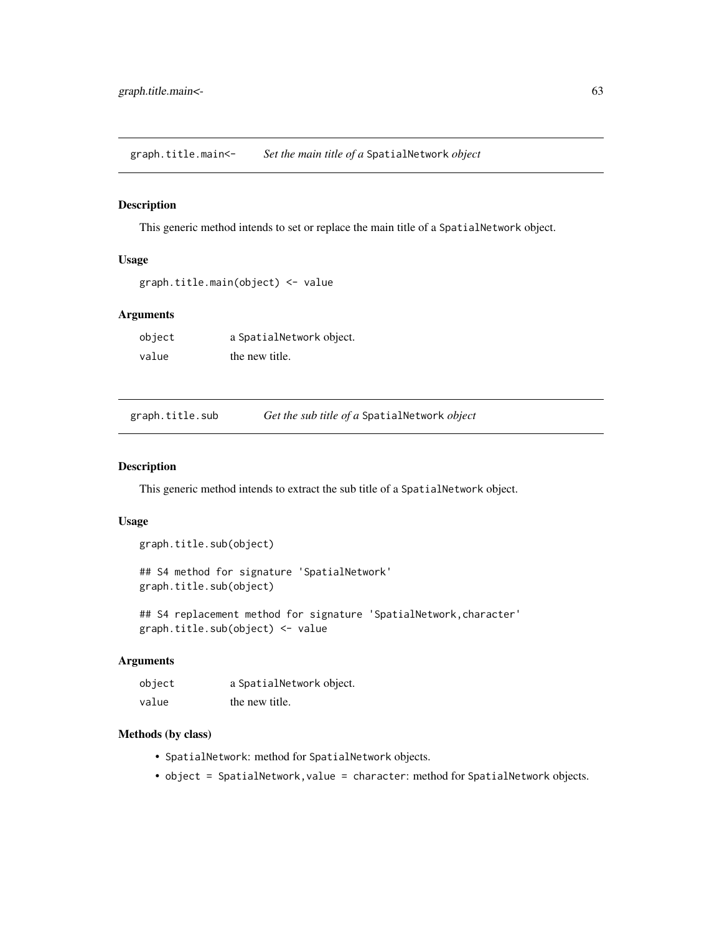graph.title.main<- *Set the main title of a* SpatialNetwork *object*

#### Description

This generic method intends to set or replace the main title of a SpatialNetwork object.

# Usage

```
graph.title.main(object) <- value
```
# Arguments

| object | a SpatialNetwork object. |
|--------|--------------------------|
| value  | the new title.           |

| graph.title.sub | Get the sub title of a SpatialNetwork object |
|-----------------|----------------------------------------------|
|                 |                                              |

## Description

This generic method intends to extract the sub title of a SpatialNetwork object.

# Usage

```
graph.title.sub(object)
```
## S4 method for signature 'SpatialNetwork' graph.title.sub(object)

## S4 replacement method for signature 'SpatialNetwork,character' graph.title.sub(object) <- value

# Arguments

| object | a SpatialNetwork object. |
|--------|--------------------------|
| value  | the new title.           |

- SpatialNetwork: method for SpatialNetwork objects.
- object = SpatialNetwork, value = character: method for SpatialNetwork objects.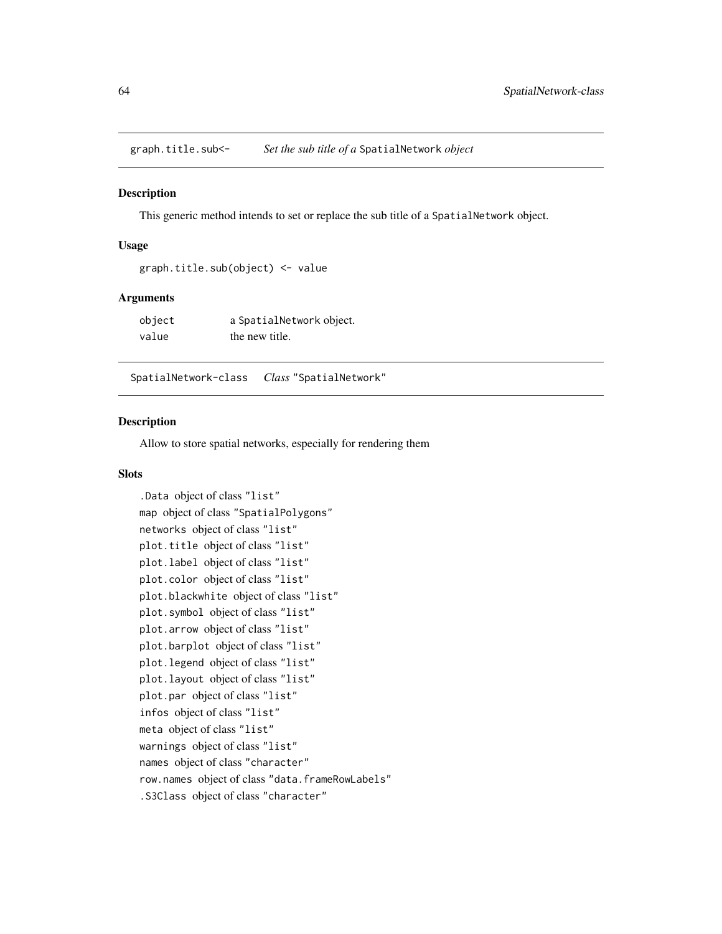<span id="page-63-0"></span>graph.title.sub<- *Set the sub title of a* SpatialNetwork *object*

## Description

This generic method intends to set or replace the sub title of a SpatialNetwork object.

#### Usage

```
graph.title.sub(object) <- value
```
#### **Arguments**

| object | a SpatialNetwork object. |
|--------|--------------------------|
| value  | the new title.           |

SpatialNetwork-class *Class* "SpatialNetwork"

## Description

Allow to store spatial networks, especially for rendering them

## **Slots**

```
.Data object of class "list"
map object of class "SpatialPolygons"
networks object of class "list"
plot.title object of class "list"
plot.label object of class "list"
plot.color object of class "list"
plot.blackwhite object of class "list"
plot.symbol object of class "list"
plot.arrow object of class "list"
plot.barplot object of class "list"
plot.legend object of class "list"
plot.layout object of class "list"
plot.par object of class "list"
infos object of class "list"
meta object of class "list"
warnings object of class "list"
names object of class "character"
row.names object of class "data.frameRowLabels"
.S3Class object of class "character"
```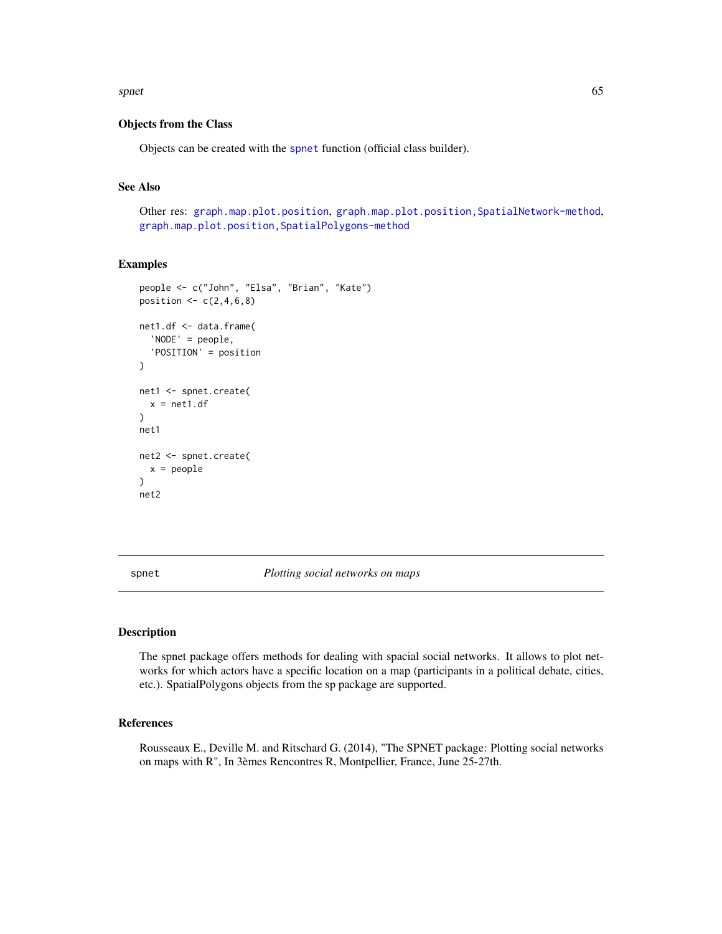#### <span id="page-64-1"></span>spnet 65

## Objects from the Class

Objects can be created with the [spnet](#page-64-0) function (official class builder).

# See Also

Other res: [graph.map.plot.position](#page-34-0), [graph.map.plot.position,SpatialNetwork-method](#page-0-0), [graph.map.plot.position,SpatialPolygons-method](#page-0-0)

#### Examples

```
people <- c("John", "Elsa", "Brian", "Kate")
position \leq c(2, 4, 6, 8)net1.df <- data.frame(
  'NODE' = people,
  'POSITION' = position
\lambdanet1 <- spnet.create(
  x = net1.df)
net1
net2 <- spnet.create(
  x = people
)
net2
```
<span id="page-64-0"></span>spnet *Plotting social networks on maps*

## Description

The spnet package offers methods for dealing with spacial social networks. It allows to plot networks for which actors have a specific location on a map (participants in a political debate, cities, etc.). SpatialPolygons objects from the sp package are supported.

## References

Rousseaux E., Deville M. and Ritschard G. (2014), "The SPNET package: Plotting social networks on maps with R", In 3èmes Rencontres R, Montpellier, France, June 25-27th.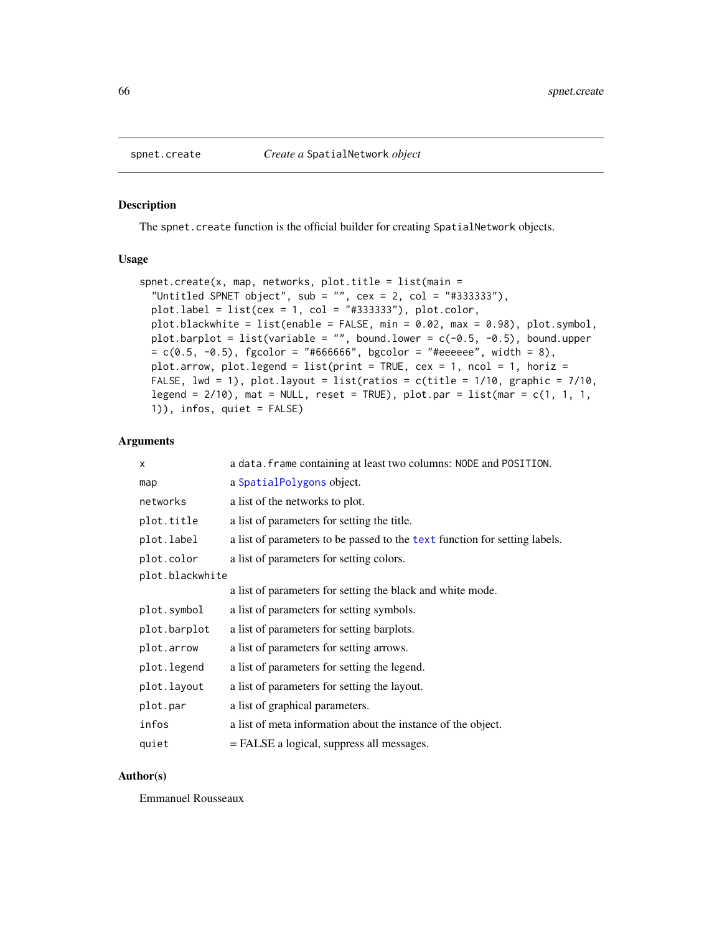#### Description

The spnet.create function is the official builder for creating SpatialNetwork objects.

# Usage

```
spect.create(x, map, networks, plot.title = list(min ="Untitled SPNET object", sub = "", cex = 2, col = "#333333"),
 plot.load = list(cex = 1, col = "#333333"), plot.color,plot.blackwhite = list(enable = FALSE, min = 0.02, max = 0.98), plot.symbol,
 plot.barplot = list(variable = "", bound.lower = c(-0.5, -0.5), bound.upper
 = c(0.5, -0.5), fgcolor = "#666666", bgcolor = "#eeeeee", width = 8),
 plot.arrow, plot.legend = list(print = TRUE, cex = 1, ncol = 1, horiz =
 FALSE, lwd = 1), plot.layout = list(ratios = c(title = 1/10, graphic = 7/10,
  legend = 2/10), mat = NULL, reset = TRUE), plot.par = list(mar = c(1, 1, 1, 1)1)), infos, quiet = FALSE)
```
#### Arguments

| x               | a data. frame containing at least two columns: NODE and POSITION.          |
|-----------------|----------------------------------------------------------------------------|
| map             | a SpatialPolygons object.                                                  |
| networks        | a list of the networks to plot.                                            |
| plot.title      | a list of parameters for setting the title.                                |
| plot.label      | a list of parameters to be passed to the text function for setting labels. |
| plot.color      | a list of parameters for setting colors.                                   |
| plot.blackwhite |                                                                            |
|                 | a list of parameters for setting the black and white mode.                 |
| plot.symbol     | a list of parameters for setting symbols.                                  |
| plot.barplot    | a list of parameters for setting barplots.                                 |
| plot.arrow      | a list of parameters for setting arrows.                                   |
| plot.legend     | a list of parameters for setting the legend.                               |
| plot.layout     | a list of parameters for setting the layout.                               |
| plot.par        | a list of graphical parameters.                                            |
| infos           | a list of meta information about the instance of the object.               |
| quiet           | = FALSE a logical, suppress all messages.                                  |

#### Author(s)

Emmanuel Rousseaux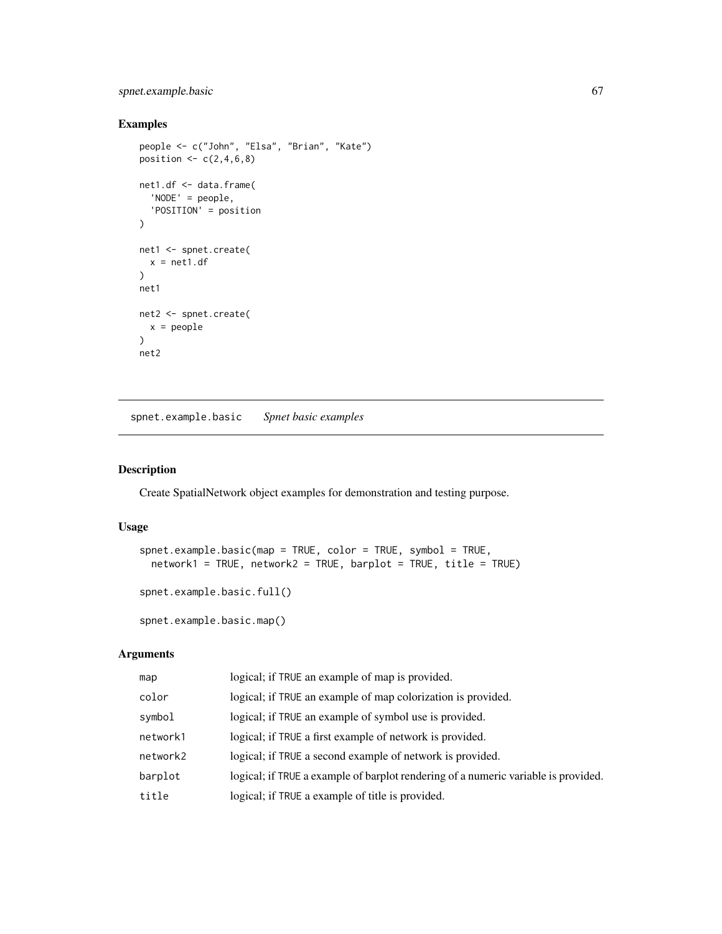# spnet.example.basic 67

# Examples

```
people <- c("John", "Elsa", "Brian", "Kate")
position \leq c(2,4,6,8)net1.df <- data.frame(
  'NODE' = people,
  'POSITION' = position
)
net1 <- spnet.create(
 x = net1.df\mathcal{L}net1
net2 <- spnet.create(
  x = people
\lambdanet2
```
spnet.example.basic *Spnet basic examples*

## Description

Create SpatialNetwork object examples for demonstration and testing purpose.

# Usage

```
spnet.example.basic(map = TRUE, color = TRUE, symbol = TRUE,
 network1 = TRUE, network2 = TRUE, barplot = TRUE, title = TRUE)
spnet.example.basic.full()
```
spnet.example.basic.map()

# Arguments

| map      | logical; if TRUE an example of map is provided.                                    |
|----------|------------------------------------------------------------------------------------|
| color    | logical; if TRUE an example of map colorization is provided.                       |
| symbol   | logical; if TRUE an example of symbol use is provided.                             |
| network1 | logical; if TRUE a first example of network is provided.                           |
| network2 | logical; if TRUE a second example of network is provided.                          |
| barplot  | logical; if TRUE a example of barplot rendering of a numeric variable is provided. |
| title    | logical; if TRUE a example of title is provided.                                   |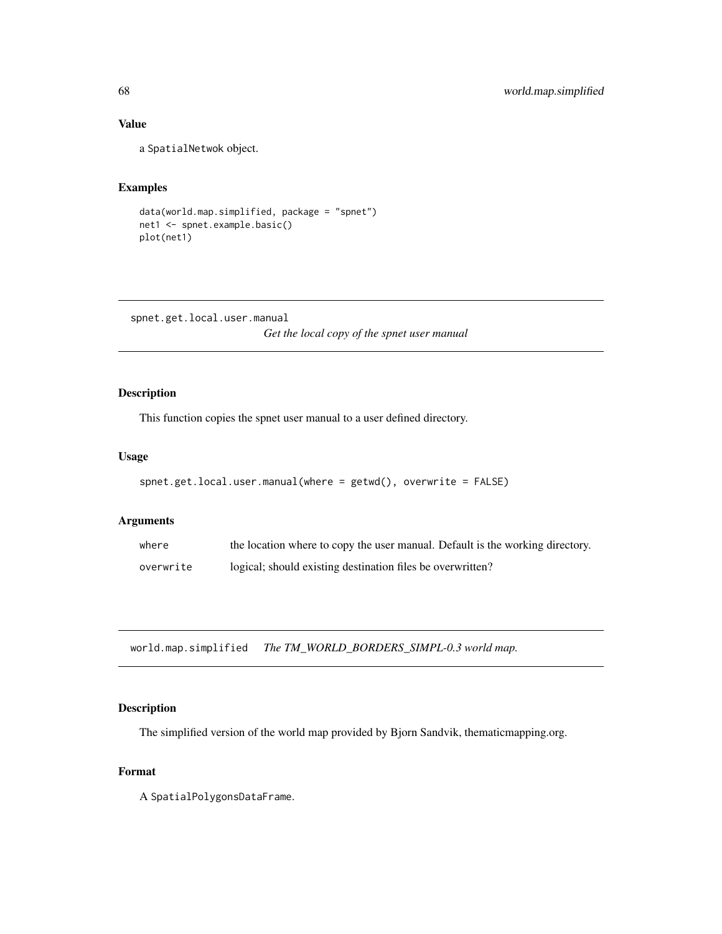# Value

a SpatialNetwok object.

# Examples

```
data(world.map.simplified, package = "spnet")
net1 <- spnet.example.basic()
plot(net1)
```

```
spnet.get.local.user.manual
                         Get the local copy of the spnet user manual
```
# Description

This function copies the spnet user manual to a user defined directory.

## Usage

```
spnet.get.local.user.manual(where = getwd(), overwrite = FALSE)
```
## Arguments

| where     | the location where to copy the user manual. Default is the working directory. |
|-----------|-------------------------------------------------------------------------------|
| overwrite | logical; should existing destination files be overwritten?                    |

world.map.simplified *The TM\_WORLD\_BORDERS\_SIMPL-0.3 world map.*

# Description

The simplified version of the world map provided by Bjorn Sandvik, thematicmapping.org.

## Format

A SpatialPolygonsDataFrame.

<span id="page-67-0"></span>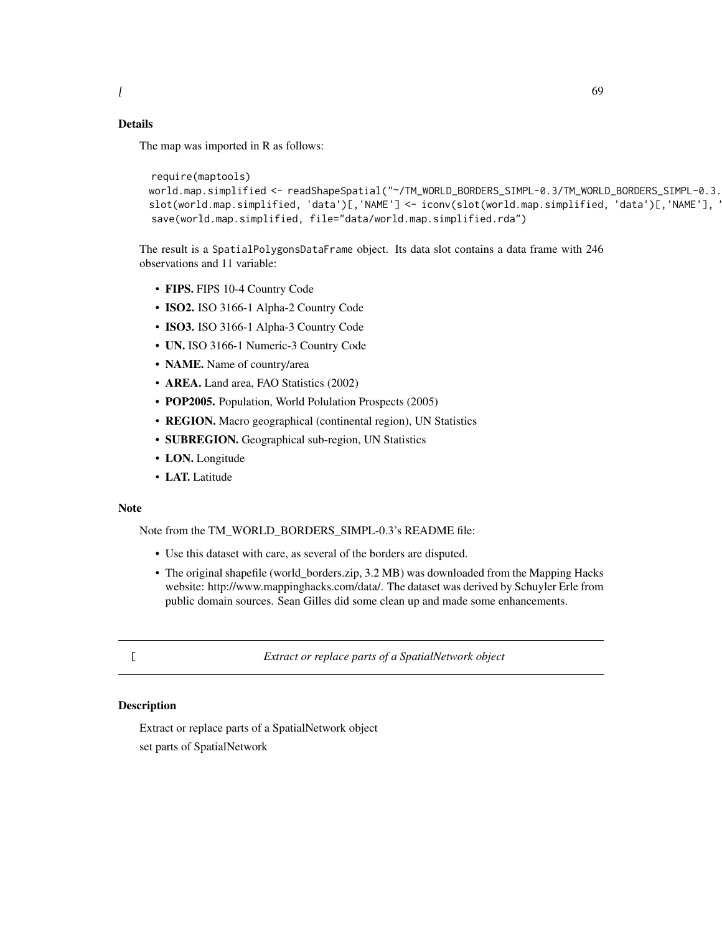# <span id="page-68-0"></span>Details

The map was imported in R as follows:

```
require(maptools)
world.map.simplified <- readShapeSpatial("~/TM_WORLD_BORDERS_SIMPL-0.3/TM_WORLD_BORDERS_SIMPL-0.3.
slot(world.map.simplified, 'data')[,'NAME'] <- iconv(slot(world.map.simplified, 'data')[,'NAME'], '
save(world.map.simplified, file="data/world.map.simplified.rda")
```
The result is a SpatialPolygonsDataFrame object. Its data slot contains a data frame with 246 observations and 11 variable:

- FIPS. FIPS 10-4 Country Code
- ISO2. ISO 3166-1 Alpha-2 Country Code
- ISO3. ISO 3166-1 Alpha-3 Country Code
- UN. ISO 3166-1 Numeric-3 Country Code
- NAME. Name of country/area
- AREA. Land area, FAO Statistics (2002)
- POP2005. Population, World Polulation Prospects (2005)
- REGION. Macro geographical (continental region), UN Statistics
- SUBREGION. Geographical sub-region, UN Statistics
- LON. Longitude
- LAT. Latitude

## Note

Note from the TM\_WORLD\_BORDERS\_SIMPL-0.3's README file:

- Use this dataset with care, as several of the borders are disputed.
- The original shapefile (world\_borders.zip, 3.2 MB) was downloaded from the Mapping Hacks website: http://www.mappinghacks.com/data/. The dataset was derived by Schuyler Erle from public domain sources. Sean Gilles did some clean up and made some enhancements.
- 

[ *Extract or replace parts of a SpatialNetwork object*

## Description

Extract or replace parts of a SpatialNetwork object set parts of SpatialNetwork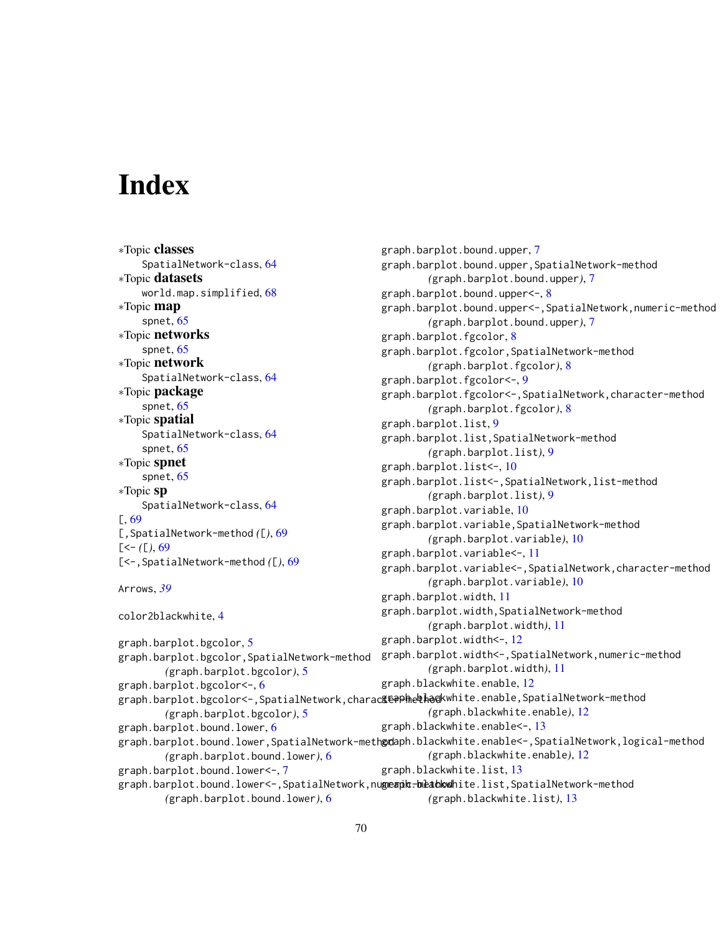# **Index**

∗Topic classes SpatialNetwork-class, [64](#page-63-0) ∗Topic datasets world.map.simplified, [68](#page-67-0) ∗Topic map spnet, [65](#page-64-1) ∗Topic networks spnet, [65](#page-64-1) ∗Topic network SpatialNetwork-class, [64](#page-63-0) ∗Topic package spnet, [65](#page-64-1) ∗Topic spatial SpatialNetwork-class, [64](#page-63-0) spnet, [65](#page-64-1) ∗Topic spnet spnet, [65](#page-64-1) ∗Topic sp SpatialNetwork-class, [64](#page-63-0) [, [69](#page-68-0) [,SpatialNetwork-method *(*[*)*, [69](#page-68-0)  $[-(-1)$ , [69](#page-68-0) [<-,SpatialNetwork-method *(*[*)*, [69](#page-68-0) Arrows, *[39](#page-38-0)* color2blackwhite, [4](#page-3-0) graph.barplot.bgcolor, [5](#page-4-0) graph.barplot.bgcolor,SpatialNetwork-method *(*graph.barplot.bgcolor*)*, [5](#page-4-0) graph.barplot.bgcolor<-, [6](#page-5-0) *(*graph.barplot.bgcolor*)*, [5](#page-4-0) graph.barplot.bound.lower, [6](#page-5-0) *(*graph.barplot.bound.lower*)*, [6](#page-5-0) graph.barplot.bound.lower<-, [7](#page-6-0) graph.barplot.bound.upper, [7](#page-6-0)

graph.barplot.bgcolor<-,SpatialNetwork,charac**£@#Phe&ha@**kwhite.enable,SpatialNetwork-method graph.barplot.bound.lower,SpatialNetwork-meth**ød**aph.blackwhite.enable<-,SpatialNetwork,logical-method graph.barplot.bound.lower<-,SpatialNetwork,nu**geaph.beathodh**ite.list,SpatialNetwork-method *(*graph.barplot.bound.lower*)*, [6](#page-5-0) graph.barplot.bound.upper,SpatialNetwork-method *(*graph.barplot.bound.upper*)*, [7](#page-6-0) graph.barplot.bound.upper<-, [8](#page-7-0) graph.barplot.bound.upper<-,SpatialNetwork,numeric-method *(*graph.barplot.bound.upper*)*, [7](#page-6-0) graph.barplot.fgcolor, [8](#page-7-0) graph.barplot.fgcolor,SpatialNetwork-method *(*graph.barplot.fgcolor*)*, [8](#page-7-0) graph.barplot.fgcolor<-, [9](#page-8-0) graph.barplot.fgcolor<-,SpatialNetwork,character-method *(*graph.barplot.fgcolor*)*, [8](#page-7-0) graph.barplot.list, [9](#page-8-0) graph.barplot.list,SpatialNetwork-method *(*graph.barplot.list*)*, [9](#page-8-0) graph.barplot.list<-, [10](#page-9-0) graph.barplot.list<-,SpatialNetwork,list-method *(*graph.barplot.list*)*, [9](#page-8-0) graph.barplot.variable, [10](#page-9-0) graph.barplot.variable,SpatialNetwork-method *(*graph.barplot.variable*)*, [10](#page-9-0) graph.barplot.variable<-, [11](#page-10-0) graph.barplot.variable<-,SpatialNetwork,character-method *(*graph.barplot.variable*)*, [10](#page-9-0) graph.barplot.width, [11](#page-10-0) graph.barplot.width,SpatialNetwork-method *(*graph.barplot.width*)*, [11](#page-10-0) graph.barplot.width<-, [12](#page-11-0) graph.barplot.width<-,SpatialNetwork,numeric-method *(*graph.barplot.width*)*, [11](#page-10-0) graph.blackwhite.enable, [12](#page-11-0) *(*graph.blackwhite.enable*)*, [12](#page-11-0) graph.blackwhite.enable<-, [13](#page-12-0) *(*graph.blackwhite.enable*)*, [12](#page-11-0) graph.blackwhite.list, [13](#page-12-0) *(*graph.blackwhite.list*)*, [13](#page-12-0)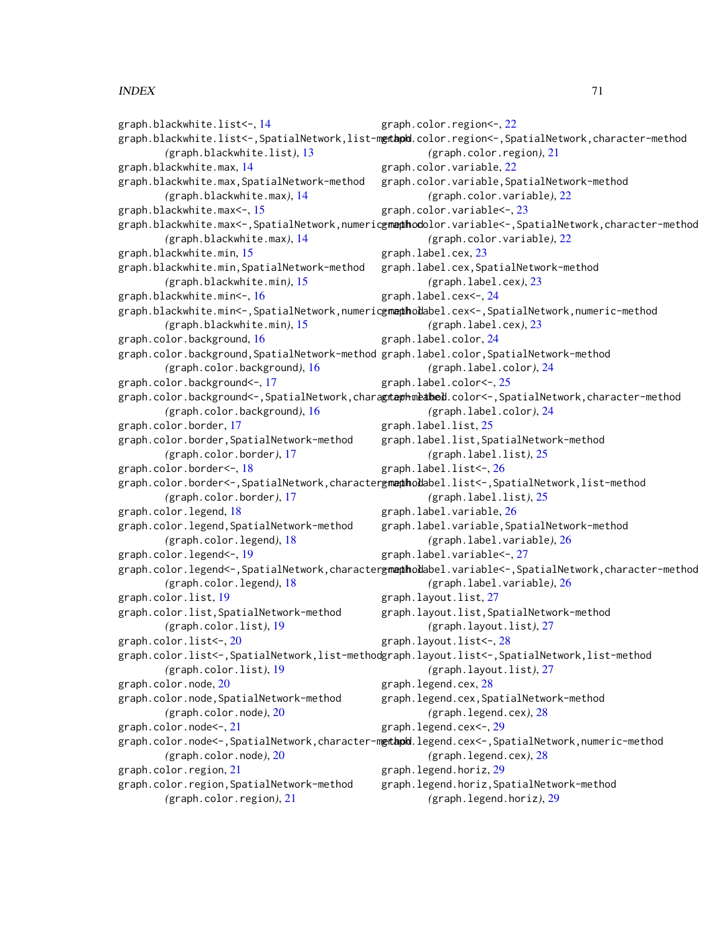## $I<sub>N</sub>$  in  $I<sub>1</sub>$  is  $I<sub>2</sub>$  in  $I<sub>3</sub>$  in  $I<sub>4</sub>$  in  $I<sub>5</sub>$  in  $I<sub>6</sub>$  in  $I<sub>7</sub>$  in  $I<sub>8</sub>$  in  $I<sub>9</sub>$  in  $I<sub>9</sub>$  in  $I<sub>9</sub>$  in  $I<sub>9</sub>$  in  $I<sub>9</sub>$  in  $I<sub>9</sub>$  in  $I<sub>9</sub>$  i

graph.blackwhite.list<-, [14](#page-13-0) graph.blackwhite.list<-,SpatialNetwork,list-m**etapd**.color.region<-,SpatialNetwork,character-method *(*graph.blackwhite.list*)*, [13](#page-12-0) graph.blackwhite.max, [14](#page-13-0) graph.blackwhite.max,SpatialNetwork-method *(*graph.blackwhite.max*)*, [14](#page-13-0) graph.blackwhite.max<-, [15](#page-14-0) graph.blackwhite.max<<mark>-,SpatialNetwork,numeric<del>gm**aphod**olor.variable<-,SpatialNetwork,character-method</mark></mark></del> *(*graph.blackwhite.max*)*, [14](#page-13-0) graph.blackwhite.min, [15](#page-14-0) graph.blackwhite.min,SpatialNetwork-method *(*graph.blackwhite.min*)*, [15](#page-14-0) graph.blackwhite.min<-, [16](#page-15-0) graph.blackwhite.min<-,SpatialNetwork,numeric<del>gm<mark>a</mark>phodab</del>el.cex<-,SpatialNetwork,numeric-method *(*graph.blackwhite.min*)*, [15](#page-14-0) graph.color.background, [16](#page-15-0) graph.color.background,SpatialNetwork-method graph.label.color,SpatialNetwork-method *(*graph.color.background*)*, [16](#page-15-0) graph.color.background<-, [17](#page-16-0) graph.color.background<-,SpatialNetwork,chara**gtaphmeabel**.color<-,SpatialNetwork,character-method *(*graph.color.background*)*, [16](#page-15-0) graph.color.border, [17](#page-16-0) graph.color.border,SpatialNetwork-method *(*graph.color.border*)*, [17](#page-16-0) graph.color.border<-, [18](#page-17-0) graph.color.border<-,SpatialNetwork,character<del>gm<mark>a</mark>tholabel.list<-,SpatialNetwork,list-method</del> *(*graph.color.border*)*, [17](#page-16-0) graph.color.legend, [18](#page-17-0) graph.color.legend,SpatialNetwork-method *(*graph.color.legend*)*, [18](#page-17-0) graph.color.legend<-, [19](#page-18-0) graph.color.legend<-,SpatialNetwork,character<del>gm<mark>aph</mark>oddabel.variable<-,SpatialNetwork,character-method</del> *(*graph.color.legend*)*, [18](#page-17-0) graph.color.list, [19](#page-18-0) graph.color.list,SpatialNetwork-method *(*graph.color.list*)*, [19](#page-18-0) graph.color.list<-, [20](#page-19-0) graph.color.list<-,SpatialNetwork,list-method graph.layout.list<-,SpatialNetwork,list-method *(*graph.color.list*)*, [19](#page-18-0) graph.color.node, [20](#page-19-0) graph.color.node,SpatialNetwork-method *(*graph.color.node*)*, [20](#page-19-0) graph.color.node<-, [21](#page-20-0) graph.color.node<-,SpatialNetwork,character-m**gtapd**.legend.cex<-,SpatialNetwork,numeric-method *(*graph.color.node*)*, [20](#page-19-0) graph.color.region, [21](#page-20-0) graph.color.region,SpatialNetwork-method *(*graph.color.region*)*, [21](#page-20-0) graph.color.region<-, [22](#page-21-0) *(*graph.color.region*)*, [21](#page-20-0) graph.color.variable, [22](#page-21-0) graph.color.variable,SpatialNetwork-method *(*graph.color.variable*)*, [22](#page-21-0) graph.color.variable<-, [23](#page-22-0) *(*graph.color.variable*)*, [22](#page-21-0) graph.label.cex, [23](#page-22-0) graph.label.cex,SpatialNetwork-method *(*graph.label.cex*)*, [23](#page-22-0) graph.label.cex<-, [24](#page-23-0) *(*graph.label.cex*)*, [23](#page-22-0) graph.label.color, [24](#page-23-0) *(*graph.label.color*)*, [24](#page-23-0) graph.label.color<-, [25](#page-24-0) *(*graph.label.color*)*, [24](#page-23-0) graph.label.list, [25](#page-24-0) graph.label.list,SpatialNetwork-method *(*graph.label.list*)*, [25](#page-24-0) graph.label.list<-, [26](#page-25-0) *(*graph.label.list*)*, [25](#page-24-0) graph.label.variable, [26](#page-25-0) graph.label.variable,SpatialNetwork-method *(*graph.label.variable*)*, [26](#page-25-0) graph.label.variable<-, [27](#page-26-0) *(*graph.label.variable*)*, [26](#page-25-0) graph.layout.list, [27](#page-26-0) graph.layout.list,SpatialNetwork-method *(*graph.layout.list*)*, [27](#page-26-0) graph.layout.list<-, [28](#page-27-0) *(*graph.layout.list*)*, [27](#page-26-0) graph.legend.cex, [28](#page-27-0) graph.legend.cex,SpatialNetwork-method *(*graph.legend.cex*)*, [28](#page-27-0) graph.legend.cex<-, [29](#page-28-0) *(*graph.legend.cex*)*, [28](#page-27-0) graph.legend.horiz, [29](#page-28-0) graph.legend.horiz,SpatialNetwork-method *(*graph.legend.horiz*)*, [29](#page-28-0)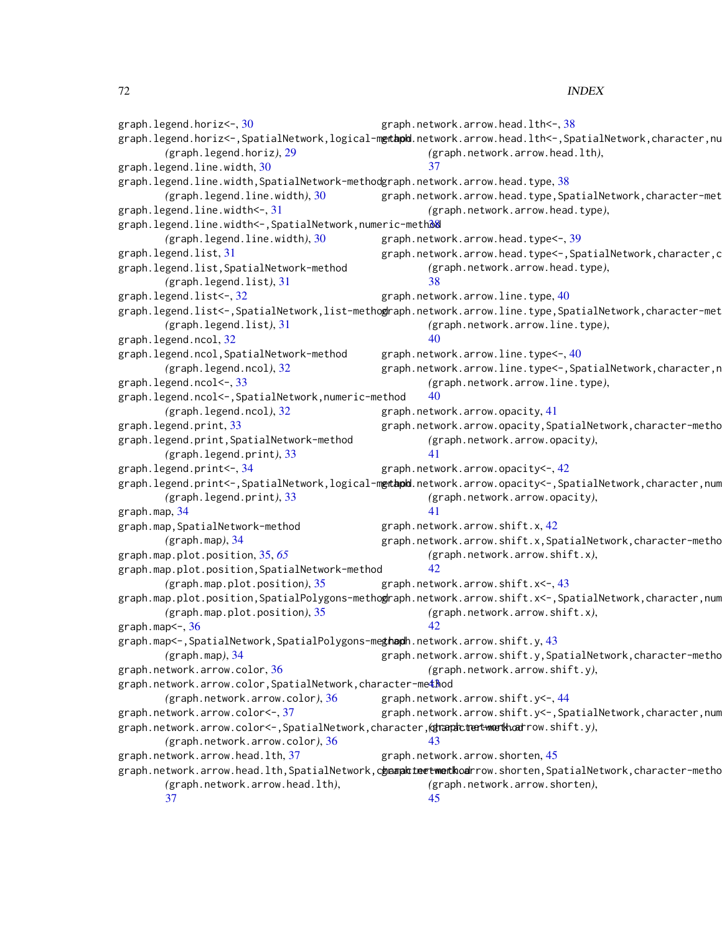graph.legend.horiz<-, [30](#page-29-0) graph.legend.horiz<-,SpatialNetwork,logical-m**etapd**.network.arrow.head.lth<-,SpatialNetwork,character,nu *(*graph.legend.horiz*)*, [29](#page-28-0) graph.legend.line.width, [30](#page-29-0) graph.legend.line.width,SpatialNetwork-method graph.network.arrow.head.type, [38](#page-37-0) *(*graph.legend.line.width*)*, [30](#page-29-0) graph.legend.line.width<-, [31](#page-30-0) graph.legend.line.width<-,SpatialNetwork,numeric-methoo *(*graph.legend.line.width*)*, [30](#page-29-0) graph.legend.list, [31](#page-30-0) graph.legend.list,SpatialNetwork-method *(*graph.legend.list*)*, [31](#page-30-0) graph.legend.list<-, [32](#page-31-0) graph.legend.list<-,SpatialNetwork,list-metho**g**raph.network.arrow.line.type,SpatialNetwork,character-met *(*graph.legend.list*)*, [31](#page-30-0) graph.legend.ncol, [32](#page-31-0) graph.legend.ncol,SpatialNetwork-method *(*graph.legend.ncol*)*, [32](#page-31-0) graph.legend.ncol<-, [33](#page-32-0) graph.legend.ncol<-,SpatialNetwork,numeric-method *(*graph.legend.ncol*)*, [32](#page-31-0) graph.legend.print, [33](#page-32-0) graph.legend.print,SpatialNetwork-method *(*graph.legend.print*)*, [33](#page-32-0) graph.legend.print<-, [34](#page-33-0) graph.legend.print<-,SpatialNetwork,logical-m**etapd**.network.arrow.opacity<-,SpatialNetwork,character,num *(*graph.legend.print*)*, [33](#page-32-0) graph.map, [34](#page-33-0) graph.map,SpatialNetwork-method *(*graph.map*)*, [34](#page-33-0) graph.map.plot.position, [35,](#page-34-1) *[65](#page-64-1)* graph.map.plot.position,SpatialNetwork-method *(*graph.map.plot.position*)*, [35](#page-34-1) graph.map.plot.position,SpatialPolygons-metho**g**raph.network.arrow.shift.x<-,SpatialNetwork,character,num *(*graph.map.plot.position*)*, [35](#page-34-1) graph.map $\leq$ -,  $36$ graph.map<-,SpatialNetwork,SpatialPolygons-me**ghaph**.network.arrow.shift.y,[43](#page-42-0) *(*graph.map*)*, [34](#page-33-0) graph.network.arrow.color, [36](#page-35-0) graph.network.arrow.color,SpatialNetwork,character-me $\texttt{\$}$ hod *(*graph.network.arrow.color*)*, [36](#page-35-0) graph.network.arrow.color<-, [37](#page-36-0) graph.network.arrow.color<-,SpatialNetwork,character,character-method *(*graph.network.arrow.shift.y*)*, *(*graph.network.arrow.color*)*, [36](#page-35-0) graph.network.arrow.head.lth, [37](#page-36-0) graph.network.arrow.head.lth,SpatialNetwork,c**haanalt leetweithod**rrow.shorten,SpatialNetwork,character-metho *(*graph.network.arrow.head.lth*)*, [37](#page-36-0) graph.network.arrow.head.lth<-, [38](#page-37-0) *(*graph.network.arrow.head.lth*)*, [37](#page-36-0) graph.network.arrow.head.type,SpatialNetwork,character-met *(*graph.network.arrow.head.type*)*, graph.network.arrow.head.type<-, [39](#page-38-0) graph.network.arrow.head.type<-,SpatialNetwork,character,c *(*graph.network.arrow.head.type*)*, [38](#page-37-0) graph.network.arrow.line.type, [40](#page-39-0) *(*graph.network.arrow.line.type*)*, [40](#page-39-0) graph.network.arrow.line.type<-, [40](#page-39-0) graph.network.arrow.line.type<-,SpatialNetwork,character,n *(*graph.network.arrow.line.type*)*, [40](#page-39-0) graph.network.arrow.opacity, [41](#page-40-0) graph.network.arrow.opacity,SpatialNetwork,character-metho *(*graph.network.arrow.opacity*)*, [41](#page-40-0) graph.network.arrow.opacity<-, [42](#page-41-0) *(*graph.network.arrow.opacity*)*, [41](#page-40-0) graph.network.arrow.shift.x, [42](#page-41-0) graph.network.arrow.shift.x,SpatialNetwork,character-method *(*graph.network.arrow.shift.x*)*,  $42$ graph.network.arrow.shift.x<-, [43](#page-42-0) *(*graph.network.arrow.shift.x*)*, [42](#page-41-0) graph.network.arrow.shift.y,SpatialNetwork,character-metho *(*graph.network.arrow.shift.y*)*, graph.network.arrow.shift.y<-, [44](#page-43-0) graph.network.arrow.shift.y<-,SpatialNetwork,character,num [43](#page-42-0) graph.network.arrow.shorten, [45](#page-44-0) *(*graph.network.arrow.shorten*)*, [45](#page-44-0)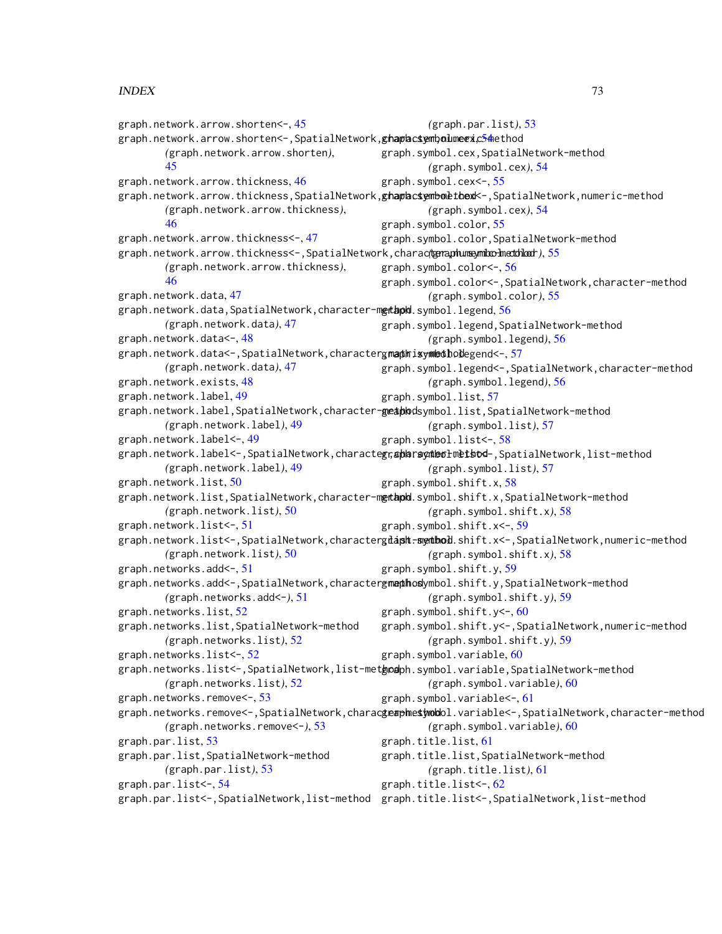graph.network.arrow.shorten<-, [45](#page-44-0) graph.network.arrow.shorten<-,SpatialNetwork,<mark>ghaphcsymbolmeexc54</mark>hethod *(*graph.network.arrow.shorten*)*, [45](#page-44-0) graph.network.arrow.thickness, [46](#page-45-0) graph.network.arrow.thickness,SpatialNetwork,**ghaphcsemboltbexk-**,SpatialNetwork,numeric-method *(*graph.network.arrow.thickness*)*, [46](#page-45-0) graph.network.arrow.thickness<-, [47](#page-46-0) graph.network.arrow.thickness<-,SpatialNetwork,character,numeric-method *(*graph.symbol.color*)*, [55](#page-54-0) *(*graph.network.arrow.thickness*)*, [46](#page-45-0) graph.network.data, [47](#page-46-0) graph.network.data,SpatialNetwork,character-m**etapd.**symbol.legend,[56](#page-55-0) *(*graph.network.data*)*, [47](#page-46-0) graph.network.data<-, [48](#page-47-0) graph.network.data<-,SpatialNetwork,character<mark>gmaphisymedhod</mark>egend<-,[57](#page-56-0) *(*graph.network.data*)*, [47](#page-46-0) graph.network.exists, [48](#page-47-0) graph.network.label, [49](#page-48-0) graph.network.label,SpatialNetwork,character-**geapbo**dsymbol.list,SpatialNetwork-method *(*graph.network.label*)*, [49](#page-48-0) graph.network.label<-, [49](#page-48-0) graph.network.label<-,SpatialNetwork,characte**gr,apharaynhethod-**,SpatialNetwork,list-method *(*graph.network.label*)*, [49](#page-48-0) graph.network.list, [50](#page-49-0) graph.network.list,SpatialNetwork,character-m**gtapd**.symbol.shift.x,SpatialNetwork-method *(*graph.network.list*)*, [50](#page-49-0) graph.network.list<-, [51](#page-50-0) graph.network.list<-,SpatialNetwork,characterg<mark>iapht-syenbol</mark>.shift.x<-,SpatialNetwork,numeric-method *(*graph.network.list*)*, [50](#page-49-0) graph.networks.add<-, [51](#page-50-0) graph.networks.add<-,SpatialNetwork,character<del>gmaphosy</del>mbol.shift.y,SpatialNetwork-method *(*graph.networks.add<-*)*, [51](#page-50-0) graph.networks.list, [52](#page-51-0) graph.networks.list,SpatialNetwork-method *(*graph.networks.list*)*, [52](#page-51-0) graph.networks.list<-, [52](#page-51-0) graph.networks.list<-,SpatialNetwork,list-met**hod**bh.symbol.variable,SpatialNetwork-method *(*graph.networks.list*)*, [52](#page-51-0) graph.networks.remove<-, [53](#page-52-0) graph.networks.remove<-,SpatialNetwork,charac**gea<del>p</del>hesymbol**l.variable<-,SpatialNetwork,character-method *(*graph.networks.remove<-*)*, [53](#page-52-0) graph.par.list, [53](#page-52-0) graph.par.list,SpatialNetwork-method *(*graph.par.list*)*, [53](#page-52-0) graph.par.list<-, [54](#page-53-0) graph.par.list<-,SpatialNetwork,list-method graph.title.list<-,SpatialNetwork,list-method*(*graph.par.list*)*, [53](#page-52-0) graph.symbol.cex,SpatialNetwork-method *(*graph.symbol.cex*)*, [54](#page-53-0) graph.symbol.cex<-, [55](#page-54-0) *(*graph.symbol.cex*)*, [54](#page-53-0) graph.symbol.color, [55](#page-54-0) graph.symbol.color,SpatialNetwork-method graph.symbol.color<-, [56](#page-55-0) graph.symbol.color<-,SpatialNetwork,character-method *(*graph.symbol.color*)*, [55](#page-54-0) graph.symbol.legend,SpatialNetwork-method *(*graph.symbol.legend*)*, [56](#page-55-0) graph.symbol.legend<-,SpatialNetwork,character-method *(*graph.symbol.legend*)*, [56](#page-55-0) graph.symbol.list, [57](#page-56-0) *(*graph.symbol.list*)*, [57](#page-56-0) graph.symbol.list<-, [58](#page-57-0) *(*graph.symbol.list*)*, [57](#page-56-0) graph.symbol.shift.x, [58](#page-57-0) *(*graph.symbol.shift.x*)*, [58](#page-57-0) graph.symbol.shift.x<-, [59](#page-58-0) *(*graph.symbol.shift.x*)*, [58](#page-57-0) graph.symbol.shift.y, [59](#page-58-0) *(*graph.symbol.shift.y*)*, [59](#page-58-0) graph.symbol.shift.y<-, [60](#page-59-0) graph.symbol.shift.y<-,SpatialNetwork,numeric-method *(*graph.symbol.shift.y*)*, [59](#page-58-0) graph.symbol.variable, [60](#page-59-0) *(*graph.symbol.variable*)*, [60](#page-59-0) graph.symbol.variable<-, [61](#page-60-0) *(*graph.symbol.variable*)*, [60](#page-59-0) graph.title.list, [61](#page-60-0) graph.title.list,SpatialNetwork-method *(*graph.title.list*)*, [61](#page-60-0) graph.title.list<-, [62](#page-61-0)